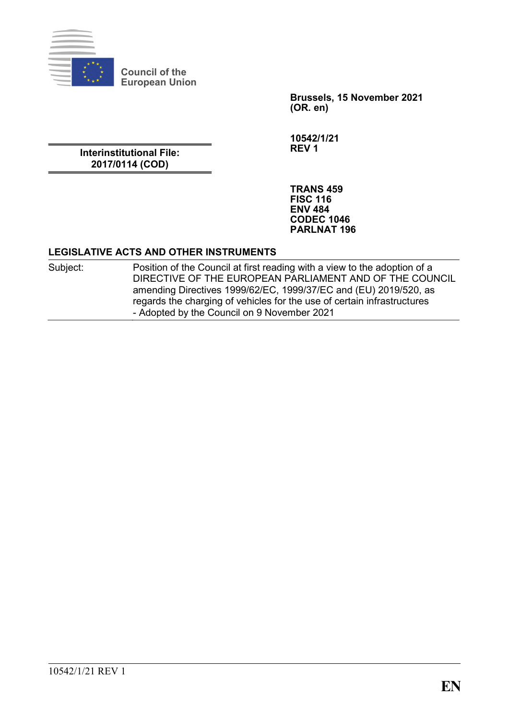

**Council of the European Union**

> **Brussels, 15 November 2021 (OR. en)**

**Interinstitutional File: 2017/0114 (COD)**

**10542/1/21 REV 1**

**TRANS 459 FISC 116 ENV 484 CODEC 1046 PARLNAT 196**

#### **LEGISLATIVE ACTS AND OTHER INSTRUMENTS**

Subject: Position of the Council at first reading with a view to the adoption of a DIRECTIVE OF THE EUROPEAN PARLIAMENT AND OF THE COUNCIL amending Directives 1999/62/EC, 1999/37/EC and (EU) 2019/520, as regards the charging of vehicles for the use of certain infrastructures - Adopted by the Council on 9 November 2021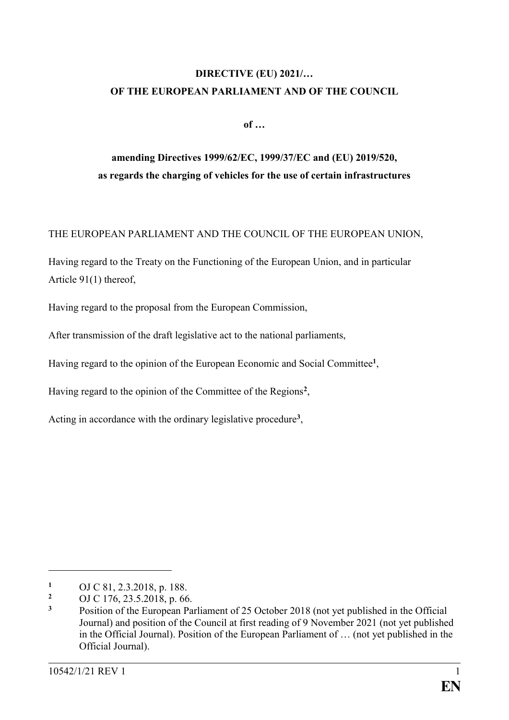## **DIRECTIVE (EU) 2021/… OF THE EUROPEAN PARLIAMENT AND OF THE COUNCIL**

**of …**

# **amending Directives 1999/62/EC, 1999/37/EC and (EU) 2019/520, as regards the charging of vehicles for the use of certain infrastructures**

### THE EUROPEAN PARLIAMENT AND THE COUNCIL OF THE EUROPEAN UNION,

Having regard to the Treaty on the Functioning of the European Union, and in particular Article 91(1) thereof,

Having regard to the proposal from the European Commission,

After transmission of the draft legislative act to the national parliaments,

Having regard to the opinion of the European Economic and Social Committee**<sup>1</sup>** ,

Having regard to the opinion of the Committee of the Regions**<sup>2</sup>** ,

Acting in accordance with the ordinary legislative procedure**<sup>3</sup>** ,

<sup>1</sup> OJ C 81, 2.3.2018, p. 188.

<sup>&</sup>lt;sup>2</sup> OJ C 176, 23.5.2018, p. 66.<br><sup>3</sup> Position of the European Pa

**<sup>3</sup>** Position of the European Parliament of 25 October 2018 (not yet published in the Official Journal) and position of the Council at first reading of 9 November 2021 (not yet published in the Official Journal). Position of the European Parliament of … (not yet published in the Official Journal).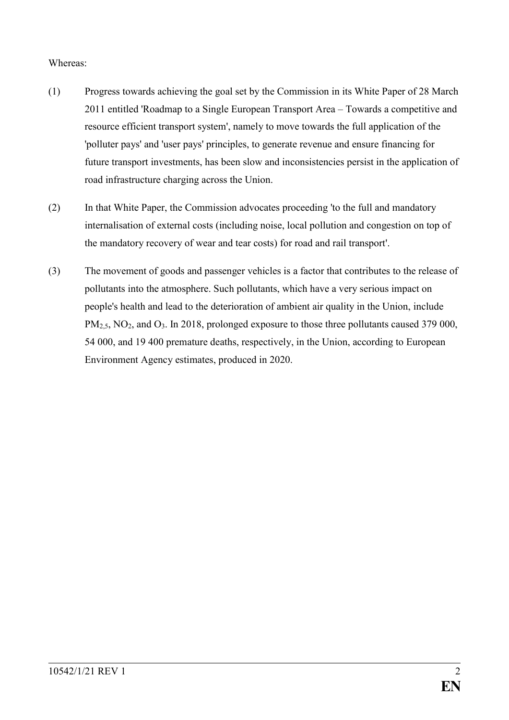#### Whereas:

- (1) Progress towards achieving the goal set by the Commission in its White Paper of 28 March 2011 entitled 'Roadmap to a Single European Transport Area – Towards a competitive and resource efficient transport system', namely to move towards the full application of the 'polluter pays' and 'user pays' principles, to generate revenue and ensure financing for future transport investments, has been slow and inconsistencies persist in the application of road infrastructure charging across the Union.
- (2) In that White Paper, the Commission advocates proceeding 'to the full and mandatory internalisation of external costs (including noise, local pollution and congestion on top of the mandatory recovery of wear and tear costs) for road and rail transport'.
- (3) The movement of goods and passenger vehicles is a factor that contributes to the release of pollutants into the atmosphere. Such pollutants, which have a very serious impact on people's health and lead to the deterioration of ambient air quality in the Union, include PM<sub>2.5</sub>, NO<sub>2</sub>, and O<sub>3</sub>. In 2018, prolonged exposure to those three pollutants caused 379 000, 54 000, and 19 400 premature deaths, respectively, in the Union, according to European Environment Agency estimates, produced in 2020.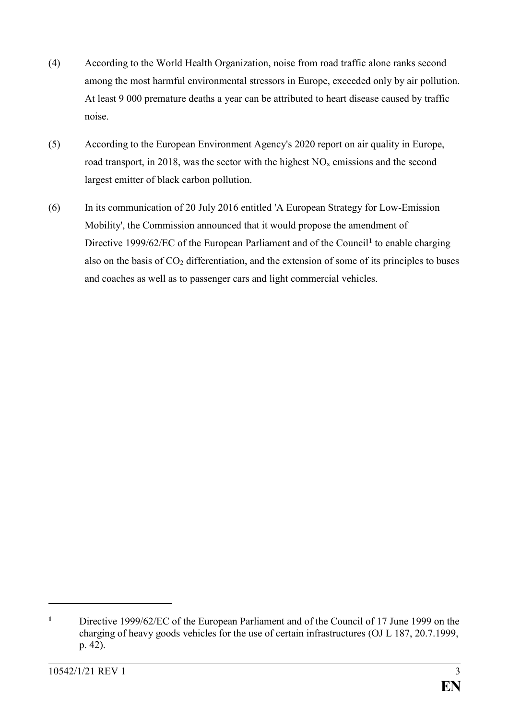- (4) According to the World Health Organization, noise from road traffic alone ranks second among the most harmful environmental stressors in Europe, exceeded only by air pollution. At least 9 000 premature deaths a year can be attributed to heart disease caused by traffic noise.
- (5) According to the European Environment Agency's 2020 report on air quality in Europe, road transport, in 2018, was the sector with the highest  $NO<sub>x</sub>$  emissions and the second largest emitter of black carbon pollution.
- (6) In its communication of 20 July 2016 entitled 'A European Strategy for Low-Emission Mobility', the Commission announced that it would propose the amendment of Directive 1999/62/EC of the European Parliament and of the Council**<sup>1</sup>** to enable charging also on the basis of  $CO<sub>2</sub>$  differentiation, and the extension of some of its principles to buses and coaches as well as to passenger cars and light commercial vehicles.

**<sup>1</sup>** Directive 1999/62/EC of the European Parliament and of the Council of 17 June 1999 on the charging of heavy goods vehicles for the use of certain infrastructures (OJ L 187, 20.7.1999, p. 42).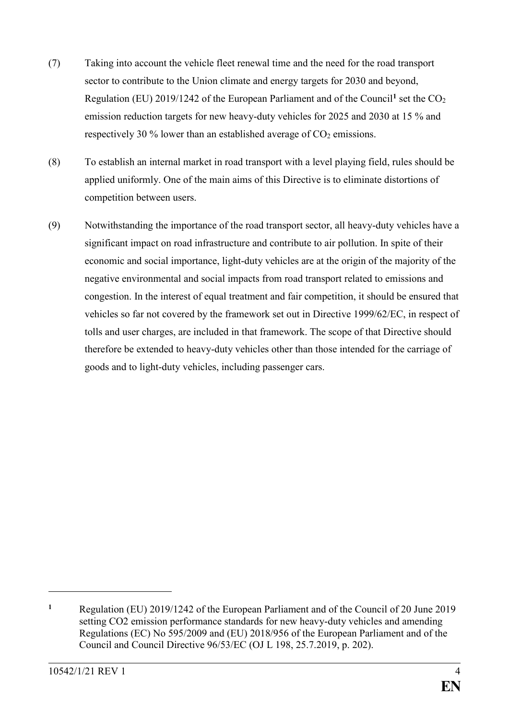- (7) Taking into account the vehicle fleet renewal time and the need for the road transport sector to contribute to the Union climate and energy targets for 2030 and beyond, Regulation (EU) 2019/1242 of the European Parliament and of the Council<sup>1</sup> set the CO<sub>2</sub> emission reduction targets for new heavy-duty vehicles for 2025 and 2030 at 15 % and respectively 30 % lower than an established average of  $CO<sub>2</sub>$  emissions.
- (8) To establish an internal market in road transport with a level playing field, rules should be applied uniformly. One of the main aims of this Directive is to eliminate distortions of competition between users.
- (9) Notwithstanding the importance of the road transport sector, all heavy-duty vehicles have a significant impact on road infrastructure and contribute to air pollution. In spite of their economic and social importance, light-duty vehicles are at the origin of the majority of the negative environmental and social impacts from road transport related to emissions and congestion. In the interest of equal treatment and fair competition, it should be ensured that vehicles so far not covered by the framework set out in Directive 1999/62/EC, in respect of tolls and user charges, are included in that framework. The scope of that Directive should therefore be extended to heavy-duty vehicles other than those intended for the carriage of goods and to light-duty vehicles, including passenger cars.

**<sup>1</sup>** Regulation (EU) 2019/1242 of the European Parliament and of the Council of 20 June 2019 setting CO2 emission performance standards for new heavy-duty vehicles and amending Regulations (EC) No 595/2009 and (EU) 2018/956 of the European Parliament and of the Council and Council Directive 96/53/EC (OJ L 198, 25.7.2019, p. 202).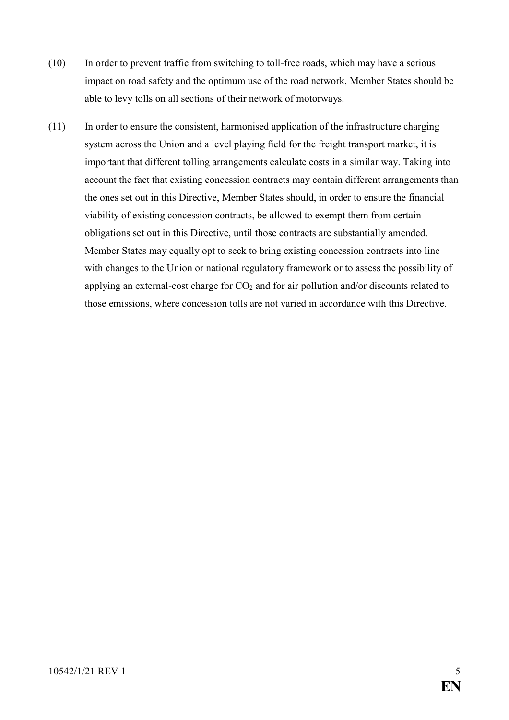- (10) In order to prevent traffic from switching to toll-free roads, which may have a serious impact on road safety and the optimum use of the road network, Member States should be able to levy tolls on all sections of their network of motorways.
- (11) In order to ensure the consistent, harmonised application of the infrastructure charging system across the Union and a level playing field for the freight transport market, it is important that different tolling arrangements calculate costs in a similar way. Taking into account the fact that existing concession contracts may contain different arrangements than the ones set out in this Directive, Member States should, in order to ensure the financial viability of existing concession contracts, be allowed to exempt them from certain obligations set out in this Directive, until those contracts are substantially amended. Member States may equally opt to seek to bring existing concession contracts into line with changes to the Union or national regulatory framework or to assess the possibility of applying an external-cost charge for  $CO<sub>2</sub>$  and for air pollution and/or discounts related to those emissions, where concession tolls are not varied in accordance with this Directive.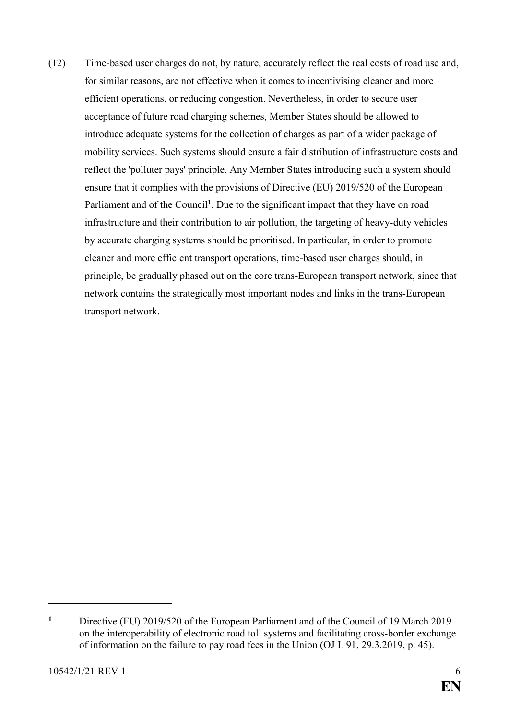(12) Time-based user charges do not, by nature, accurately reflect the real costs of road use and, for similar reasons, are not effective when it comes to incentivising cleaner and more efficient operations, or reducing congestion. Nevertheless, in order to secure user acceptance of future road charging schemes, Member States should be allowed to introduce adequate systems for the collection of charges as part of a wider package of mobility services. Such systems should ensure a fair distribution of infrastructure costs and reflect the 'polluter pays' principle. Any Member States introducing such a system should ensure that it complies with the provisions of Directive (EU) 2019/520 of the European Parliament and of the Council<sup>1</sup>. Due to the significant impact that they have on road infrastructure and their contribution to air pollution, the targeting of heavy-duty vehicles by accurate charging systems should be prioritised. In particular, in order to promote cleaner and more efficient transport operations, time-based user charges should, in principle, be gradually phased out on the core trans-European transport network, since that network contains the strategically most important nodes and links in the trans-European transport network.

**<sup>1</sup>** Directive (EU) 2019/520 of the European Parliament and of the Council of 19 March 2019 on the interoperability of electronic road toll systems and facilitating cross-border exchange of information on the failure to pay road fees in the Union (OJ L 91, 29.3.2019, p. 45).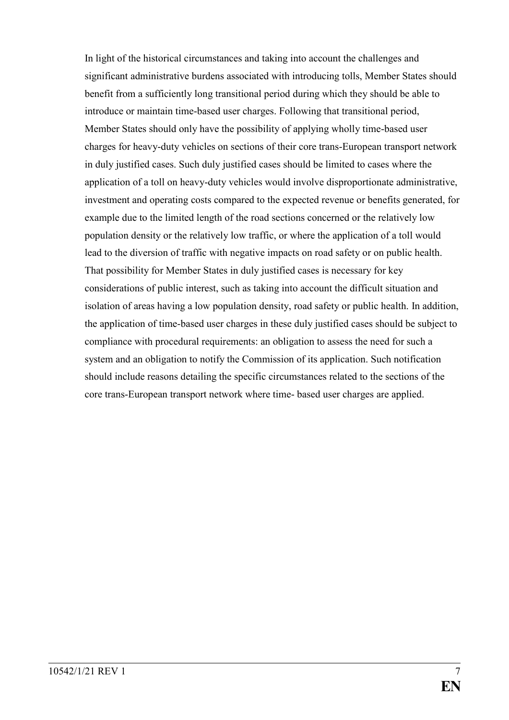In light of the historical circumstances and taking into account the challenges and significant administrative burdens associated with introducing tolls, Member States should benefit from a sufficiently long transitional period during which they should be able to introduce or maintain time-based user charges. Following that transitional period, Member States should only have the possibility of applying wholly time-based user charges for heavy-duty vehicles on sections of their core trans-European transport network in duly justified cases. Such duly justified cases should be limited to cases where the application of a toll on heavy-duty vehicles would involve disproportionate administrative, investment and operating costs compared to the expected revenue or benefits generated, for example due to the limited length of the road sections concerned or the relatively low population density or the relatively low traffic, or where the application of a toll would lead to the diversion of traffic with negative impacts on road safety or on public health. That possibility for Member States in duly justified cases is necessary for key considerations of public interest, such as taking into account the difficult situation and isolation of areas having a low population density, road safety or public health. In addition, the application of time-based user charges in these duly justified cases should be subject to compliance with procedural requirements: an obligation to assess the need for such a system and an obligation to notify the Commission of its application. Such notification should include reasons detailing the specific circumstances related to the sections of the core trans-European transport network where time- based user charges are applied.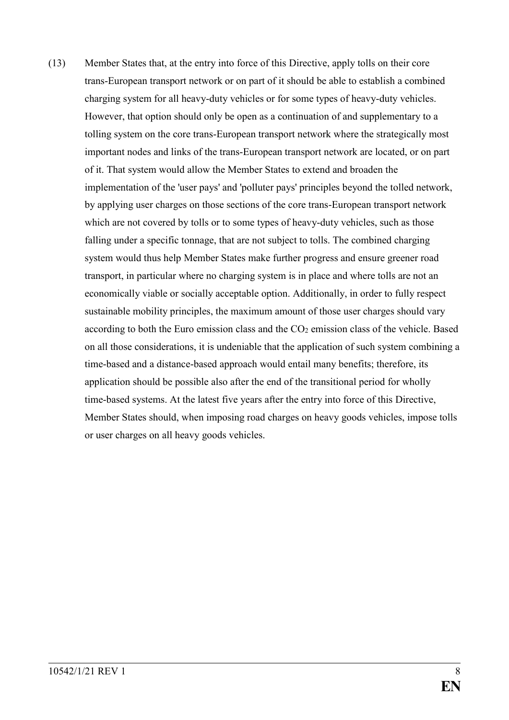(13) Member States that, at the entry into force of this Directive, apply tolls on their core trans-European transport network or on part of it should be able to establish a combined charging system for all heavy-duty vehicles or for some types of heavy-duty vehicles. However, that option should only be open as a continuation of and supplementary to a tolling system on the core trans-European transport network where the strategically most important nodes and links of the trans-European transport network are located, or on part of it. That system would allow the Member States to extend and broaden the implementation of the 'user pays' and 'polluter pays' principles beyond the tolled network, by applying user charges on those sections of the core trans-European transport network which are not covered by tolls or to some types of heavy-duty vehicles, such as those falling under a specific tonnage, that are not subject to tolls. The combined charging system would thus help Member States make further progress and ensure greener road transport, in particular where no charging system is in place and where tolls are not an economically viable or socially acceptable option. Additionally, in order to fully respect sustainable mobility principles, the maximum amount of those user charges should vary according to both the Euro emission class and the  $CO<sub>2</sub>$  emission class of the vehicle. Based on all those considerations, it is undeniable that the application of such system combining a time-based and a distance-based approach would entail many benefits; therefore, its application should be possible also after the end of the transitional period for wholly time-based systems. At the latest five years after the entry into force of this Directive, Member States should, when imposing road charges on heavy goods vehicles, impose tolls or user charges on all heavy goods vehicles.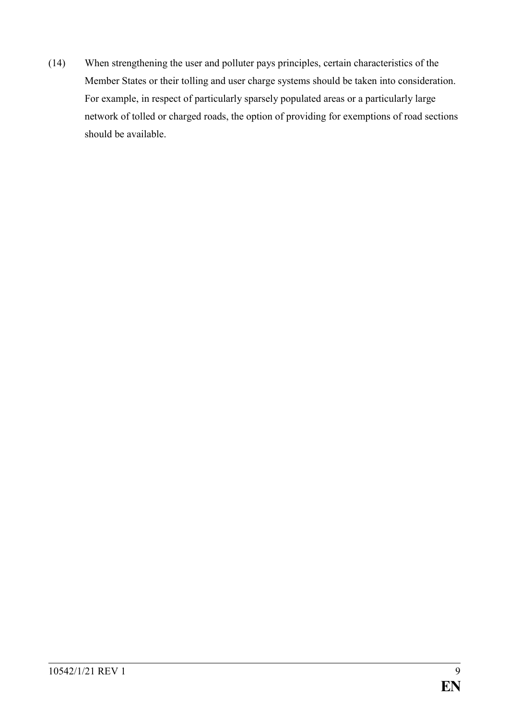(14) When strengthening the user and polluter pays principles, certain characteristics of the Member States or their tolling and user charge systems should be taken into consideration. For example, in respect of particularly sparsely populated areas or a particularly large network of tolled or charged roads, the option of providing for exemptions of road sections should be available.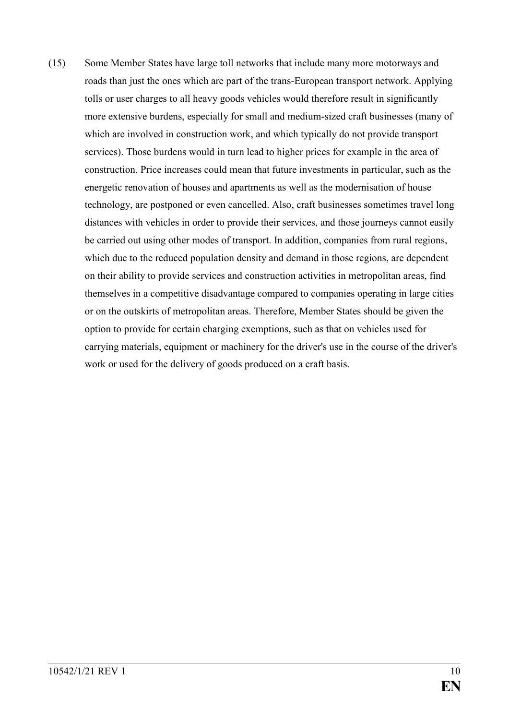(15) Some Member States have large toll networks that include many more motorways and roads than just the ones which are part of the trans-European transport network. Applying tolls or user charges to all heavy goods vehicles would therefore result in significantly more extensive burdens, especially for small and medium-sized craft businesses (many of which are involved in construction work, and which typically do not provide transport services). Those burdens would in turn lead to higher prices for example in the area of construction. Price increases could mean that future investments in particular, such as the energetic renovation of houses and apartments as well as the modernisation of house technology, are postponed or even cancelled. Also, craft businesses sometimes travel long distances with vehicles in order to provide their services, and those journeys cannot easily be carried out using other modes of transport. In addition, companies from rural regions, which due to the reduced population density and demand in those regions, are dependent on their ability to provide services and construction activities in metropolitan areas, find themselves in a competitive disadvantage compared to companies operating in large cities or on the outskirts of metropolitan areas. Therefore, Member States should be given the option to provide for certain charging exemptions, such as that on vehicles used for carrying materials, equipment or machinery for the driver's use in the course of the driver's work or used for the delivery of goods produced on a craft basis.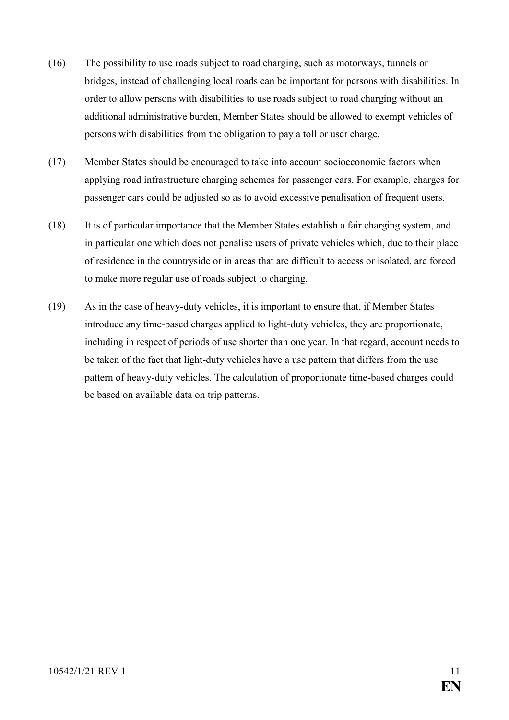- (16) The possibility to use roads subject to road charging, such as motorways, tunnels or bridges, instead of challenging local roads can be important for persons with disabilities. In order to allow persons with disabilities to use roads subject to road charging without an additional administrative burden, Member States should be allowed to exempt vehicles of persons with disabilities from the obligation to pay a toll or user charge.
- (17) Member States should be encouraged to take into account socioeconomic factors when applying road infrastructure charging schemes for passenger cars. For example, charges for passenger cars could be adjusted so as to avoid excessive penalisation of frequent users.
- (18) It is of particular importance that the Member States establish a fair charging system, and in particular one which does not penalise users of private vehicles which, due to their place of residence in the countryside or in areas that are difficult to access or isolated, are forced to make more regular use of roads subject to charging.
- (19) As in the case of heavy-duty vehicles, it is important to ensure that, if Member States introduce any time-based charges applied to light-duty vehicles, they are proportionate, including in respect of periods of use shorter than one year. In that regard, account needs to be taken of the fact that light-duty vehicles have a use pattern that differs from the use pattern of heavy-duty vehicles. The calculation of proportionate time-based charges could be based on available data on trip patterns.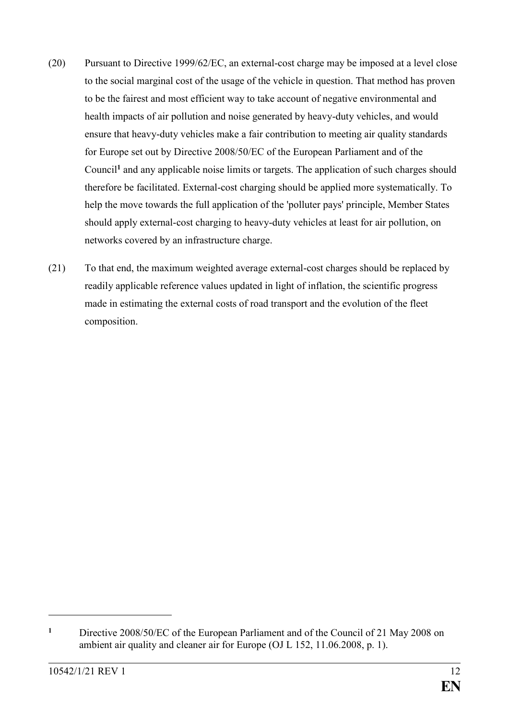- (20) Pursuant to Directive 1999/62/EC, an external-cost charge may be imposed at a level close to the social marginal cost of the usage of the vehicle in question. That method has proven to be the fairest and most efficient way to take account of negative environmental and health impacts of air pollution and noise generated by heavy-duty vehicles, and would ensure that heavy-duty vehicles make a fair contribution to meeting air quality standards for Europe set out by Directive 2008/50/EC of the European Parliament and of the Council**<sup>1</sup>** and any applicable noise limits or targets. The application of such charges should therefore be facilitated. External-cost charging should be applied more systematically. To help the move towards the full application of the 'polluter pays' principle, Member States should apply external-cost charging to heavy-duty vehicles at least for air pollution, on networks covered by an infrastructure charge.
- (21) To that end, the maximum weighted average external-cost charges should be replaced by readily applicable reference values updated in light of inflation, the scientific progress made in estimating the external costs of road transport and the evolution of the fleet composition.

**<sup>1</sup>** Directive 2008/50/EC of the European Parliament and of the Council of 21 May 2008 on ambient air quality and cleaner air for Europe (OJ L 152, 11.06.2008, p. 1).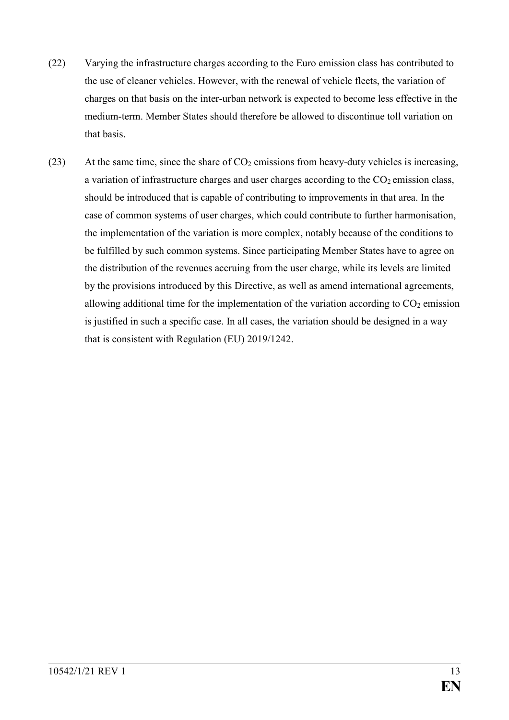- (22) Varying the infrastructure charges according to the Euro emission class has contributed to the use of cleaner vehicles. However, with the renewal of vehicle fleets, the variation of charges on that basis on the inter-urban network is expected to become less effective in the medium-term. Member States should therefore be allowed to discontinue toll variation on that basis.
- (23) At the same time, since the share of  $CO<sub>2</sub>$  emissions from heavy-duty vehicles is increasing, a variation of infrastructure charges and user charges according to the  $CO<sub>2</sub>$  emission class, should be introduced that is capable of contributing to improvements in that area. In the case of common systems of user charges, which could contribute to further harmonisation, the implementation of the variation is more complex, notably because of the conditions to be fulfilled by such common systems. Since participating Member States have to agree on the distribution of the revenues accruing from the user charge, while its levels are limited by the provisions introduced by this Directive, as well as amend international agreements, allowing additional time for the implementation of the variation according to  $CO<sub>2</sub>$  emission is justified in such a specific case. In all cases, the variation should be designed in a way that is consistent with Regulation (EU) 2019/1242.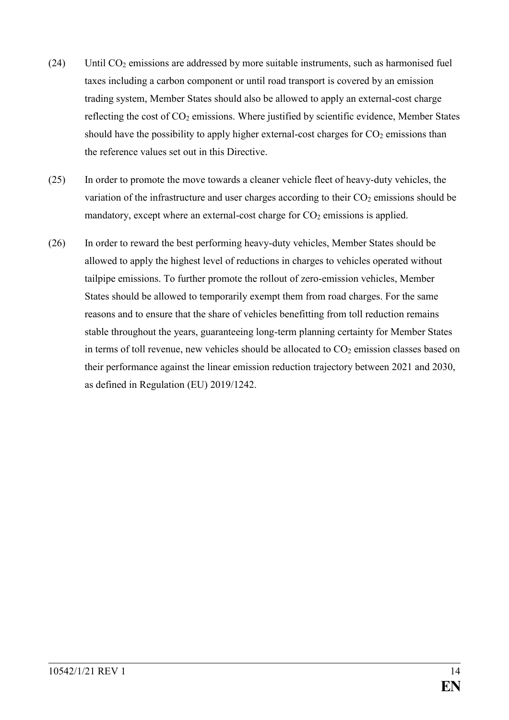- (24) Until  $CO<sub>2</sub>$  emissions are addressed by more suitable instruments, such as harmonised fuel taxes including a carbon component or until road transport is covered by an emission trading system, Member States should also be allowed to apply an external-cost charge reflecting the cost of CO<sub>2</sub> emissions. Where justified by scientific evidence, Member States should have the possibility to apply higher external-cost charges for  $CO<sub>2</sub>$  emissions than the reference values set out in this Directive.
- (25) In order to promote the move towards a cleaner vehicle fleet of heavy-duty vehicles, the variation of the infrastructure and user charges according to their  $CO<sub>2</sub>$  emissions should be mandatory, except where an external-cost charge for  $CO<sub>2</sub>$  emissions is applied.
- (26) In order to reward the best performing heavy-duty vehicles, Member States should be allowed to apply the highest level of reductions in charges to vehicles operated without tailpipe emissions. To further promote the rollout of zero-emission vehicles, Member States should be allowed to temporarily exempt them from road charges. For the same reasons and to ensure that the share of vehicles benefitting from toll reduction remains stable throughout the years, guaranteeing long-term planning certainty for Member States in terms of toll revenue, new vehicles should be allocated to  $CO<sub>2</sub>$  emission classes based on their performance against the linear emission reduction trajectory between 2021 and 2030, as defined in Regulation (EU) 2019/1242.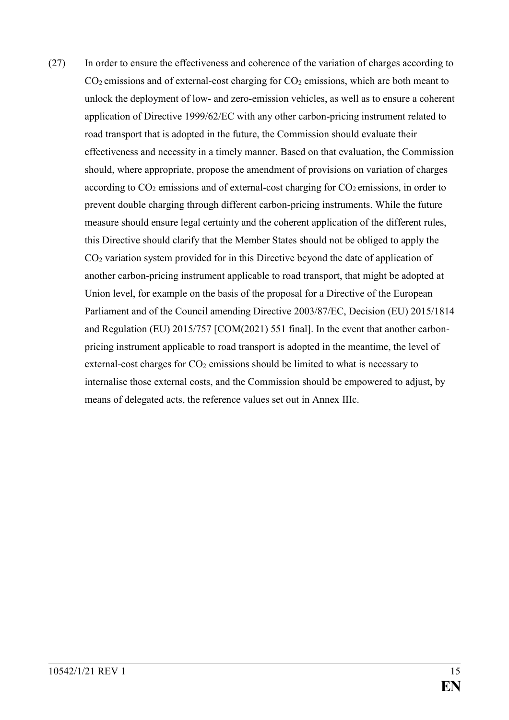(27) In order to ensure the effectiveness and coherence of the variation of charges according to  $CO<sub>2</sub>$  emissions and of external-cost charging for  $CO<sub>2</sub>$  emissions, which are both meant to unlock the deployment of low- and zero-emission vehicles, as well as to ensure a coherent application of Directive 1999/62/EC with any other carbon-pricing instrument related to road transport that is adopted in the future, the Commission should evaluate their effectiveness and necessity in a timely manner. Based on that evaluation, the Commission should, where appropriate, propose the amendment of provisions on variation of charges according to  $CO<sub>2</sub>$  emissions and of external-cost charging for  $CO<sub>2</sub>$  emissions, in order to prevent double charging through different carbon-pricing instruments. While the future measure should ensure legal certainty and the coherent application of the different rules, this Directive should clarify that the Member States should not be obliged to apply the CO<sup>2</sup> variation system provided for in this Directive beyond the date of application of another carbon-pricing instrument applicable to road transport, that might be adopted at Union level, for example on the basis of the proposal for a Directive of the European Parliament and of the Council amending Directive 2003/87/EC, Decision (EU) 2015/1814 and Regulation (EU) 2015/757 [COM(2021) 551 final]. In the event that another carbonpricing instrument applicable to road transport is adopted in the meantime, the level of external-cost charges for  $CO<sub>2</sub>$  emissions should be limited to what is necessary to internalise those external costs, and the Commission should be empowered to adjust, by means of delegated acts, the reference values set out in Annex IIIc.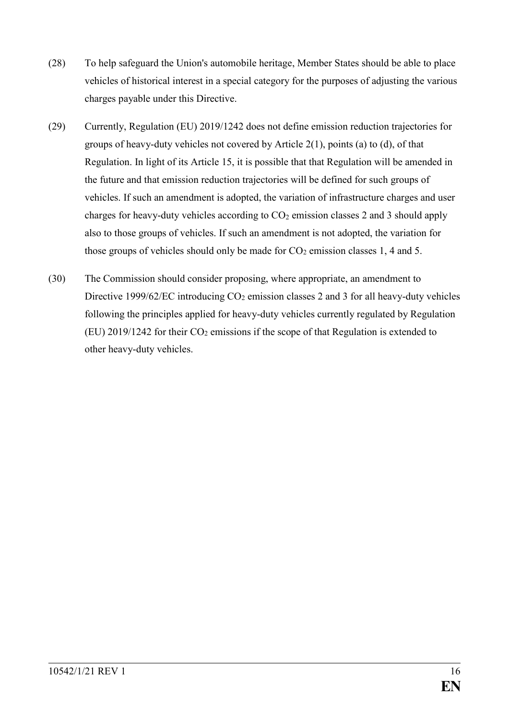- (28) To help safeguard the Union's automobile heritage, Member States should be able to place vehicles of historical interest in a special category for the purposes of adjusting the various charges payable under this Directive.
- (29) Currently, Regulation (EU) 2019/1242 does not define emission reduction trajectories for groups of heavy-duty vehicles not covered by Article 2(1), points (a) to (d), of that Regulation. In light of its Article 15, it is possible that that Regulation will be amended in the future and that emission reduction trajectories will be defined for such groups of vehicles. If such an amendment is adopted, the variation of infrastructure charges and user charges for heavy-duty vehicles according to  $CO<sub>2</sub>$  emission classes 2 and 3 should apply also to those groups of vehicles. If such an amendment is not adopted, the variation for those groups of vehicles should only be made for  $CO<sub>2</sub>$  emission classes 1, 4 and 5.
- (30) The Commission should consider proposing, where appropriate, an amendment to Directive 1999/62/EC introducing  $CO<sub>2</sub>$  emission classes 2 and 3 for all heavy-duty vehicles following the principles applied for heavy-duty vehicles currently regulated by Regulation (EU) 2019/1242 for their  $CO<sub>2</sub>$  emissions if the scope of that Regulation is extended to other heavy-duty vehicles.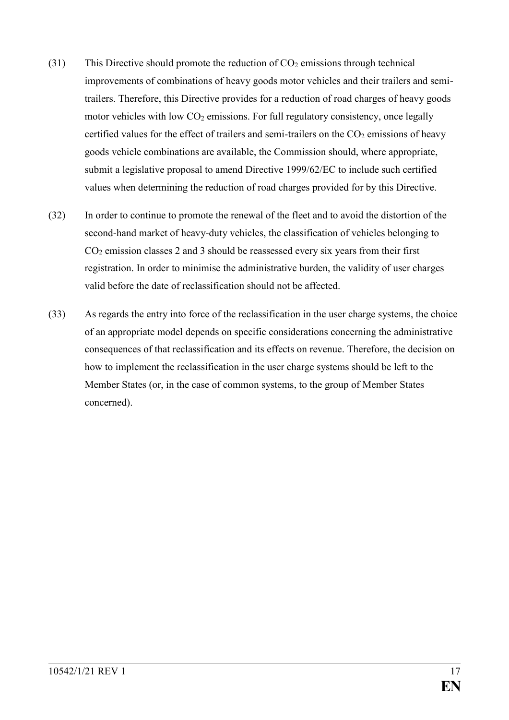- (31) This Directive should promote the reduction of  $CO<sub>2</sub>$  emissions through technical improvements of combinations of heavy goods motor vehicles and their trailers and semitrailers. Therefore, this Directive provides for a reduction of road charges of heavy goods motor vehicles with low  $CO<sub>2</sub>$  emissions. For full regulatory consistency, once legally certified values for the effect of trailers and semi-trailers on the  $CO<sub>2</sub>$  emissions of heavy goods vehicle combinations are available, the Commission should, where appropriate, submit a legislative proposal to amend Directive 1999/62/EC to include such certified values when determining the reduction of road charges provided for by this Directive.
- (32) In order to continue to promote the renewal of the fleet and to avoid the distortion of the second-hand market of heavy-duty vehicles, the classification of vehicles belonging to CO<sup>2</sup> emission classes 2 and 3 should be reassessed every six years from their first registration. In order to minimise the administrative burden, the validity of user charges valid before the date of reclassification should not be affected.
- (33) As regards the entry into force of the reclassification in the user charge systems, the choice of an appropriate model depends on specific considerations concerning the administrative consequences of that reclassification and its effects on revenue. Therefore, the decision on how to implement the reclassification in the user charge systems should be left to the Member States (or, in the case of common systems, to the group of Member States concerned).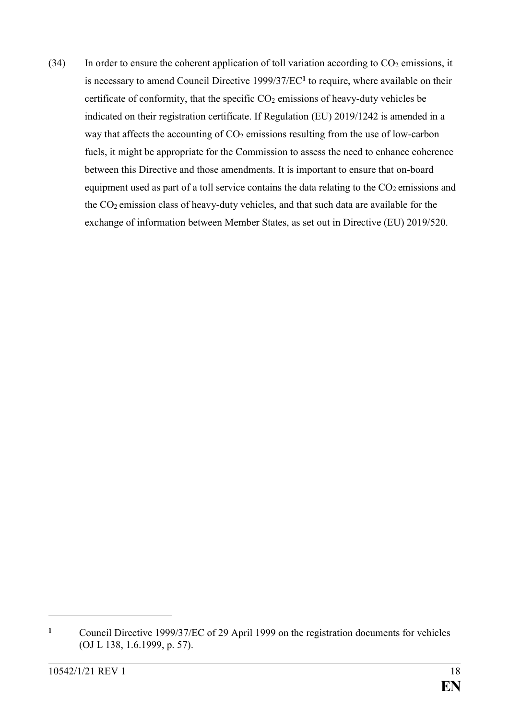(34) In order to ensure the coherent application of toll variation according to  $CO<sub>2</sub>$  emissions, it is necessary to amend Council Directive 1999/37/EC**<sup>1</sup>** to require, where available on their certificate of conformity, that the specific  $CO<sub>2</sub>$  emissions of heavy-duty vehicles be indicated on their registration certificate. If Regulation (EU) 2019/1242 is amended in a way that affects the accounting of  $CO<sub>2</sub>$  emissions resulting from the use of low-carbon fuels, it might be appropriate for the Commission to assess the need to enhance coherence between this Directive and those amendments. It is important to ensure that on-board equipment used as part of a toll service contains the data relating to the  $CO<sub>2</sub>$  emissions and the CO2 emission class of heavy-duty vehicles, and that such data are available for the exchange of information between Member States, as set out in Directive (EU) 2019/520.

**<sup>1</sup>** Council Directive 1999/37/EC of 29 April 1999 on the registration documents for vehicles (OJ L 138, 1.6.1999, p. 57).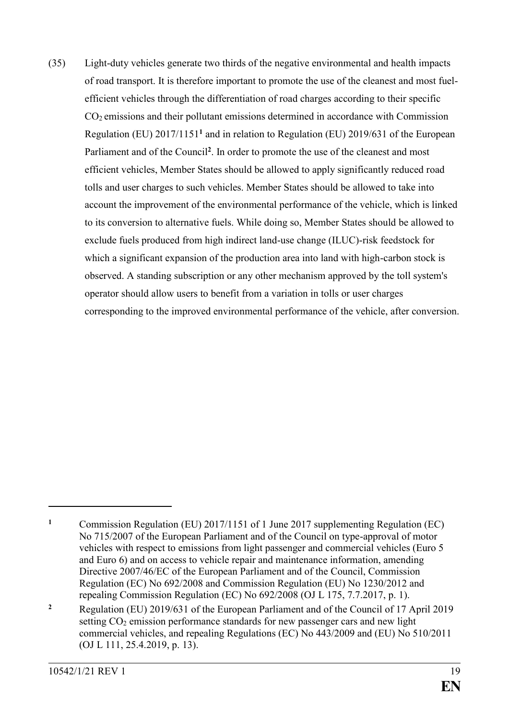(35) Light-duty vehicles generate two thirds of the negative environmental and health impacts of road transport. It is therefore important to promote the use of the cleanest and most fuelefficient vehicles through the differentiation of road charges according to their specific CO2 emissions and their pollutant emissions determined in accordance with Commission Regulation (EU) 2017/1151**<sup>1</sup>** and in relation to Regulation (EU) 2019/631 of the European Parliament and of the Council**<sup>2</sup>** . In order to promote the use of the cleanest and most efficient vehicles, Member States should be allowed to apply significantly reduced road tolls and user charges to such vehicles. Member States should be allowed to take into account the improvement of the environmental performance of the vehicle, which is linked to its conversion to alternative fuels. While doing so, Member States should be allowed to exclude fuels produced from high indirect land-use change (ILUC)-risk feedstock for which a significant expansion of the production area into land with high-carbon stock is observed. A standing subscription or any other mechanism approved by the toll system's operator should allow users to benefit from a variation in tolls or user charges corresponding to the improved environmental performance of the vehicle, after conversion.

**<sup>1</sup>** Commission Regulation (EU) 2017/1151 of 1 June 2017 supplementing Regulation (EC) No 715/2007 of the European Parliament and of the Council on type-approval of motor vehicles with respect to emissions from light passenger and commercial vehicles (Euro 5 and Euro 6) and on access to vehicle repair and maintenance information, amending Directive 2007/46/EC of the European Parliament and of the Council, Commission Regulation (EC) No 692/2008 and Commission Regulation (EU) No 1230/2012 and repealing Commission Regulation (EC) No 692/2008 (OJ L 175, 7.7.2017, p. 1).

**<sup>2</sup>** Regulation (EU) 2019/631 of the European Parliament and of the Council of 17 April 2019 setting CO<sub>2</sub> emission performance standards for new passenger cars and new light commercial vehicles, and repealing Regulations (EC) No 443/2009 and (EU) No 510/2011 (OJ L 111, 25.4.2019, p. 13).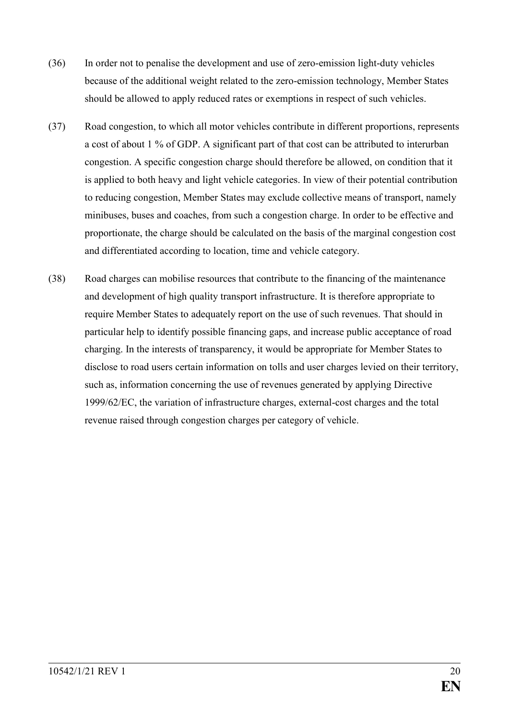- (36) In order not to penalise the development and use of zero-emission light-duty vehicles because of the additional weight related to the zero-emission technology, Member States should be allowed to apply reduced rates or exemptions in respect of such vehicles.
- (37) Road congestion, to which all motor vehicles contribute in different proportions, represents a cost of about 1 % of GDP. A significant part of that cost can be attributed to interurban congestion. A specific congestion charge should therefore be allowed, on condition that it is applied to both heavy and light vehicle categories. In view of their potential contribution to reducing congestion, Member States may exclude collective means of transport, namely minibuses, buses and coaches, from such a congestion charge. In order to be effective and proportionate, the charge should be calculated on the basis of the marginal congestion cost and differentiated according to location, time and vehicle category.
- (38) Road charges can mobilise resources that contribute to the financing of the maintenance and development of high quality transport infrastructure. It is therefore appropriate to require Member States to adequately report on the use of such revenues. That should in particular help to identify possible financing gaps, and increase public acceptance of road charging. In the interests of transparency, it would be appropriate for Member States to disclose to road users certain information on tolls and user charges levied on their territory, such as, information concerning the use of revenues generated by applying Directive 1999/62/EC, the variation of infrastructure charges, external-cost charges and the total revenue raised through congestion charges per category of vehicle.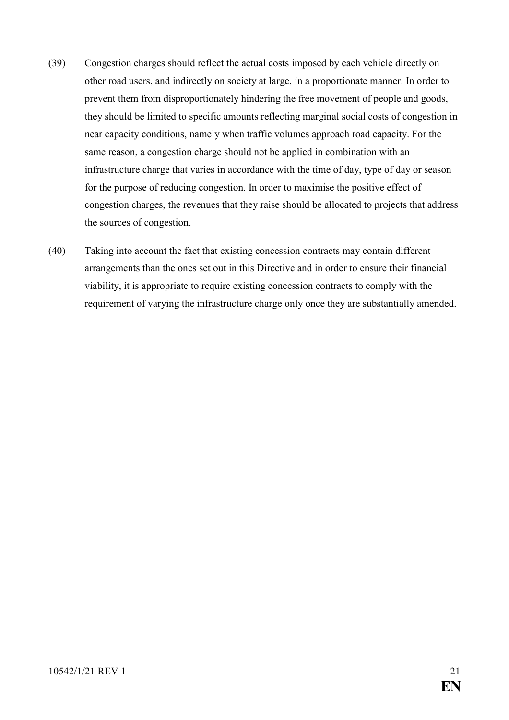- (39) Congestion charges should reflect the actual costs imposed by each vehicle directly on other road users, and indirectly on society at large, in a proportionate manner. In order to prevent them from disproportionately hindering the free movement of people and goods, they should be limited to specific amounts reflecting marginal social costs of congestion in near capacity conditions, namely when traffic volumes approach road capacity. For the same reason, a congestion charge should not be applied in combination with an infrastructure charge that varies in accordance with the time of day, type of day or season for the purpose of reducing congestion. In order to maximise the positive effect of congestion charges, the revenues that they raise should be allocated to projects that address the sources of congestion.
- (40) Taking into account the fact that existing concession contracts may contain different arrangements than the ones set out in this Directive and in order to ensure their financial viability, it is appropriate to require existing concession contracts to comply with the requirement of varying the infrastructure charge only once they are substantially amended.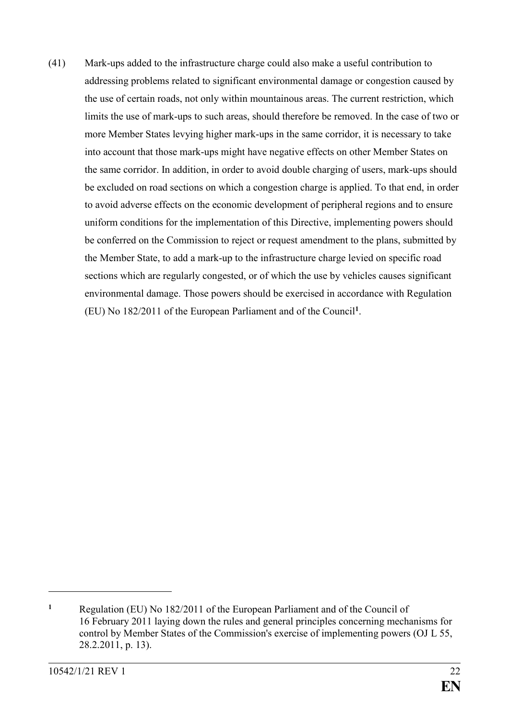(41) Mark-ups added to the infrastructure charge could also make a useful contribution to addressing problems related to significant environmental damage or congestion caused by the use of certain roads, not only within mountainous areas. The current restriction, which limits the use of mark-ups to such areas, should therefore be removed. In the case of two or more Member States levying higher mark-ups in the same corridor, it is necessary to take into account that those mark-ups might have negative effects on other Member States on the same corridor. In addition, in order to avoid double charging of users, mark-ups should be excluded on road sections on which a congestion charge is applied. To that end, in order to avoid adverse effects on the economic development of peripheral regions and to ensure uniform conditions for the implementation of this Directive, implementing powers should be conferred on the Commission to reject or request amendment to the plans, submitted by the Member State, to add a mark-up to the infrastructure charge levied on specific road sections which are regularly congested, or of which the use by vehicles causes significant environmental damage. Those powers should be exercised in accordance with Regulation (EU) No 182/2011 of the European Parliament and of the Council**<sup>1</sup>** .

**<sup>1</sup>** Regulation (EU) No 182/2011 of the European Parliament and of the Council of 16 February 2011 laying down the rules and general principles concerning mechanisms for control by Member States of the Commission's exercise of implementing powers (OJ L 55, 28.2.2011, p. 13).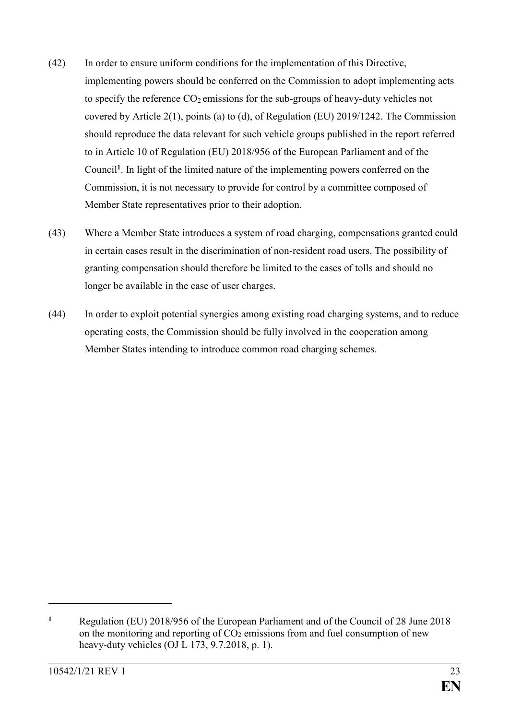- (42) In order to ensure uniform conditions for the implementation of this Directive, implementing powers should be conferred on the Commission to adopt implementing acts to specify the reference  $CO_2$  emissions for the sub-groups of heavy-duty vehicles not covered by Article 2(1), points (a) to (d), of Regulation (EU) 2019/1242. The Commission should reproduce the data relevant for such vehicle groups published in the report referred to in Article 10 of Regulation (EU) 2018/956 of the European Parliament and of the Council**<sup>1</sup>** . In light of the limited nature of the implementing powers conferred on the Commission, it is not necessary to provide for control by a committee composed of Member State representatives prior to their adoption.
- (43) Where a Member State introduces a system of road charging, compensations granted could in certain cases result in the discrimination of non-resident road users. The possibility of granting compensation should therefore be limited to the cases of tolls and should no longer be available in the case of user charges.
- (44) In order to exploit potential synergies among existing road charging systems, and to reduce operating costs, the Commission should be fully involved in the cooperation among Member States intending to introduce common road charging schemes.

**<sup>1</sup>** Regulation (EU) 2018/956 of the European Parliament and of the Council of 28 June 2018 on the monitoring and reporting of  $CO<sub>2</sub>$  emissions from and fuel consumption of new heavy-duty vehicles (OJ L 173, 9.7.2018, p. 1).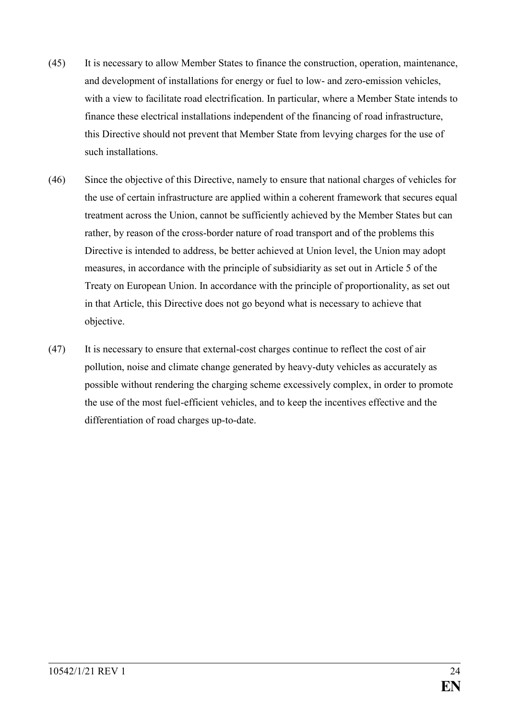- (45) It is necessary to allow Member States to finance the construction, operation, maintenance, and development of installations for energy or fuel to low- and zero-emission vehicles, with a view to facilitate road electrification. In particular, where a Member State intends to finance these electrical installations independent of the financing of road infrastructure, this Directive should not prevent that Member State from levying charges for the use of such installations.
- (46) Since the objective of this Directive, namely to ensure that national charges of vehicles for the use of certain infrastructure are applied within a coherent framework that secures equal treatment across the Union, cannot be sufficiently achieved by the Member States but can rather, by reason of the cross-border nature of road transport and of the problems this Directive is intended to address, be better achieved at Union level, the Union may adopt measures, in accordance with the principle of subsidiarity as set out in Article 5 of the Treaty on European Union. In accordance with the principle of proportionality, as set out in that Article, this Directive does not go beyond what is necessary to achieve that objective.
- (47) It is necessary to ensure that external-cost charges continue to reflect the cost of air pollution, noise and climate change generated by heavy-duty vehicles as accurately as possible without rendering the charging scheme excessively complex, in order to promote the use of the most fuel-efficient vehicles, and to keep the incentives effective and the differentiation of road charges up-to-date.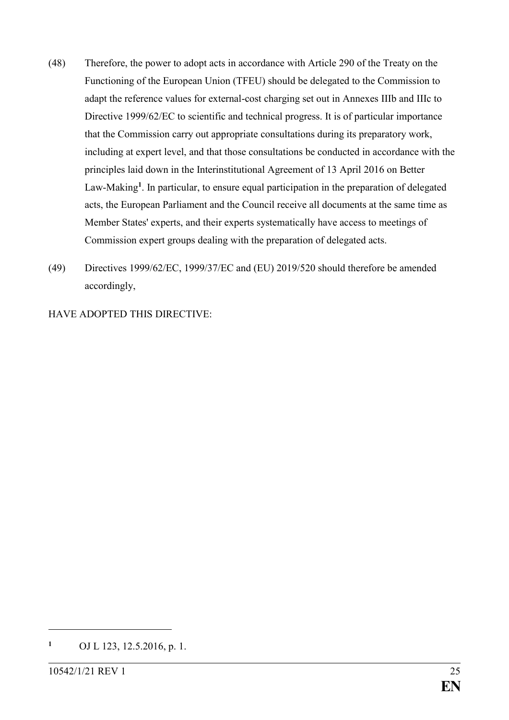- (48) Therefore, the power to adopt acts in accordance with Article 290 of the Treaty on the Functioning of the European Union (TFEU) should be delegated to the Commission to adapt the reference values for external-cost charging set out in Annexes IIIb and IIIc to Directive 1999/62/EC to scientific and technical progress. It is of particular importance that the Commission carry out appropriate consultations during its preparatory work, including at expert level, and that those consultations be conducted in accordance with the principles laid down in the Interinstitutional Agreement of 13 April 2016 on Better Law-Making**<sup>1</sup>** . In particular, to ensure equal participation in the preparation of delegated acts, the European Parliament and the Council receive all documents at the same time as Member States' experts, and their experts systematically have access to meetings of Commission expert groups dealing with the preparation of delegated acts.
- (49) Directives 1999/62/EC, 1999/37/EC and (EU) 2019/520 should therefore be amended accordingly,

HAVE ADOPTED THIS DIRECTIVE:

1

**<sup>1</sup>** OJ L 123, 12.5.2016, p. 1.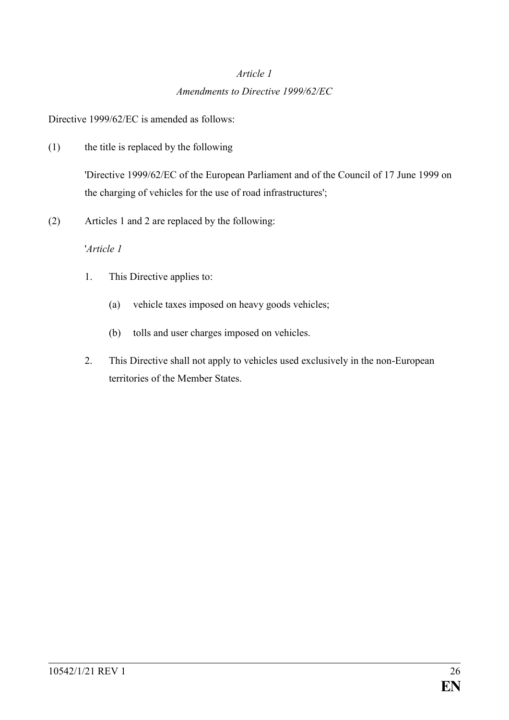# *Article 1 Amendments to Directive 1999/62/EC*

Directive 1999/62/EC is amended as follows:

(1) the title is replaced by the following

'Directive 1999/62/EC of the European Parliament and of the Council of 17 June 1999 on the charging of vehicles for the use of road infrastructures';

(2) Articles 1 and 2 are replaced by the following:

#### '*Article 1*

- 1. This Directive applies to:
	- (a) vehicle taxes imposed on heavy goods vehicles;
	- (b) tolls and user charges imposed on vehicles.
- 2. This Directive shall not apply to vehicles used exclusively in the non-European territories of the Member States.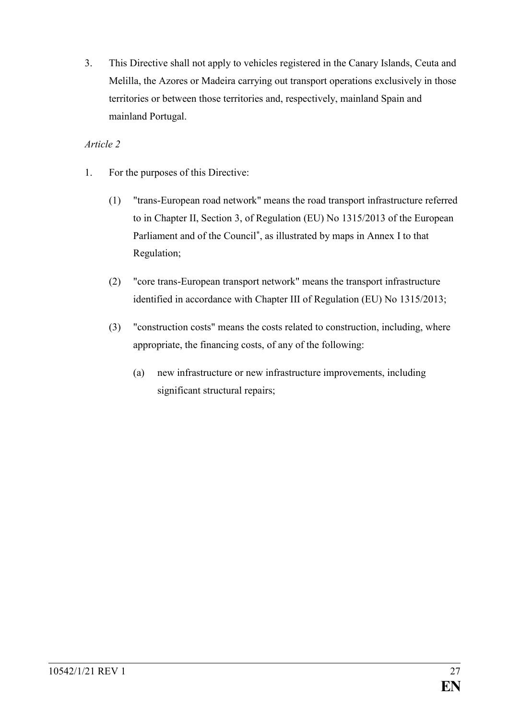3. This Directive shall not apply to vehicles registered in the Canary Islands, Ceuta and Melilla, the Azores or Madeira carrying out transport operations exclusively in those territories or between those territories and, respectively, mainland Spain and mainland Portugal.

### *Article 2*

- 1. For the purposes of this Directive:
	- (1) "trans-European road network" means the road transport infrastructure referred to in Chapter II, Section 3, of Regulation (EU) No 1315/2013 of the European Parliament and of the Council**\*** , as illustrated by maps in Annex I to that Regulation;
	- (2) "core trans-European transport network" means the transport infrastructure identified in accordance with Chapter III of Regulation (EU) No 1315/2013;
	- (3) "construction costs" means the costs related to construction, including, where appropriate, the financing costs, of any of the following:
		- (a) new infrastructure or new infrastructure improvements, including significant structural repairs;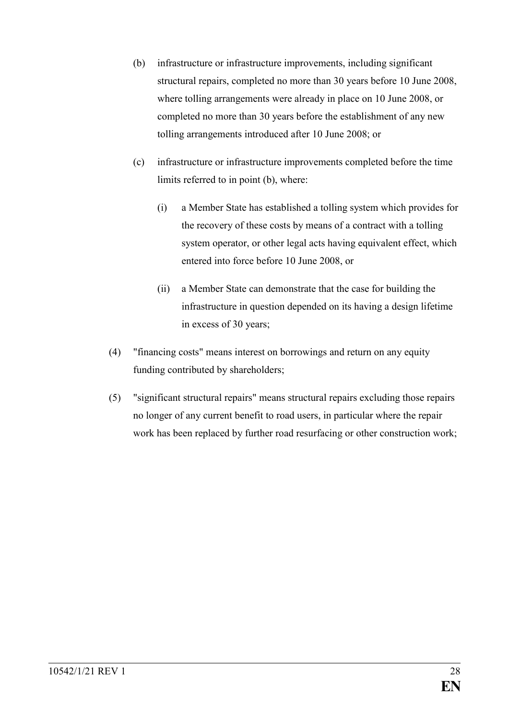- (b) infrastructure or infrastructure improvements, including significant structural repairs, completed no more than 30 years before 10 June 2008, where tolling arrangements were already in place on 10 June 2008, or completed no more than 30 years before the establishment of any new tolling arrangements introduced after 10 June 2008; or
- (c) infrastructure or infrastructure improvements completed before the time limits referred to in point (b), where:
	- (i) a Member State has established a tolling system which provides for the recovery of these costs by means of a contract with a tolling system operator, or other legal acts having equivalent effect, which entered into force before 10 June 2008, or
	- (ii) a Member State can demonstrate that the case for building the infrastructure in question depended on its having a design lifetime in excess of 30 years;
- (4) "financing costs" means interest on borrowings and return on any equity funding contributed by shareholders;
- (5) "significant structural repairs" means structural repairs excluding those repairs no longer of any current benefit to road users, in particular where the repair work has been replaced by further road resurfacing or other construction work;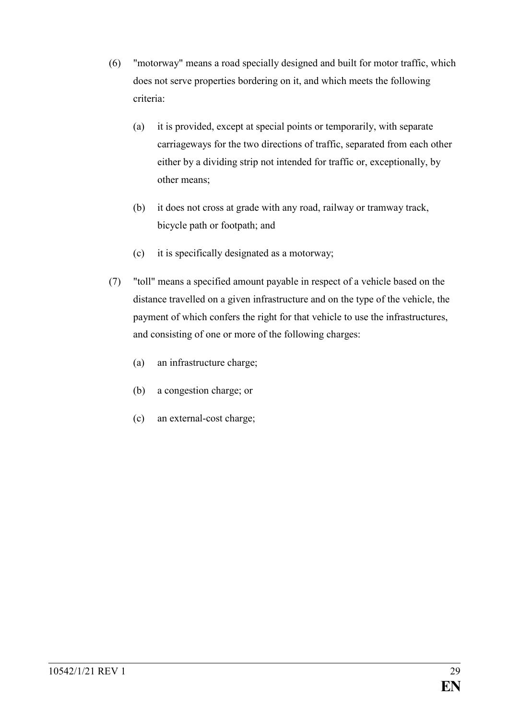- (6) "motorway" means a road specially designed and built for motor traffic, which does not serve properties bordering on it, and which meets the following criteria:
	- (a) it is provided, except at special points or temporarily, with separate carriageways for the two directions of traffic, separated from each other either by a dividing strip not intended for traffic or, exceptionally, by other means;
	- (b) it does not cross at grade with any road, railway or tramway track, bicycle path or footpath; and
	- (c) it is specifically designated as a motorway;
- (7) "toll" means a specified amount payable in respect of a vehicle based on the distance travelled on a given infrastructure and on the type of the vehicle, the payment of which confers the right for that vehicle to use the infrastructures, and consisting of one or more of the following charges:
	- (a) an infrastructure charge;
	- (b) a congestion charge; or
	- (c) an external-cost charge;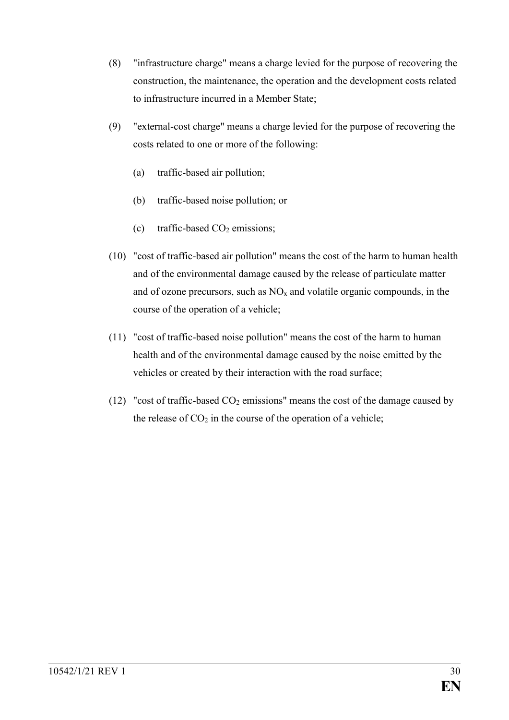- (8) "infrastructure charge" means a charge levied for the purpose of recovering the construction, the maintenance, the operation and the development costs related to infrastructure incurred in a Member State;
- (9) "external-cost charge" means a charge levied for the purpose of recovering the costs related to one or more of the following:
	- (a) traffic-based air pollution;
	- (b) traffic-based noise pollution; or
	- (c) traffic-based  $CO<sub>2</sub>$  emissions;
- (10) "cost of traffic-based air pollution" means the cost of the harm to human health and of the environmental damage caused by the release of particulate matter and of ozone precursors, such as  $NO<sub>x</sub>$  and volatile organic compounds, in the course of the operation of a vehicle;
- (11) "cost of traffic-based noise pollution" means the cost of the harm to human health and of the environmental damage caused by the noise emitted by the vehicles or created by their interaction with the road surface;
- (12) "cost of traffic-based  $CO<sub>2</sub>$  emissions" means the cost of the damage caused by the release of  $CO<sub>2</sub>$  in the course of the operation of a vehicle;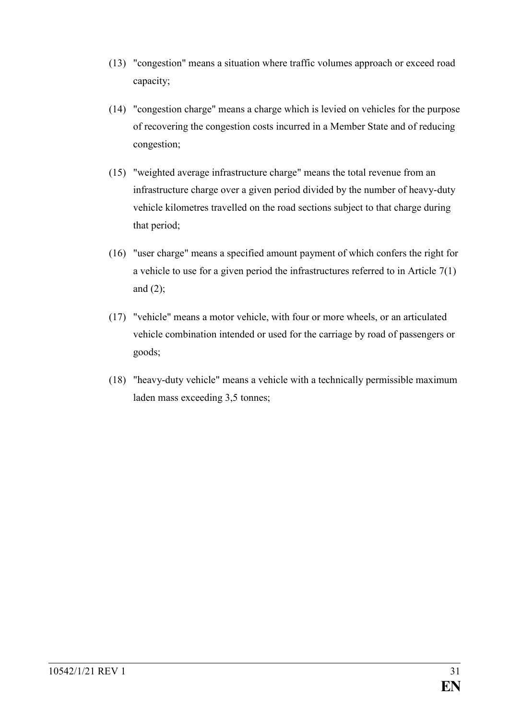- (13) "congestion" means a situation where traffic volumes approach or exceed road capacity;
- (14) "congestion charge" means a charge which is levied on vehicles for the purpose of recovering the congestion costs incurred in a Member State and of reducing congestion;
- (15) "weighted average infrastructure charge" means the total revenue from an infrastructure charge over a given period divided by the number of heavy-duty vehicle kilometres travelled on the road sections subject to that charge during that period;
- (16) "user charge" means a specified amount payment of which confers the right for a vehicle to use for a given period the infrastructures referred to in Article 7(1) and  $(2)$ ;
- (17) "vehicle" means a motor vehicle, with four or more wheels, or an articulated vehicle combination intended or used for the carriage by road of passengers or goods;
- (18) "heavy-duty vehicle" means a vehicle with a technically permissible maximum laden mass exceeding 3,5 tonnes;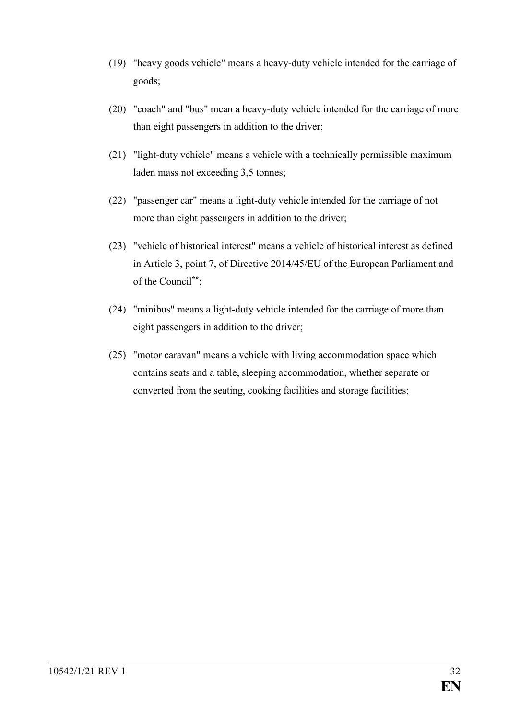- (19) "heavy goods vehicle" means a heavy-duty vehicle intended for the carriage of goods;
- (20) "coach" and "bus" mean a heavy-duty vehicle intended for the carriage of more than eight passengers in addition to the driver;
- (21) "light-duty vehicle" means a vehicle with a technically permissible maximum laden mass not exceeding 3,5 tonnes;
- (22) "passenger car" means a light-duty vehicle intended for the carriage of not more than eight passengers in addition to the driver;
- (23) "vehicle of historical interest" means a vehicle of historical interest as defined in Article 3, point 7, of Directive 2014/45/EU of the European Parliament and of the Council**\*\***;
- (24) "minibus" means a light-duty vehicle intended for the carriage of more than eight passengers in addition to the driver;
- (25) "motor caravan" means a vehicle with living accommodation space which contains seats and a table, sleeping accommodation, whether separate or converted from the seating, cooking facilities and storage facilities;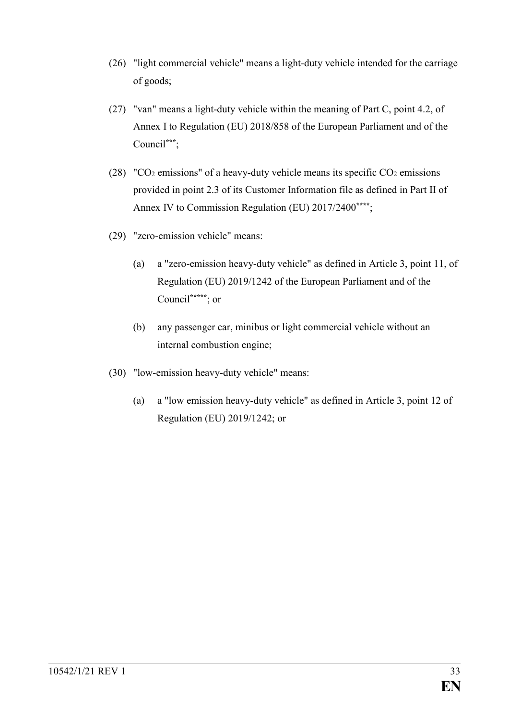- (26) "light commercial vehicle" means a light-duty vehicle intended for the carriage of goods;
- (27) "van" means a light-duty vehicle within the meaning of Part C, point 4.2, of Annex I to Regulation (EU) 2018/858 of the European Parliament and of the Council**\*\*\***;
- (28) "CO<sub>2</sub> emissions" of a heavy-duty vehicle means its specific CO<sub>2</sub> emissions provided in point 2.3 of its Customer Information file as defined in Part II of Annex IV to Commission Regulation (EU) 2017/2400**\*\*\*\***;
- (29) "zero-emission vehicle" means:
	- (a) a "zero-emission heavy-duty vehicle" as defined in Article 3, point 11, of Regulation (EU) 2019/1242 of the European Parliament and of the Council**\*\*\*\*\***; or
	- (b) any passenger car, minibus or light commercial vehicle without an internal combustion engine;
- (30) "low-emission heavy-duty vehicle" means:
	- (a) a "low emission heavy-duty vehicle" as defined in Article 3, point 12 of Regulation (EU) 2019/1242; or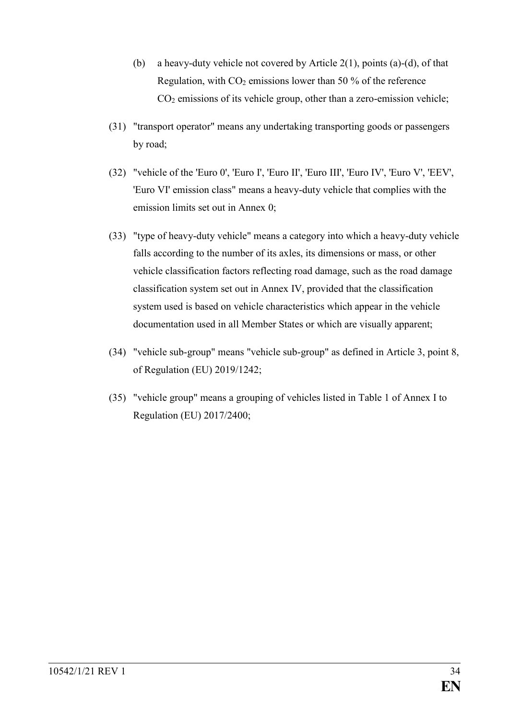- (b) a heavy-duty vehicle not covered by Article  $2(1)$ , points (a)-(d), of that Regulation, with  $CO<sub>2</sub>$  emissions lower than 50 % of the reference CO<sup>2</sup> emissions of its vehicle group, other than a zero-emission vehicle;
- (31) "transport operator" means any undertaking transporting goods or passengers by road;
- (32) "vehicle of the 'Euro 0', 'Euro I', 'Euro II', 'Euro III', 'Euro IV', 'Euro V', 'EEV', 'Euro VI' emission class" means a heavy-duty vehicle that complies with the emission limits set out in Annex 0;
- (33) "type of heavy-duty vehicle" means a category into which a heavy-duty vehicle falls according to the number of its axles, its dimensions or mass, or other vehicle classification factors reflecting road damage, such as the road damage classification system set out in Annex IV, provided that the classification system used is based on vehicle characteristics which appear in the vehicle documentation used in all Member States or which are visually apparent;
- (34) "vehicle sub-group" means "vehicle sub-group" as defined in Article 3, point 8, of Regulation (EU) 2019/1242;
- (35) "vehicle group" means a grouping of vehicles listed in Table 1 of Annex I to Regulation (EU) 2017/2400;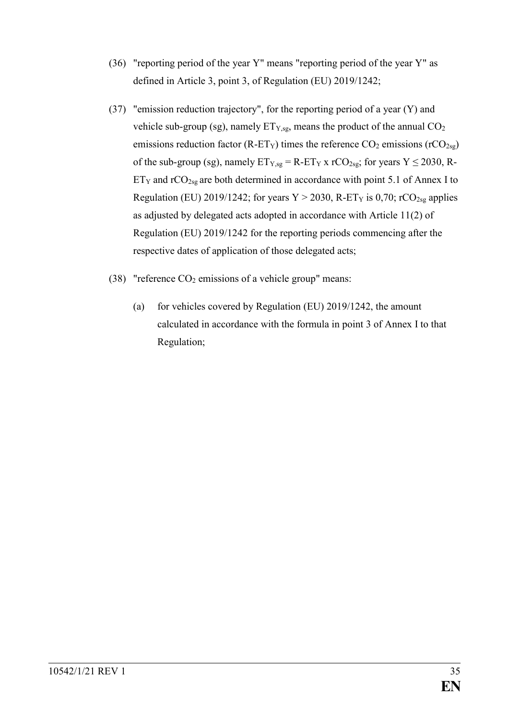- (36) "reporting period of the year Y" means "reporting period of the year Y" as defined in Article 3, point 3, of Regulation (EU) 2019/1242;
- (37) "emission reduction trajectory", for the reporting period of a year (Y) and vehicle sub-group (sg), namely  $ET_{Y,sg}$ , means the product of the annual  $CO<sub>2</sub>$ emissions reduction factor (R-ET<sub>Y</sub>) times the reference  $CO_2$  emissions (rCO<sub>2sg</sub>) of the sub-group (sg), namely  $ET_{Y,sg} = R - ET_Y x rCO_{2sg}$ ; for years  $Y \le 2030$ , R- $ET_Y$  and  $rCO_{2sg}$  are both determined in accordance with point 5.1 of Annex I to Regulation (EU) 2019/1242; for years  $Y > 2030$ , R-ET<sub>Y</sub> is 0,70; rCO<sub>2sg</sub> applies as adjusted by delegated acts adopted in accordance with Article 11(2) of Regulation (EU) 2019/1242 for the reporting periods commencing after the respective dates of application of those delegated acts;
- (38) "reference  $CO<sub>2</sub>$  emissions of a vehicle group" means:
	- (a) for vehicles covered by Regulation (EU) 2019/1242, the amount calculated in accordance with the formula in point 3 of Annex I to that Regulation;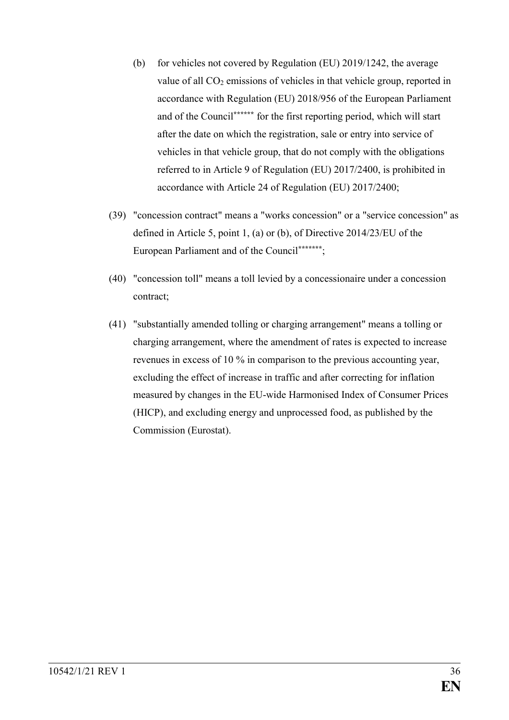- (b) for vehicles not covered by Regulation (EU) 2019/1242, the average value of all  $CO<sub>2</sub>$  emissions of vehicles in that vehicle group, reported in accordance with Regulation (EU) 2018/956 of the European Parliament and of the Council**\*\*\*\*\*\*** for the first reporting period, which will start after the date on which the registration, sale or entry into service of vehicles in that vehicle group, that do not comply with the obligations referred to in Article 9 of Regulation (EU) 2017/2400, is prohibited in accordance with Article 24 of Regulation (EU) 2017/2400;
- (39) "concession contract" means a "works concession" or a "service concession" as defined in Article 5, point 1, (a) or (b), of Directive 2014/23/EU of the European Parliament and of the Council**\*\*\*\*\*\*\***;
- (40) "concession toll" means a toll levied by a concessionaire under a concession contract;
- (41) "substantially amended tolling or charging arrangement" means a tolling or charging arrangement, where the amendment of rates is expected to increase revenues in excess of 10 % in comparison to the previous accounting year, excluding the effect of increase in traffic and after correcting for inflation measured by changes in the EU-wide Harmonised Index of Consumer Prices (HICP), and excluding energy and unprocessed food, as published by the Commission (Eurostat).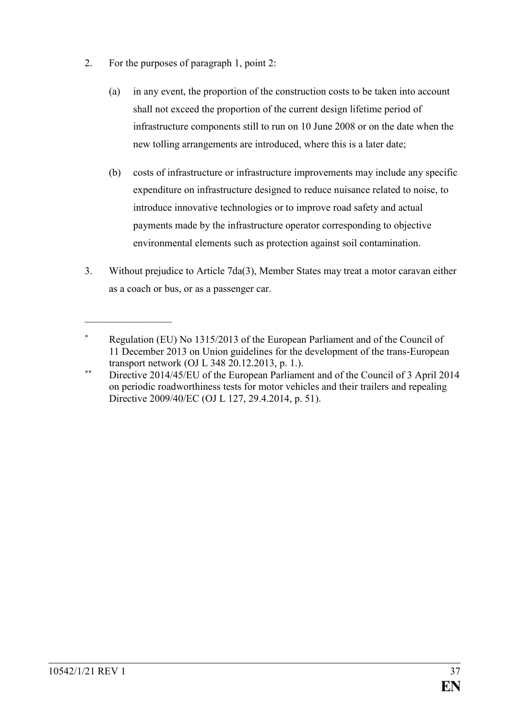2. For the purposes of paragraph 1, point 2:

 $\mathcal{L}_\text{max}$  , where  $\mathcal{L}_\text{max}$ 

- (a) in any event, the proportion of the construction costs to be taken into account shall not exceed the proportion of the current design lifetime period of infrastructure components still to run on 10 June 2008 or on the date when the new tolling arrangements are introduced, where this is a later date;
- (b) costs of infrastructure or infrastructure improvements may include any specific expenditure on infrastructure designed to reduce nuisance related to noise, to introduce innovative technologies or to improve road safety and actual payments made by the infrastructure operator corresponding to objective environmental elements such as protection against soil contamination.
- 3. Without prejudice to Article 7da(3), Member States may treat a motor caravan either as a coach or bus, or as a passenger car.

**<sup>\*</sup>** Regulation (EU) No 1315/2013 of the European Parliament and of the Council of 11 December 2013 on Union guidelines for the development of the trans-European transport network (OJ L 348 20.12.2013, p. 1.).

**<sup>\*\*</sup>** Directive 2014/45/EU of the European Parliament and of the Council of 3 April 2014 on periodic roadworthiness tests for motor vehicles and their trailers and repealing Directive 2009/40/EC (OJ L 127, 29.4.2014, p. 51).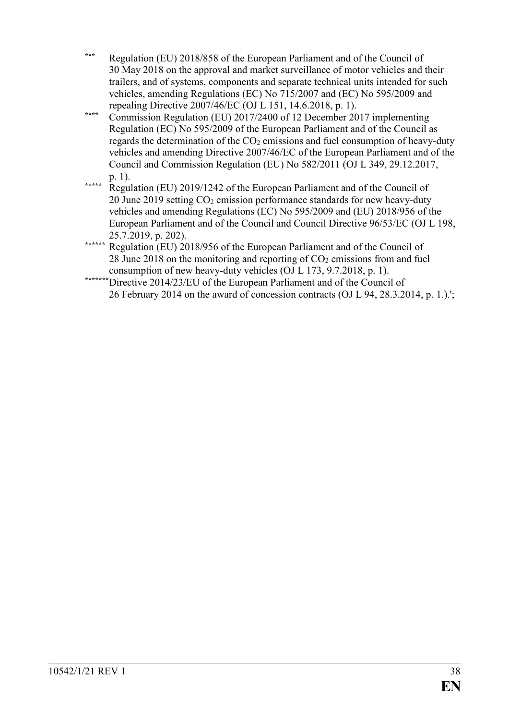- **\*\*\*** Regulation (EU) 2018/858 of the European Parliament and of the Council of 30 May 2018 on the approval and market surveillance of motor vehicles and their trailers, and of systems, components and separate technical units intended for such vehicles, amending Regulations (EC) No 715/2007 and (EC) No 595/2009 and repealing Directive 2007/46/EC (OJ L 151, 14.6.2018, p. 1).
- **\*\*\*\*** Commission Regulation (EU) 2017/2400 of 12 December 2017 implementing Regulation (EC) No 595/2009 of the European Parliament and of the Council as regards the determination of the  $CO<sub>2</sub>$  emissions and fuel consumption of heavy-duty vehicles and amending Directive 2007/46/EC of the European Parliament and of the Council and Commission Regulation (EU) No 582/2011 (OJ L 349, 29.12.2017, p. 1).
- **\*\*\*\*\*** Regulation (EU) 2019/1242 of the European Parliament and of the Council of 20 June 2019 setting CO<sup>2</sup> emission performance standards for new heavy-duty vehicles and amending Regulations (EC) No 595/2009 and (EU) 2018/956 of the European Parliament and of the Council and Council Directive 96/53/EC (OJ L 198, 25.7.2019, p. 202).
- **\*\*\*\*\*\*** Regulation (EU) 2018/956 of the European Parliament and of the Council of 28 June 2018 on the monitoring and reporting of  $CO<sub>2</sub>$  emissions from and fuel consumption of new heavy-duty vehicles (OJ L 173, 9.7.2018, p. 1).
- \*\*\*\*\*\*\*\*Directive 2014/23/EU of the European Parliament and of the Council of 26 February 2014 on the award of concession contracts (OJ L 94, 28.3.2014, p. 1.).';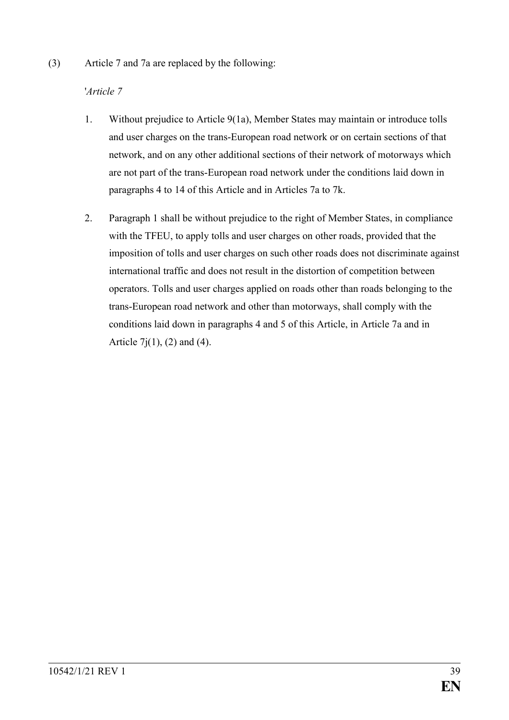(3) Article 7 and 7a are replaced by the following:

# '*Article 7*

- 1. Without prejudice to Article 9(1a), Member States may maintain or introduce tolls and user charges on the trans-European road network or on certain sections of that network, and on any other additional sections of their network of motorways which are not part of the trans-European road network under the conditions laid down in paragraphs 4 to 14 of this Article and in Articles 7a to 7k.
- 2. Paragraph 1 shall be without prejudice to the right of Member States, in compliance with the TFEU, to apply tolls and user charges on other roads, provided that the imposition of tolls and user charges on such other roads does not discriminate against international traffic and does not result in the distortion of competition between operators. Tolls and user charges applied on roads other than roads belonging to the trans-European road network and other than motorways, shall comply with the conditions laid down in paragraphs 4 and 5 of this Article, in Article 7a and in Article 7 $j(1)$ , (2) and (4).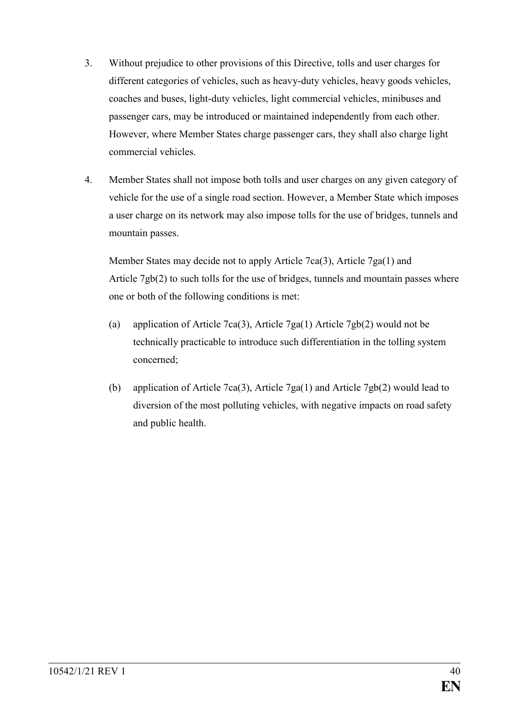- 3. Without prejudice to other provisions of this Directive, tolls and user charges for different categories of vehicles, such as heavy-duty vehicles, heavy goods vehicles, coaches and buses, light-duty vehicles, light commercial vehicles, minibuses and passenger cars, may be introduced or maintained independently from each other. However, where Member States charge passenger cars, they shall also charge light commercial vehicles.
- 4. Member States shall not impose both tolls and user charges on any given category of vehicle for the use of a single road section. However, a Member State which imposes a user charge on its network may also impose tolls for the use of bridges, tunnels and mountain passes.

Member States may decide not to apply Article 7ca(3), Article 7ga(1) and Article 7gb(2) to such tolls for the use of bridges, tunnels and mountain passes where one or both of the following conditions is met:

- (a) application of Article 7ca(3), Article 7ga(1) Article 7gb(2) would not be technically practicable to introduce such differentiation in the tolling system concerned;
- (b) application of Article 7ca(3), Article 7ga(1) and Article 7gb(2) would lead to diversion of the most polluting vehicles, with negative impacts on road safety and public health.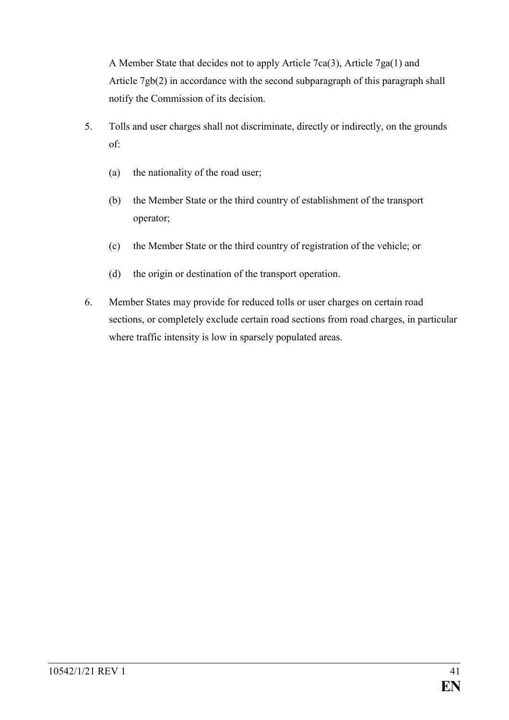A Member State that decides not to apply Article 7ca(3), Article 7ga(1) and Article 7gb(2) in accordance with the second subparagraph of this paragraph shall notify the Commission of its decision.

- 5. Tolls and user charges shall not discriminate, directly or indirectly, on the grounds of:
	- (a) the nationality of the road user;
	- (b) the Member State or the third country of establishment of the transport operator;
	- (c) the Member State or the third country of registration of the vehicle; or
	- (d) the origin or destination of the transport operation.
- 6. Member States may provide for reduced tolls or user charges on certain road sections, or completely exclude certain road sections from road charges, in particular where traffic intensity is low in sparsely populated areas.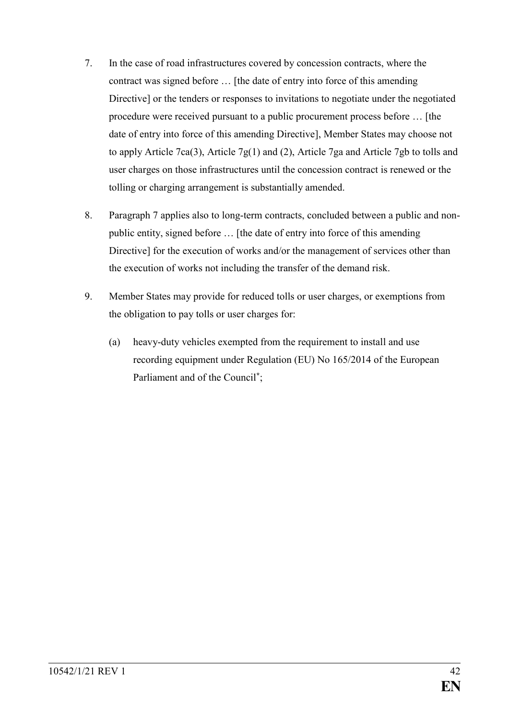- 7. In the case of road infrastructures covered by concession contracts, where the contract was signed before … [the date of entry into force of this amending Directive] or the tenders or responses to invitations to negotiate under the negotiated procedure were received pursuant to a public procurement process before … [the date of entry into force of this amending Directive], Member States may choose not to apply Article 7ca(3), Article 7g(1) and (2), Article 7ga and Article 7gb to tolls and user charges on those infrastructures until the concession contract is renewed or the tolling or charging arrangement is substantially amended.
- 8. Paragraph 7 applies also to long-term contracts, concluded between a public and nonpublic entity, signed before … [the date of entry into force of this amending Directive] for the execution of works and/or the management of services other than the execution of works not including the transfer of the demand risk.
- 9. Member States may provide for reduced tolls or user charges, or exemptions from the obligation to pay tolls or user charges for:
	- (a) heavy-duty vehicles exempted from the requirement to install and use recording equipment under Regulation (EU) No 165/2014 of the European Parliament and of the Council**\*** ;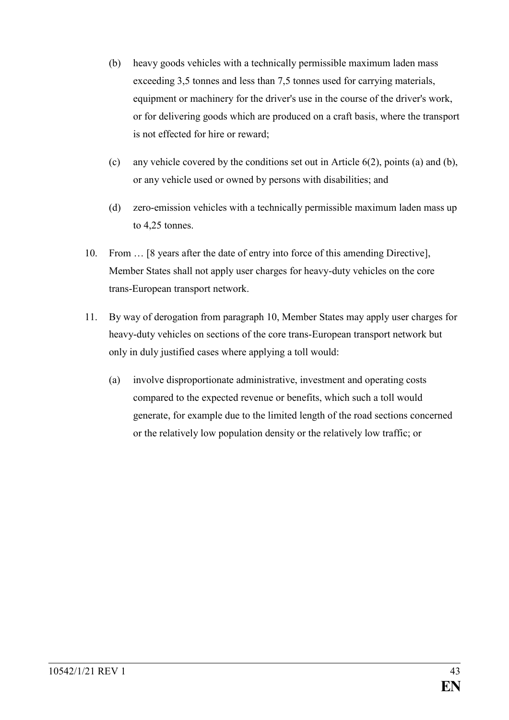- (b) heavy goods vehicles with a technically permissible maximum laden mass exceeding 3,5 tonnes and less than 7,5 tonnes used for carrying materials, equipment or machinery for the driver's use in the course of the driver's work, or for delivering goods which are produced on a craft basis, where the transport is not effected for hire or reward;
- (c) any vehicle covered by the conditions set out in Article 6(2), points (a) and (b), or any vehicle used or owned by persons with disabilities; and
- (d) zero-emission vehicles with a technically permissible maximum laden mass up to 4,25 tonnes.
- 10. From … [8 years after the date of entry into force of this amending Directive], Member States shall not apply user charges for heavy-duty vehicles on the core trans-European transport network.
- 11. By way of derogation from paragraph 10, Member States may apply user charges for heavy-duty vehicles on sections of the core trans-European transport network but only in duly justified cases where applying a toll would:
	- (a) involve disproportionate administrative, investment and operating costs compared to the expected revenue or benefits, which such a toll would generate, for example due to the limited length of the road sections concerned or the relatively low population density or the relatively low traffic; or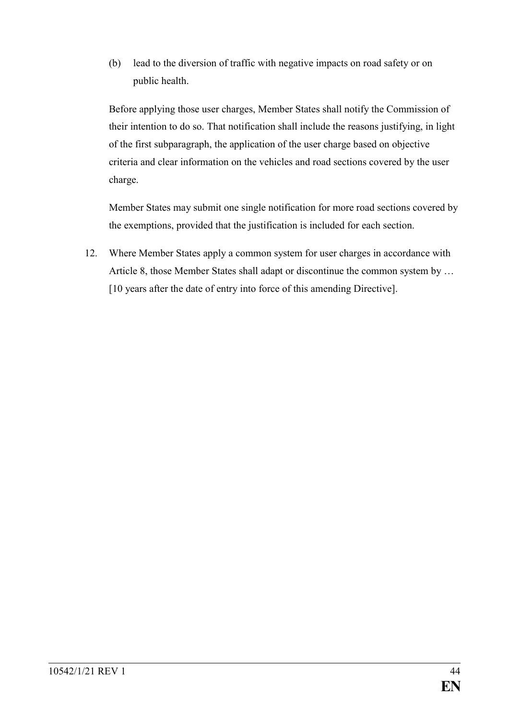(b) lead to the diversion of traffic with negative impacts on road safety or on public health.

Before applying those user charges, Member States shall notify the Commission of their intention to do so. That notification shall include the reasons justifying, in light of the first subparagraph, the application of the user charge based on objective criteria and clear information on the vehicles and road sections covered by the user charge.

Member States may submit one single notification for more road sections covered by the exemptions, provided that the justification is included for each section.

12. Where Member States apply a common system for user charges in accordance with Article 8, those Member States shall adapt or discontinue the common system by … [10 years after the date of entry into force of this amending Directive].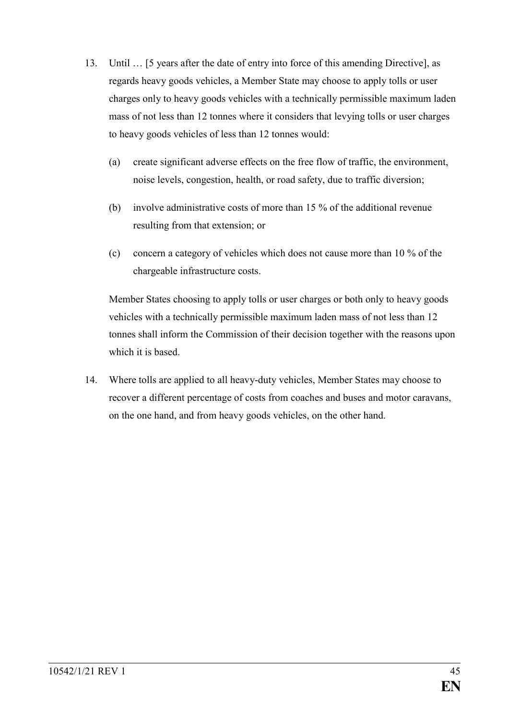- 13. Until … [5 years after the date of entry into force of this amending Directive], as regards heavy goods vehicles, a Member State may choose to apply tolls or user charges only to heavy goods vehicles with a technically permissible maximum laden mass of not less than 12 tonnes where it considers that levying tolls or user charges to heavy goods vehicles of less than 12 tonnes would:
	- (a) create significant adverse effects on the free flow of traffic, the environment, noise levels, congestion, health, or road safety, due to traffic diversion;
	- (b) involve administrative costs of more than 15 % of the additional revenue resulting from that extension; or
	- (c) concern a category of vehicles which does not cause more than 10 % of the chargeable infrastructure costs.

Member States choosing to apply tolls or user charges or both only to heavy goods vehicles with a technically permissible maximum laden mass of not less than 12 tonnes shall inform the Commission of their decision together with the reasons upon which it is based.

14. Where tolls are applied to all heavy-duty vehicles, Member States may choose to recover a different percentage of costs from coaches and buses and motor caravans, on the one hand, and from heavy goods vehicles, on the other hand.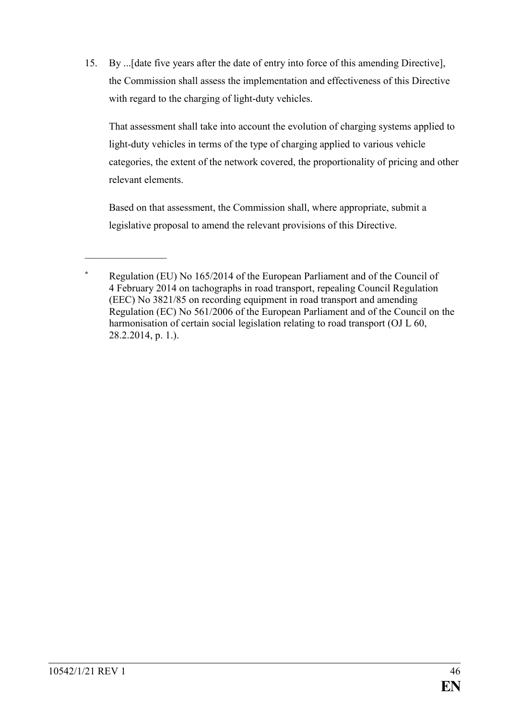15. By ...[date five years after the date of entry into force of this amending Directive], the Commission shall assess the implementation and effectiveness of this Directive with regard to the charging of light-duty vehicles.

That assessment shall take into account the evolution of charging systems applied to light-duty vehicles in terms of the type of charging applied to various vehicle categories, the extent of the network covered, the proportionality of pricing and other relevant elements.

Based on that assessment, the Commission shall, where appropriate, submit a legislative proposal to amend the relevant provisions of this Directive.

 $\frac{1}{2}$ 

**<sup>\*</sup>** Regulation (EU) No 165/2014 of the European Parliament and of the Council of 4 February 2014 on tachographs in road transport, repealing Council Regulation (EEC) No 3821/85 on recording equipment in road transport and amending Regulation (EC) No 561/2006 of the European Parliament and of the Council on the harmonisation of certain social legislation relating to road transport (OJ L 60, 28.2.2014, p. 1.).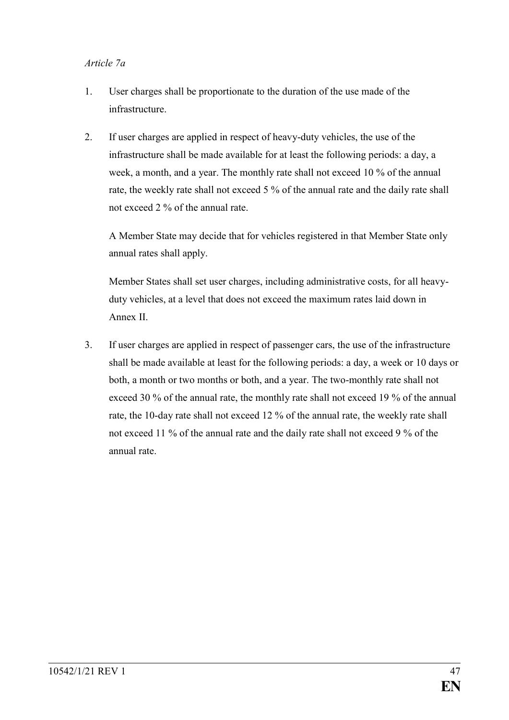#### *Article 7a*

- 1. User charges shall be proportionate to the duration of the use made of the infrastructure.
- 2. If user charges are applied in respect of heavy-duty vehicles, the use of the infrastructure shall be made available for at least the following periods: a day, a week, a month, and a year. The monthly rate shall not exceed 10 % of the annual rate, the weekly rate shall not exceed 5 % of the annual rate and the daily rate shall not exceed 2 % of the annual rate.

A Member State may decide that for vehicles registered in that Member State only annual rates shall apply.

Member States shall set user charges, including administrative costs, for all heavyduty vehicles, at a level that does not exceed the maximum rates laid down in Annex II.

3. If user charges are applied in respect of passenger cars, the use of the infrastructure shall be made available at least for the following periods: a day, a week or 10 days or both, a month or two months or both, and a year. The two-monthly rate shall not exceed 30 % of the annual rate, the monthly rate shall not exceed 19 % of the annual rate, the 10-day rate shall not exceed 12 % of the annual rate, the weekly rate shall not exceed 11 % of the annual rate and the daily rate shall not exceed 9 % of the annual rate.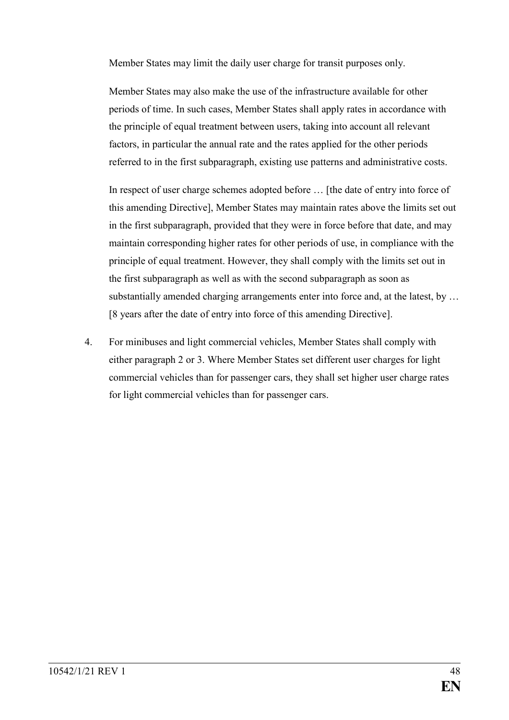Member States may limit the daily user charge for transit purposes only.

Member States may also make the use of the infrastructure available for other periods of time. In such cases, Member States shall apply rates in accordance with the principle of equal treatment between users, taking into account all relevant factors, in particular the annual rate and the rates applied for the other periods referred to in the first subparagraph, existing use patterns and administrative costs.

In respect of user charge schemes adopted before … [the date of entry into force of this amending Directive], Member States may maintain rates above the limits set out in the first subparagraph, provided that they were in force before that date, and may maintain corresponding higher rates for other periods of use, in compliance with the principle of equal treatment. However, they shall comply with the limits set out in the first subparagraph as well as with the second subparagraph as soon as substantially amended charging arrangements enter into force and, at the latest, by ... [8 years after the date of entry into force of this amending Directive].

4. For minibuses and light commercial vehicles, Member States shall comply with either paragraph 2 or 3. Where Member States set different user charges for light commercial vehicles than for passenger cars, they shall set higher user charge rates for light commercial vehicles than for passenger cars.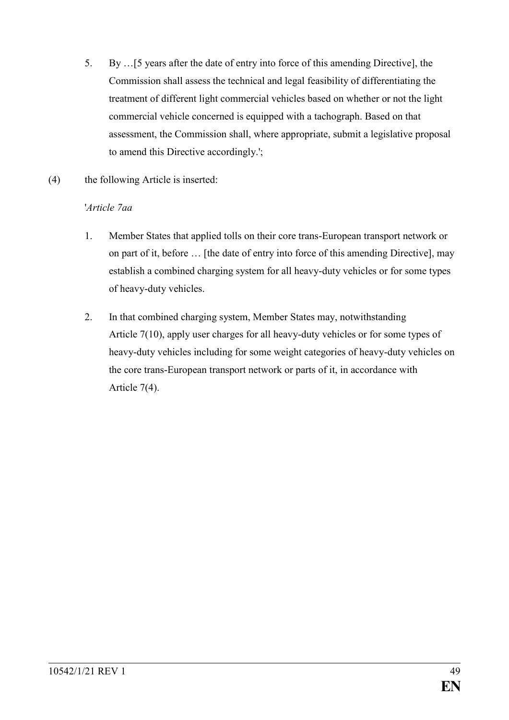- 5. By …[5 years after the date of entry into force of this amending Directive], the Commission shall assess the technical and legal feasibility of differentiating the treatment of different light commercial vehicles based on whether or not the light commercial vehicle concerned is equipped with a tachograph. Based on that assessment, the Commission shall, where appropriate, submit a legislative proposal to amend this Directive accordingly.';
- (4) the following Article is inserted:

## '*Article 7aa*

- 1. Member States that applied tolls on their core trans-European transport network or on part of it, before … [the date of entry into force of this amending Directive], may establish a combined charging system for all heavy-duty vehicles or for some types of heavy-duty vehicles.
- 2. In that combined charging system, Member States may, notwithstanding Article 7(10), apply user charges for all heavy-duty vehicles or for some types of heavy-duty vehicles including for some weight categories of heavy-duty vehicles on the core trans-European transport network or parts of it, in accordance with Article 7(4).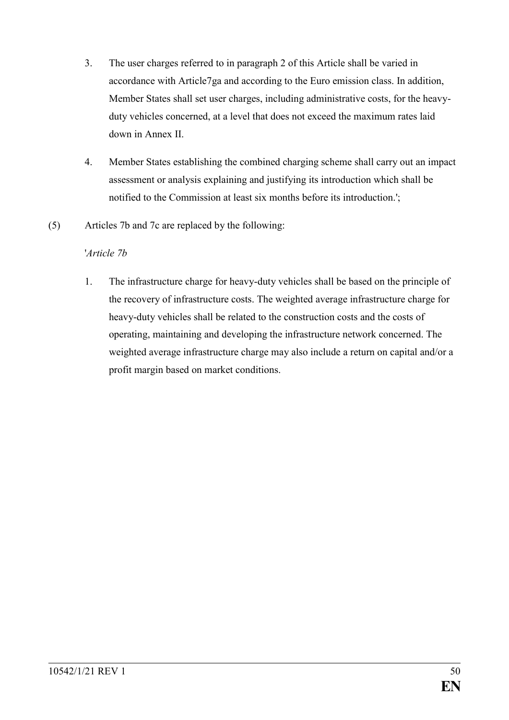- 3. The user charges referred to in paragraph 2 of this Article shall be varied in accordance with Article7ga and according to the Euro emission class. In addition, Member States shall set user charges, including administrative costs, for the heavyduty vehicles concerned, at a level that does not exceed the maximum rates laid down in Annex II.
- 4. Member States establishing the combined charging scheme shall carry out an impact assessment or analysis explaining and justifying its introduction which shall be notified to the Commission at least six months before its introduction.';
- (5) Articles 7b and 7c are replaced by the following:

#### '*Article 7b*

1. The infrastructure charge for heavy-duty vehicles shall be based on the principle of the recovery of infrastructure costs. The weighted average infrastructure charge for heavy-duty vehicles shall be related to the construction costs and the costs of operating, maintaining and developing the infrastructure network concerned. The weighted average infrastructure charge may also include a return on capital and/or a profit margin based on market conditions.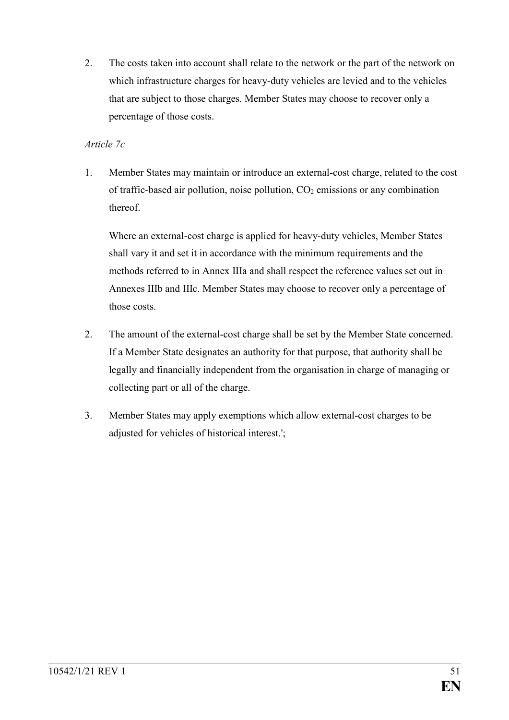2. The costs taken into account shall relate to the network or the part of the network on which infrastructure charges for heavy-duty vehicles are levied and to the vehicles that are subject to those charges. Member States may choose to recover only a percentage of those costs.

## *Article 7c*

1. Member States may maintain or introduce an external-cost charge, related to the cost of traffic-based air pollution, noise pollution,  $CO<sub>2</sub>$  emissions or any combination thereof.

Where an external-cost charge is applied for heavy-duty vehicles, Member States shall vary it and set it in accordance with the minimum requirements and the methods referred to in Annex IIIa and shall respect the reference values set out in Annexes IIIb and IIIc. Member States may choose to recover only a percentage of those costs.

- 2. The amount of the external-cost charge shall be set by the Member State concerned. If a Member State designates an authority for that purpose, that authority shall be legally and financially independent from the organisation in charge of managing or collecting part or all of the charge.
- 3. Member States may apply exemptions which allow external-cost charges to be adjusted for vehicles of historical interest.';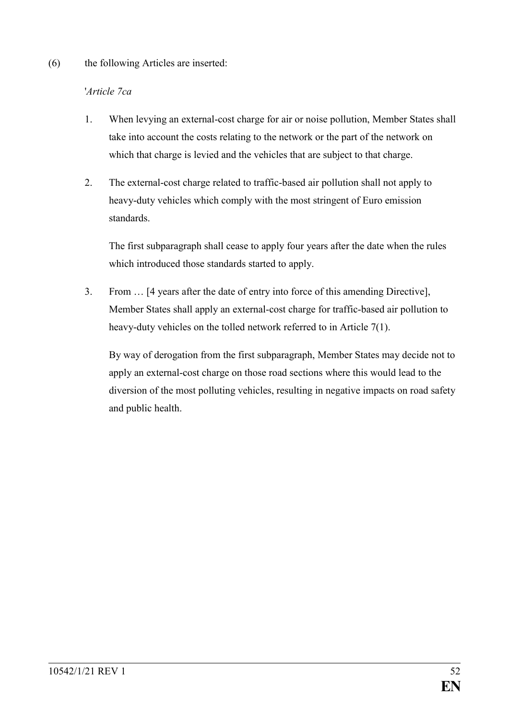#### (6) the following Articles are inserted:

#### '*Article 7ca*

- 1. When levying an external-cost charge for air or noise pollution, Member States shall take into account the costs relating to the network or the part of the network on which that charge is levied and the vehicles that are subject to that charge.
- 2. The external-cost charge related to traffic-based air pollution shall not apply to heavy-duty vehicles which comply with the most stringent of Euro emission standards.

The first subparagraph shall cease to apply four years after the date when the rules which introduced those standards started to apply.

3. From … [4 years after the date of entry into force of this amending Directive], Member States shall apply an external-cost charge for traffic-based air pollution to heavy-duty vehicles on the tolled network referred to in Article 7(1).

By way of derogation from the first subparagraph, Member States may decide not to apply an external-cost charge on those road sections where this would lead to the diversion of the most polluting vehicles, resulting in negative impacts on road safety and public health.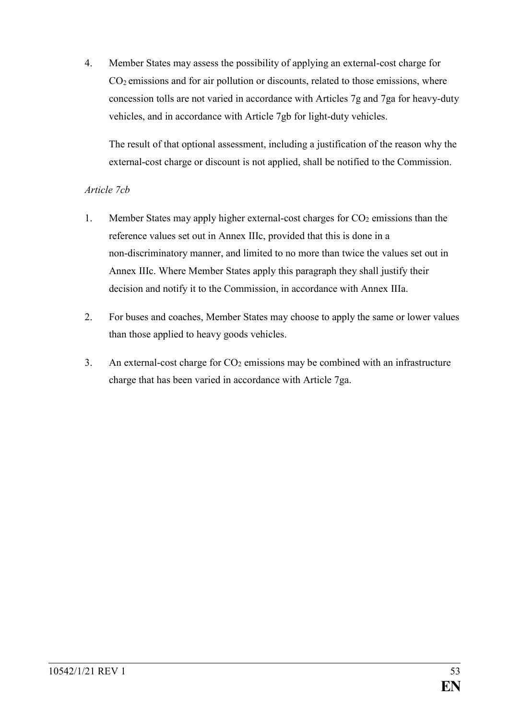4. Member States may assess the possibility of applying an external-cost charge for  $CO<sub>2</sub>$  emissions and for air pollution or discounts, related to those emissions, where concession tolls are not varied in accordance with Articles 7g and 7ga for heavy-duty vehicles, and in accordance with Article 7gb for light-duty vehicles.

The result of that optional assessment, including a justification of the reason why the external-cost charge or discount is not applied, shall be notified to the Commission.

## *Article 7cb*

- 1. Member States may apply higher external-cost charges for  $CO<sub>2</sub>$  emissions than the reference values set out in Annex IIIc, provided that this is done in a non-discriminatory manner, and limited to no more than twice the values set out in Annex IIIc. Where Member States apply this paragraph they shall justify their decision and notify it to the Commission, in accordance with Annex IIIa.
- 2. For buses and coaches, Member States may choose to apply the same or lower values than those applied to heavy goods vehicles.
- 3. An external-cost charge for  $CO<sub>2</sub>$  emissions may be combined with an infrastructure charge that has been varied in accordance with Article 7ga.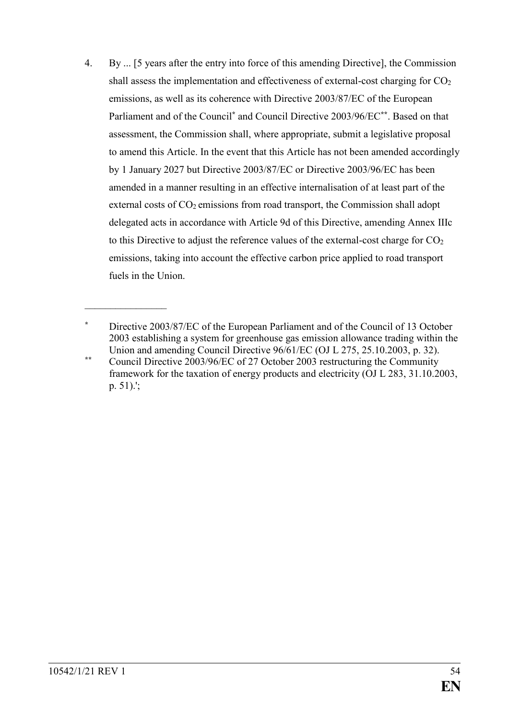4. By ... [5 years after the entry into force of this amending Directive], the Commission shall assess the implementation and effectiveness of external-cost charging for  $CO<sub>2</sub>$ emissions, as well as its coherence with Directive 2003/87/EC of the European Parliament and of the Council**\*** and Council Directive 2003/96/EC**\*\***. Based on that assessment, the Commission shall, where appropriate, submit a legislative proposal to amend this Article. In the event that this Article has not been amended accordingly by 1 January 2027 but Directive 2003/87/EC or Directive 2003/96/EC has been amended in a manner resulting in an effective internalisation of at least part of the external costs of CO<sub>2</sub> emissions from road transport, the Commission shall adopt delegated acts in accordance with Article 9d of this Directive, amending Annex IIIc to this Directive to adjust the reference values of the external-cost charge for  $CO<sub>2</sub>$ emissions, taking into account the effective carbon price applied to road transport fuels in the Union.

 $\frac{1}{2}$ 

**<sup>\*</sup>** Directive 2003/87/EC of the European Parliament and of the Council of 13 October 2003 establishing a system for greenhouse gas emission allowance trading within the Union and amending Council Directive 96/61/EC (OJ L 275, 25.10.2003, p. 32).

**<sup>\*\*</sup>** Council Directive 2003/96/EC of 27 October 2003 restructuring the Community framework for the taxation of energy products and electricity (OJ L 283, 31.10.2003, p. 51).';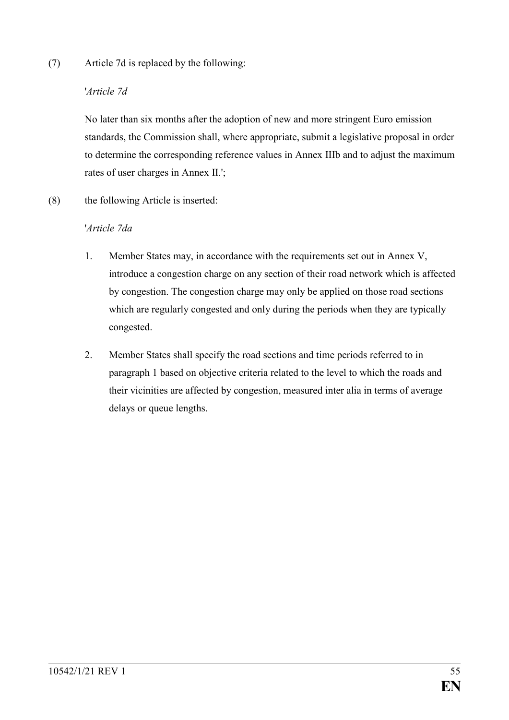(7) Article 7d is replaced by the following:

## '*Article 7d*

No later than six months after the adoption of new and more stringent Euro emission standards, the Commission shall, where appropriate, submit a legislative proposal in order to determine the corresponding reference values in Annex IIIb and to adjust the maximum rates of user charges in Annex II.';

(8) the following Article is inserted:

## '*Article 7da*

- 1. Member States may, in accordance with the requirements set out in Annex V, introduce a congestion charge on any section of their road network which is affected by congestion. The congestion charge may only be applied on those road sections which are regularly congested and only during the periods when they are typically congested.
- 2. Member States shall specify the road sections and time periods referred to in paragraph 1 based on objective criteria related to the level to which the roads and their vicinities are affected by congestion, measured inter alia in terms of average delays or queue lengths.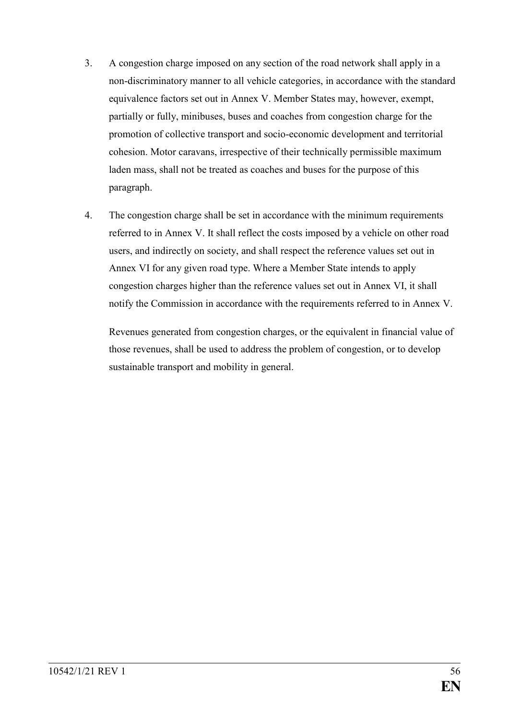- 3. A congestion charge imposed on any section of the road network shall apply in a non-discriminatory manner to all vehicle categories, in accordance with the standard equivalence factors set out in Annex V. Member States may, however, exempt, partially or fully, minibuses, buses and coaches from congestion charge for the promotion of collective transport and socio-economic development and territorial cohesion. Motor caravans, irrespective of their technically permissible maximum laden mass, shall not be treated as coaches and buses for the purpose of this paragraph.
- 4. The congestion charge shall be set in accordance with the minimum requirements referred to in Annex V. It shall reflect the costs imposed by a vehicle on other road users, and indirectly on society, and shall respect the reference values set out in Annex VI for any given road type. Where a Member State intends to apply congestion charges higher than the reference values set out in Annex VI, it shall notify the Commission in accordance with the requirements referred to in Annex V.

Revenues generated from congestion charges, or the equivalent in financial value of those revenues, shall be used to address the problem of congestion, or to develop sustainable transport and mobility in general.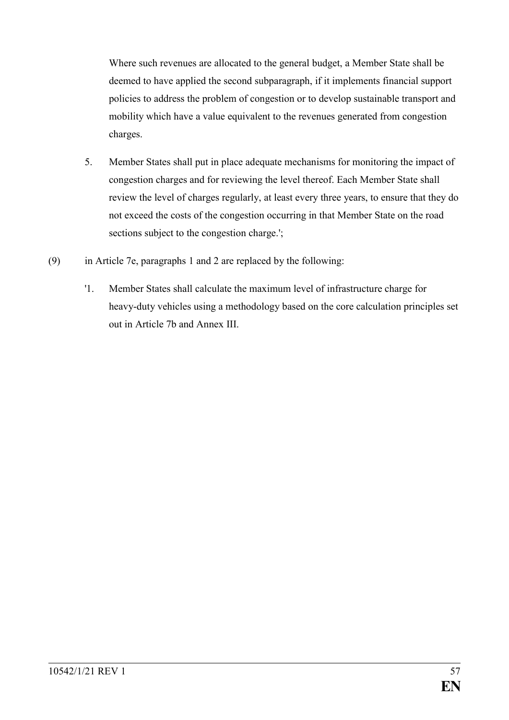Where such revenues are allocated to the general budget, a Member State shall be deemed to have applied the second subparagraph, if it implements financial support policies to address the problem of congestion or to develop sustainable transport and mobility which have a value equivalent to the revenues generated from congestion charges.

- 5. Member States shall put in place adequate mechanisms for monitoring the impact of congestion charges and for reviewing the level thereof. Each Member State shall review the level of charges regularly, at least every three years, to ensure that they do not exceed the costs of the congestion occurring in that Member State on the road sections subject to the congestion charge.';
- (9) in Article 7e, paragraphs 1 and 2 are replaced by the following:
	- '1. Member States shall calculate the maximum level of infrastructure charge for heavy-duty vehicles using a methodology based on the core calculation principles set out in Article 7b and Annex III.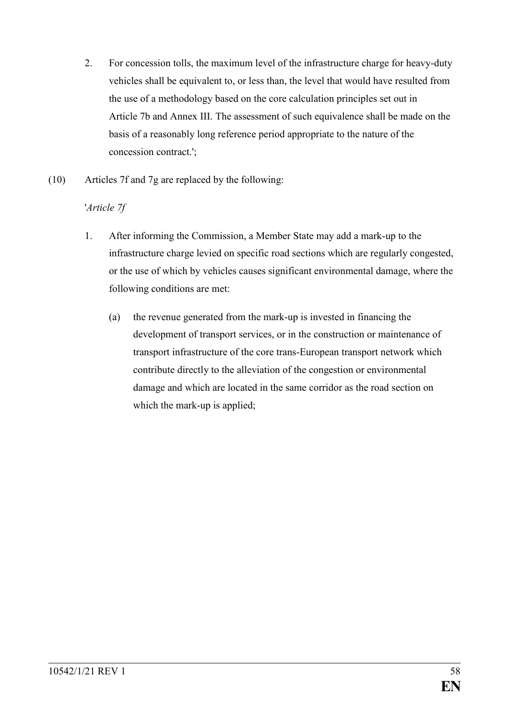- 2. For concession tolls, the maximum level of the infrastructure charge for heavy-duty vehicles shall be equivalent to, or less than, the level that would have resulted from the use of a methodology based on the core calculation principles set out in Article 7b and Annex III. The assessment of such equivalence shall be made on the basis of a reasonably long reference period appropriate to the nature of the concession contract.';
- (10) Articles 7f and 7g are replaced by the following:

## '*Article 7f*

- 1. After informing the Commission, a Member State may add a mark-up to the infrastructure charge levied on specific road sections which are regularly congested, or the use of which by vehicles causes significant environmental damage, where the following conditions are met:
	- (a) the revenue generated from the mark-up is invested in financing the development of transport services, or in the construction or maintenance of transport infrastructure of the core trans-European transport network which contribute directly to the alleviation of the congestion or environmental damage and which are located in the same corridor as the road section on which the mark-up is applied;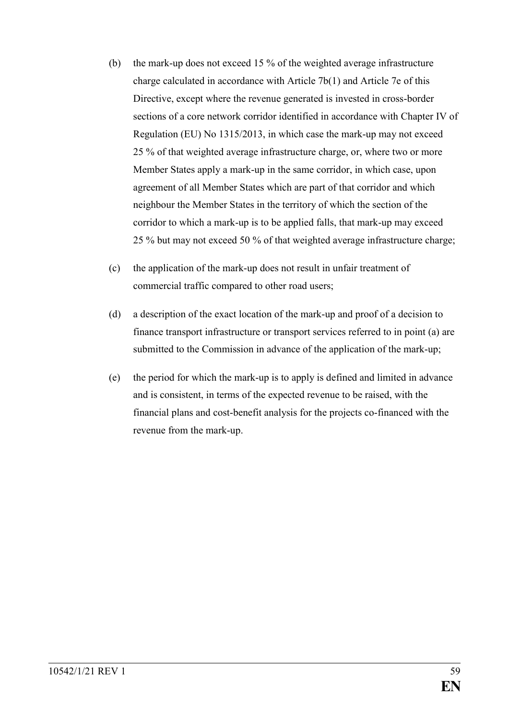- (b) the mark-up does not exceed 15 % of the weighted average infrastructure charge calculated in accordance with Article 7b(1) and Article 7e of this Directive, except where the revenue generated is invested in cross-border sections of a core network corridor identified in accordance with Chapter IV of Regulation (EU) No 1315/2013, in which case the mark-up may not exceed 25 % of that weighted average infrastructure charge, or, where two or more Member States apply a mark-up in the same corridor, in which case, upon agreement of all Member States which are part of that corridor and which neighbour the Member States in the territory of which the section of the corridor to which a mark-up is to be applied falls, that mark-up may exceed 25 % but may not exceed 50 % of that weighted average infrastructure charge;
- (c) the application of the mark-up does not result in unfair treatment of commercial traffic compared to other road users;
- (d) a description of the exact location of the mark-up and proof of a decision to finance transport infrastructure or transport services referred to in point (a) are submitted to the Commission in advance of the application of the mark-up;
- (e) the period for which the mark-up is to apply is defined and limited in advance and is consistent, in terms of the expected revenue to be raised, with the financial plans and cost-benefit analysis for the projects co-financed with the revenue from the mark-up.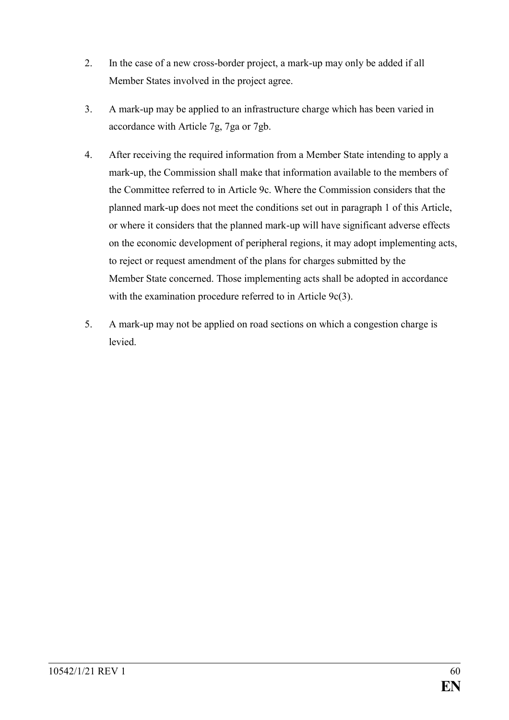- 2. In the case of a new cross-border project, a mark-up may only be added if all Member States involved in the project agree.
- 3. A mark-up may be applied to an infrastructure charge which has been varied in accordance with Article 7g, 7ga or 7gb.
- 4. After receiving the required information from a Member State intending to apply a mark-up, the Commission shall make that information available to the members of the Committee referred to in Article 9c. Where the Commission considers that the planned mark-up does not meet the conditions set out in paragraph 1 of this Article, or where it considers that the planned mark-up will have significant adverse effects on the economic development of peripheral regions, it may adopt implementing acts, to reject or request amendment of the plans for charges submitted by the Member State concerned. Those implementing acts shall be adopted in accordance with the examination procedure referred to in Article 9c(3).
- 5. A mark-up may not be applied on road sections on which a congestion charge is levied.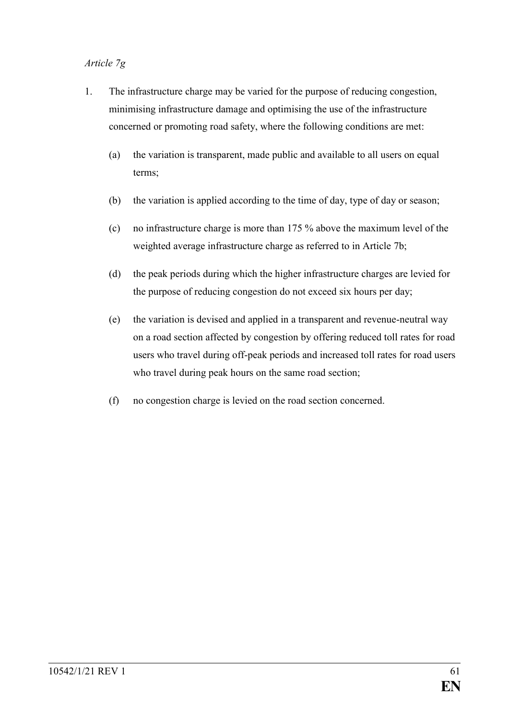## *Article 7g*

- 1. The infrastructure charge may be varied for the purpose of reducing congestion, minimising infrastructure damage and optimising the use of the infrastructure concerned or promoting road safety, where the following conditions are met:
	- (a) the variation is transparent, made public and available to all users on equal terms;
	- (b) the variation is applied according to the time of day, type of day or season;
	- (c) no infrastructure charge is more than 175 % above the maximum level of the weighted average infrastructure charge as referred to in Article 7b;
	- (d) the peak periods during which the higher infrastructure charges are levied for the purpose of reducing congestion do not exceed six hours per day;
	- (e) the variation is devised and applied in a transparent and revenue-neutral way on a road section affected by congestion by offering reduced toll rates for road users who travel during off-peak periods and increased toll rates for road users who travel during peak hours on the same road section;
	- (f) no congestion charge is levied on the road section concerned.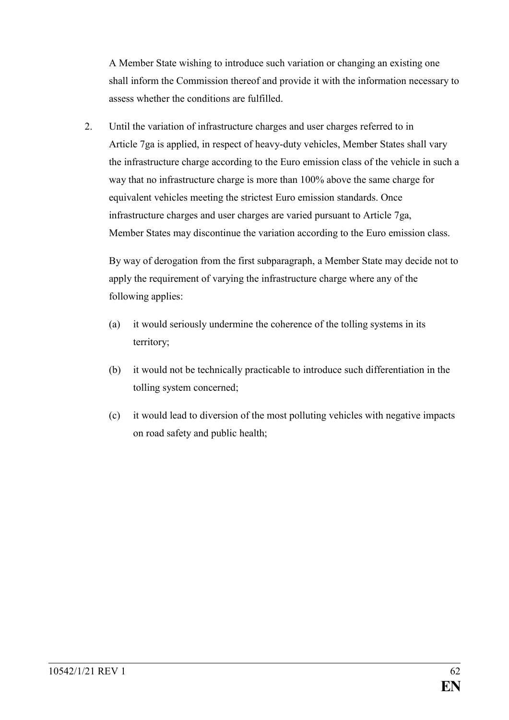A Member State wishing to introduce such variation or changing an existing one shall inform the Commission thereof and provide it with the information necessary to assess whether the conditions are fulfilled.

2. Until the variation of infrastructure charges and user charges referred to in Article 7ga is applied, in respect of heavy-duty vehicles, Member States shall vary the infrastructure charge according to the Euro emission class of the vehicle in such a way that no infrastructure charge is more than 100% above the same charge for equivalent vehicles meeting the strictest Euro emission standards. Once infrastructure charges and user charges are varied pursuant to Article 7ga, Member States may discontinue the variation according to the Euro emission class.

By way of derogation from the first subparagraph, a Member State may decide not to apply the requirement of varying the infrastructure charge where any of the following applies:

- (a) it would seriously undermine the coherence of the tolling systems in its territory;
- (b) it would not be technically practicable to introduce such differentiation in the tolling system concerned;
- (c) it would lead to diversion of the most polluting vehicles with negative impacts on road safety and public health;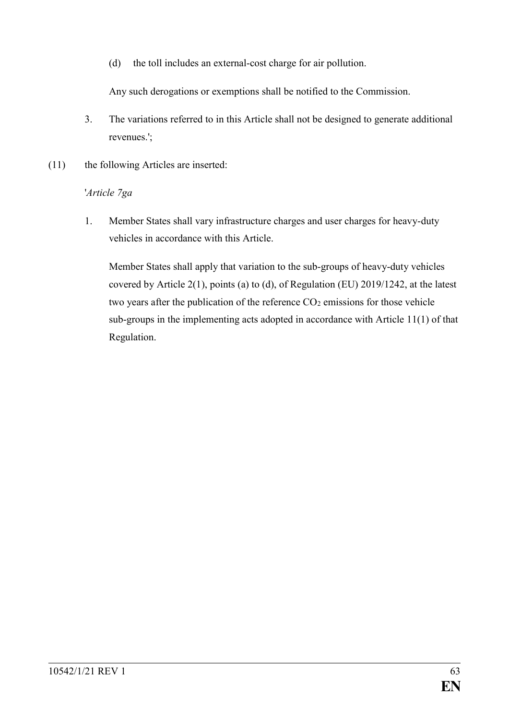(d) the toll includes an external-cost charge for air pollution.

Any such derogations or exemptions shall be notified to the Commission.

- 3. The variations referred to in this Article shall not be designed to generate additional revenues.';
- (11) the following Articles are inserted:

# '*Article 7ga*

1. Member States shall vary infrastructure charges and user charges for heavy-duty vehicles in accordance with this Article.

Member States shall apply that variation to the sub-groups of heavy-duty vehicles covered by Article 2(1), points (a) to (d), of Regulation (EU) 2019/1242, at the latest two years after the publication of the reference  $CO<sub>2</sub>$  emissions for those vehicle sub-groups in the implementing acts adopted in accordance with Article 11(1) of that Regulation.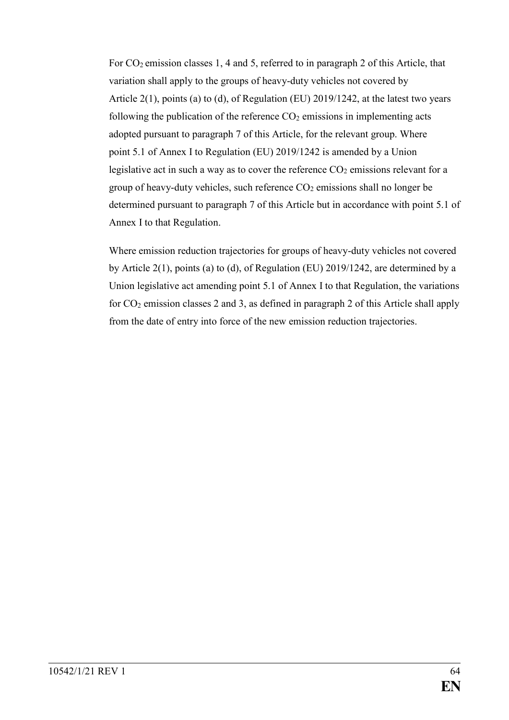For CO<sub>2</sub> emission classes 1, 4 and 5, referred to in paragraph 2 of this Article, that variation shall apply to the groups of heavy-duty vehicles not covered by Article 2(1), points (a) to (d), of Regulation (EU) 2019/1242, at the latest two years following the publication of the reference  $CO<sub>2</sub>$  emissions in implementing acts adopted pursuant to paragraph 7 of this Article, for the relevant group. Where point 5.1 of Annex I to Regulation (EU) 2019/1242 is amended by a Union legislative act in such a way as to cover the reference  $CO<sub>2</sub>$  emissions relevant for a group of heavy-duty vehicles, such reference  $CO<sub>2</sub>$  emissions shall no longer be determined pursuant to paragraph 7 of this Article but in accordance with point 5.1 of Annex I to that Regulation.

Where emission reduction trajectories for groups of heavy-duty vehicles not covered by Article 2(1), points (a) to (d), of Regulation (EU) 2019/1242, are determined by a Union legislative act amending point 5.1 of Annex I to that Regulation, the variations for CO<sup>2</sup> emission classes 2 and 3, as defined in paragraph 2 of this Article shall apply from the date of entry into force of the new emission reduction trajectories.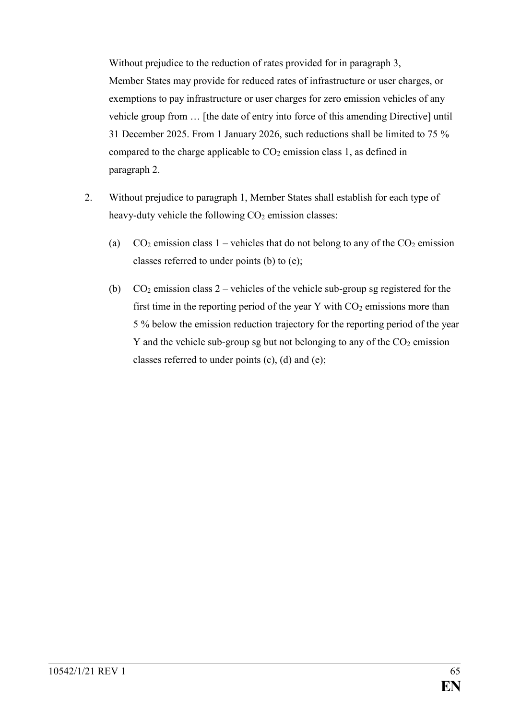Without prejudice to the reduction of rates provided for in paragraph 3, Member States may provide for reduced rates of infrastructure or user charges, or exemptions to pay infrastructure or user charges for zero emission vehicles of any vehicle group from … [the date of entry into force of this amending Directive] until 31 December 2025. From 1 January 2026, such reductions shall be limited to 75 % compared to the charge applicable to  $CO<sub>2</sub>$  emission class 1, as defined in paragraph 2.

- 2. Without prejudice to paragraph 1, Member States shall establish for each type of heavy-duty vehicle the following  $CO<sub>2</sub>$  emission classes:
	- (a)  $CO_2$  emission class 1 vehicles that do not belong to any of the  $CO_2$  emission classes referred to under points (b) to (e);
	- (b)  $CO<sub>2</sub>$  emission class 2 vehicles of the vehicle sub-group sg registered for the first time in the reporting period of the year Y with  $CO<sub>2</sub>$  emissions more than 5 % below the emission reduction trajectory for the reporting period of the year Y and the vehicle sub-group sg but not belonging to any of the  $CO<sub>2</sub>$  emission classes referred to under points (c), (d) and (e);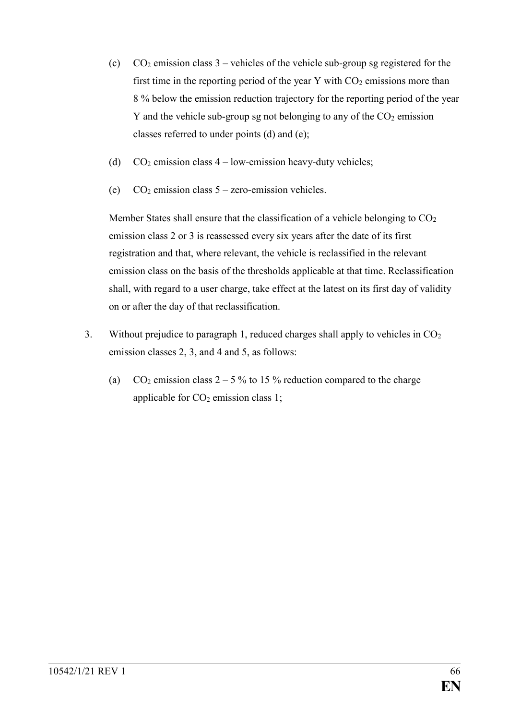- (c)  $CO<sub>2</sub>$  emission class 3 vehicles of the vehicle sub-group sg registered for the first time in the reporting period of the year Y with  $CO<sub>2</sub>$  emissions more than 8 % below the emission reduction trajectory for the reporting period of the year Y and the vehicle sub-group sg not belonging to any of the  $CO<sub>2</sub>$  emission classes referred to under points (d) and (e);
- (d)  $CO<sub>2</sub> emission class 4 low-emission heavy-duty vehicles;$
- (e)  $CO<sub>2</sub>$  emission class  $5$  zero-emission vehicles.

Member States shall ensure that the classification of a vehicle belonging to  $CO<sub>2</sub>$ emission class 2 or 3 is reassessed every six years after the date of its first registration and that, where relevant, the vehicle is reclassified in the relevant emission class on the basis of the thresholds applicable at that time. Reclassification shall, with regard to a user charge, take effect at the latest on its first day of validity on or after the day of that reclassification.

- 3. Without prejudice to paragraph 1, reduced charges shall apply to vehicles in CO<sup>2</sup> emission classes 2, 3, and 4 and 5, as follows:
	- (a)  $CO_2$  emission class  $2 5\%$  to 15% reduction compared to the charge applicable for  $CO<sub>2</sub>$  emission class 1;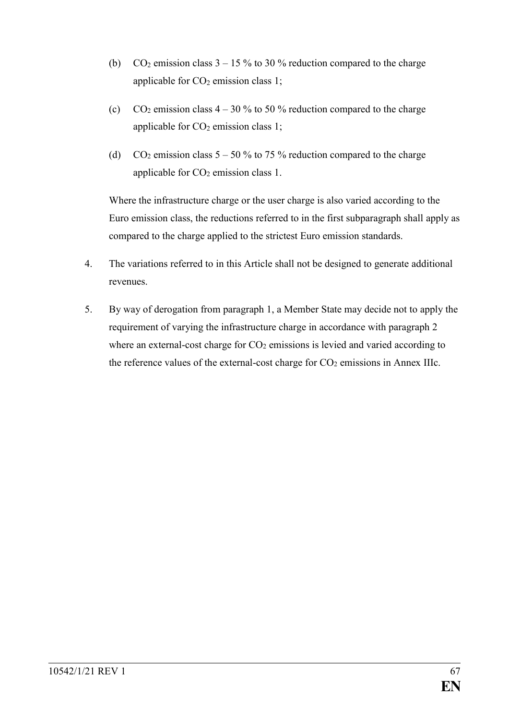- (b)  $CO_2$  emission class  $3 15\%$  to 30 % reduction compared to the charge applicable for  $CO<sub>2</sub>$  emission class 1;
- (c)  $CO_2$  emission class  $4 30\%$  to 50 % reduction compared to the charge applicable for  $CO<sub>2</sub>$  emission class 1;
- (d) CO<sub>2</sub> emission class  $5 50\%$  to 75 % reduction compared to the charge applicable for  $CO<sub>2</sub>$  emission class 1.

Where the infrastructure charge or the user charge is also varied according to the Euro emission class, the reductions referred to in the first subparagraph shall apply as compared to the charge applied to the strictest Euro emission standards.

- 4. The variations referred to in this Article shall not be designed to generate additional revenues.
- 5. By way of derogation from paragraph 1, a Member State may decide not to apply the requirement of varying the infrastructure charge in accordance with paragraph 2 where an external-cost charge for  $CO<sub>2</sub>$  emissions is levied and varied according to the reference values of the external-cost charge for  $CO<sub>2</sub>$  emissions in Annex IIIc.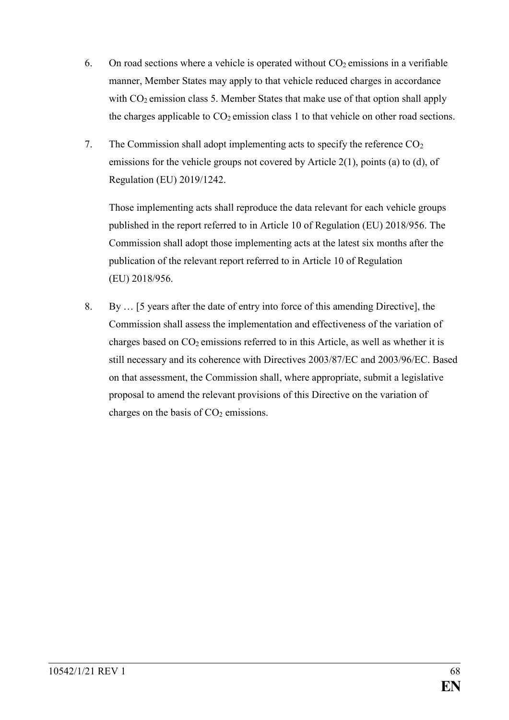- 6. On road sections where a vehicle is operated without  $CO<sub>2</sub>$  emissions in a verifiable manner, Member States may apply to that vehicle reduced charges in accordance with CO<sub>2</sub> emission class 5. Member States that make use of that option shall apply the charges applicable to  $CO<sub>2</sub>$  emission class 1 to that vehicle on other road sections.
- 7. The Commission shall adopt implementing acts to specify the reference  $CO<sub>2</sub>$ emissions for the vehicle groups not covered by Article 2(1), points (a) to (d), of Regulation (EU) 2019/1242.

Those implementing acts shall reproduce the data relevant for each vehicle groups published in the report referred to in Article 10 of Regulation (EU) 2018/956. The Commission shall adopt those implementing acts at the latest six months after the publication of the relevant report referred to in Article 10 of Regulation (EU) 2018/956.

8. By … [5 years after the date of entry into force of this amending Directive], the Commission shall assess the implementation and effectiveness of the variation of charges based on  $CO<sub>2</sub>$  emissions referred to in this Article, as well as whether it is still necessary and its coherence with Directives 2003/87/EC and 2003/96/EC. Based on that assessment, the Commission shall, where appropriate, submit a legislative proposal to amend the relevant provisions of this Directive on the variation of charges on the basis of  $CO<sub>2</sub>$  emissions.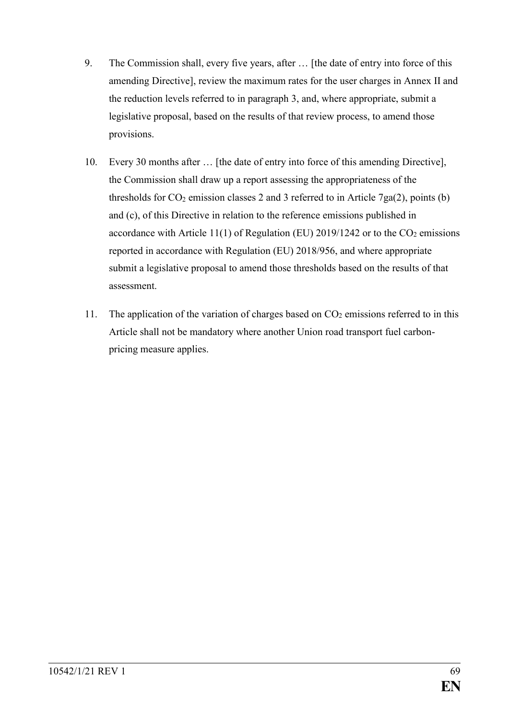- 9. The Commission shall, every five years, after … [the date of entry into force of this amending Directive], review the maximum rates for the user charges in Annex II and the reduction levels referred to in paragraph 3, and, where appropriate, submit a legislative proposal, based on the results of that review process, to amend those provisions.
- 10. Every 30 months after … [the date of entry into force of this amending Directive], the Commission shall draw up a report assessing the appropriateness of the thresholds for  $CO_2$  emission classes 2 and 3 referred to in Article 7ga(2), points (b) and (c), of this Directive in relation to the reference emissions published in accordance with Article 11(1) of Regulation (EU) 2019/1242 or to the  $CO<sub>2</sub>$  emissions reported in accordance with Regulation (EU) 2018/956, and where appropriate submit a legislative proposal to amend those thresholds based on the results of that assessment.
- 11. The application of the variation of charges based on  $CO<sub>2</sub>$  emissions referred to in this Article shall not be mandatory where another Union road transport fuel carbonpricing measure applies.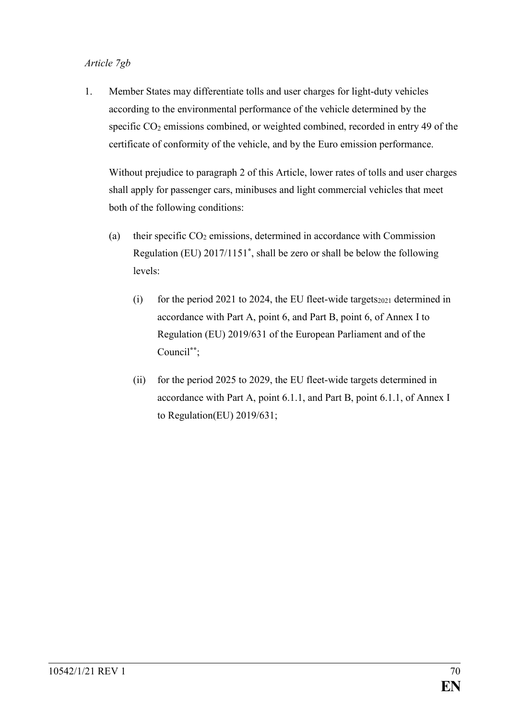#### *Article 7gb*

1. Member States may differentiate tolls and user charges for light-duty vehicles according to the environmental performance of the vehicle determined by the specific CO<sub>2</sub> emissions combined, or weighted combined, recorded in entry 49 of the certificate of conformity of the vehicle, and by the Euro emission performance.

Without prejudice to paragraph 2 of this Article, lower rates of tolls and user charges shall apply for passenger cars, minibuses and light commercial vehicles that meet both of the following conditions:

- (a) their specific  $CO<sub>2</sub>$  emissions, determined in accordance with Commission Regulation (EU) 2017/1151**\*** , shall be zero or shall be below the following levels:
	- (i) for the period 2021 to 2024, the EU fleet-wide targets $_{2021}$  determined in accordance with Part A, point 6, and Part B, point 6, of Annex I to Regulation (EU) 2019/631 of the European Parliament and of the Council**\*\***;
	- (ii) for the period 2025 to 2029, the EU fleet-wide targets determined in accordance with Part A, point 6.1.1, and Part B, point 6.1.1, of Annex I to Regulation(EU) 2019/631;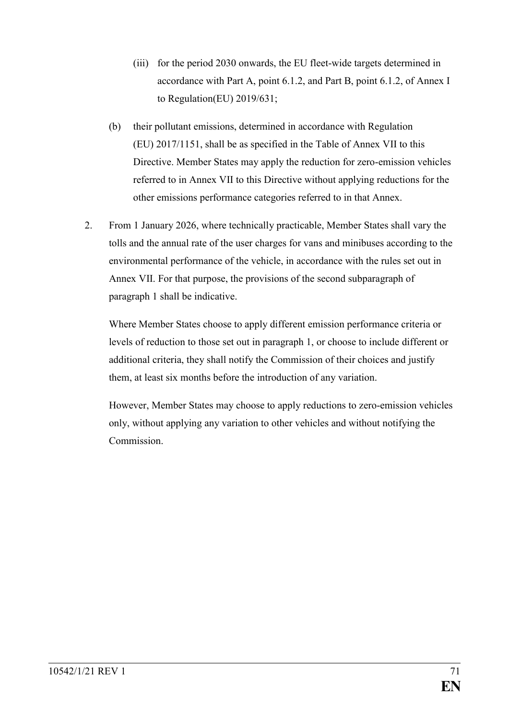- (iii) for the period 2030 onwards, the EU fleet-wide targets determined in accordance with Part A, point 6.1.2, and Part B, point 6.1.2, of Annex I to Regulation(EU) 2019/631;
- (b) their pollutant emissions, determined in accordance with Regulation (EU) 2017/1151, shall be as specified in the Table of Annex VII to this Directive. Member States may apply the reduction for zero-emission vehicles referred to in Annex VII to this Directive without applying reductions for the other emissions performance categories referred to in that Annex.
- 2. From 1 January 2026, where technically practicable, Member States shall vary the tolls and the annual rate of the user charges for vans and minibuses according to the environmental performance of the vehicle, in accordance with the rules set out in Annex VII. For that purpose, the provisions of the second subparagraph of paragraph 1 shall be indicative.

Where Member States choose to apply different emission performance criteria or levels of reduction to those set out in paragraph 1, or choose to include different or additional criteria, they shall notify the Commission of their choices and justify them, at least six months before the introduction of any variation.

However, Member States may choose to apply reductions to zero-emission vehicles only, without applying any variation to other vehicles and without notifying the Commission.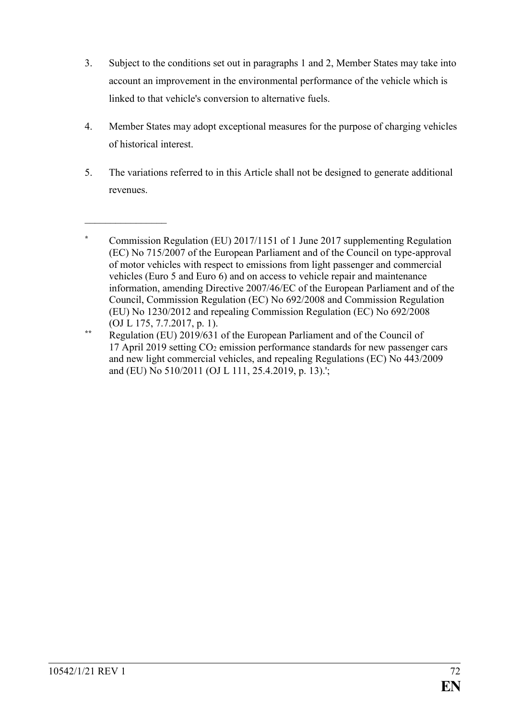- 3. Subject to the conditions set out in paragraphs 1 and 2, Member States may take into account an improvement in the environmental performance of the vehicle which is linked to that vehicle's conversion to alternative fuels.
- 4. Member States may adopt exceptional measures for the purpose of charging vehicles of historical interest.
- 5. The variations referred to in this Article shall not be designed to generate additional revenues.

 $\overline{\phantom{a}}$  , where  $\overline{\phantom{a}}$ 

**<sup>\*</sup>** Commission Regulation (EU) 2017/1151 of 1 June 2017 supplementing Regulation (EC) No 715/2007 of the European Parliament and of the Council on type-approval of motor vehicles with respect to emissions from light passenger and commercial vehicles (Euro 5 and Euro 6) and on access to vehicle repair and maintenance information, amending Directive 2007/46/EC of the European Parliament and of the Council, Commission Regulation (EC) No 692/2008 and Commission Regulation (EU) No 1230/2012 and repealing Commission Regulation (EC) No 692/2008 (OJ L 175, 7.7.2017, p. 1).

**<sup>\*\*</sup>** Regulation (EU) 2019/631 of the European Parliament and of the Council of 17 April 2019 setting  $CO<sub>2</sub>$  emission performance standards for new passenger cars and new light commercial vehicles, and repealing Regulations (EC) No 443/2009 and (EU) No 510/2011 (OJ L 111, 25.4.2019, p. 13).';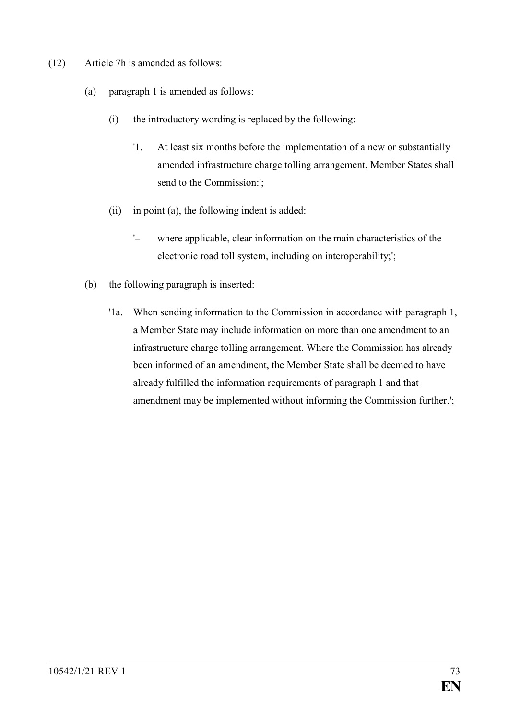- (12) Article 7h is amended as follows:
	- (a) paragraph 1 is amended as follows:
		- (i) the introductory wording is replaced by the following:
			- '1. At least six months before the implementation of a new or substantially amended infrastructure charge tolling arrangement, Member States shall send to the Commission:';
		- (ii) in point (a), the following indent is added:
			- '– where applicable, clear information on the main characteristics of the electronic road toll system, including on interoperability;';
	- (b) the following paragraph is inserted:
		- '1a. When sending information to the Commission in accordance with paragraph 1, a Member State may include information on more than one amendment to an infrastructure charge tolling arrangement. Where the Commission has already been informed of an amendment, the Member State shall be deemed to have already fulfilled the information requirements of paragraph 1 and that amendment may be implemented without informing the Commission further.';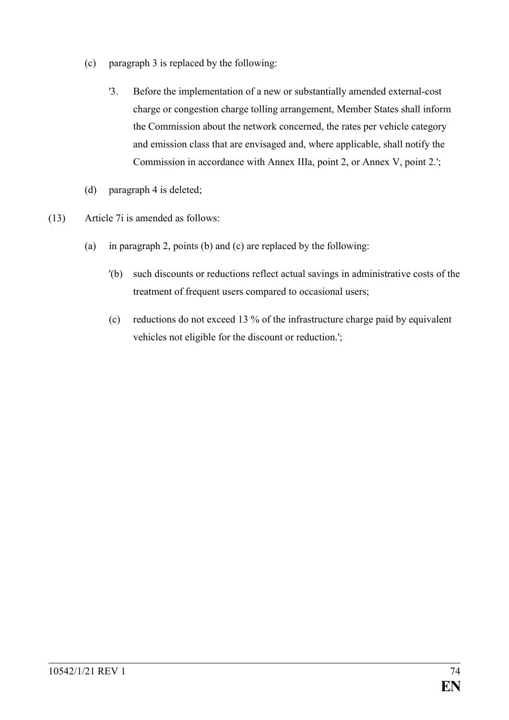- (c) paragraph 3 is replaced by the following:
	- '3. Before the implementation of a new or substantially amended external-cost charge or congestion charge tolling arrangement, Member States shall inform the Commission about the network concerned, the rates per vehicle category and emission class that are envisaged and, where applicable, shall notify the Commission in accordance with Annex IIIa, point 2, or Annex V, point 2.';
- (d) paragraph 4 is deleted;
- (13) Article 7i is amended as follows:
	- (a) in paragraph 2, points (b) and (c) are replaced by the following:
		- '(b) such discounts or reductions reflect actual savings in administrative costs of the treatment of frequent users compared to occasional users;
		- (c) reductions do not exceed 13 % of the infrastructure charge paid by equivalent vehicles not eligible for the discount or reduction.';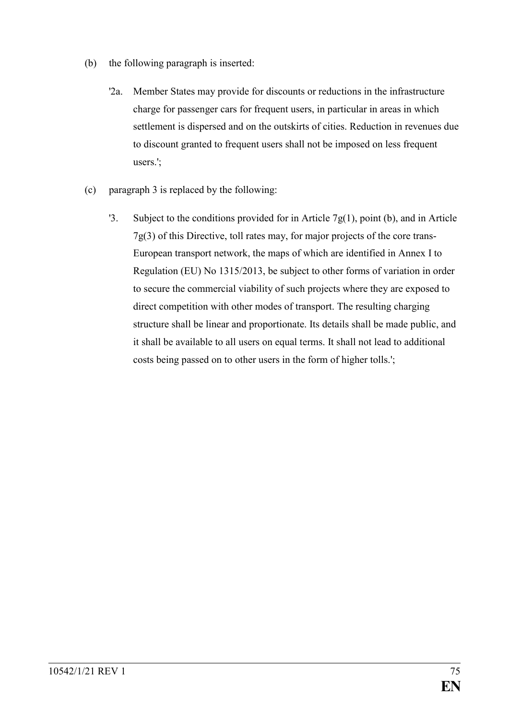- (b) the following paragraph is inserted:
	- '2a. Member States may provide for discounts or reductions in the infrastructure charge for passenger cars for frequent users, in particular in areas in which settlement is dispersed and on the outskirts of cities. Reduction in revenues due to discount granted to frequent users shall not be imposed on less frequent users.';
- (c) paragraph 3 is replaced by the following:
	- '3. Subject to the conditions provided for in Article  $7g(1)$ , point (b), and in Article 7g(3) of this Directive, toll rates may, for major projects of the core trans-European transport network, the maps of which are identified in Annex I to Regulation (EU) No 1315/2013, be subject to other forms of variation in order to secure the commercial viability of such projects where they are exposed to direct competition with other modes of transport. The resulting charging structure shall be linear and proportionate. Its details shall be made public, and it shall be available to all users on equal terms. It shall not lead to additional costs being passed on to other users in the form of higher tolls.';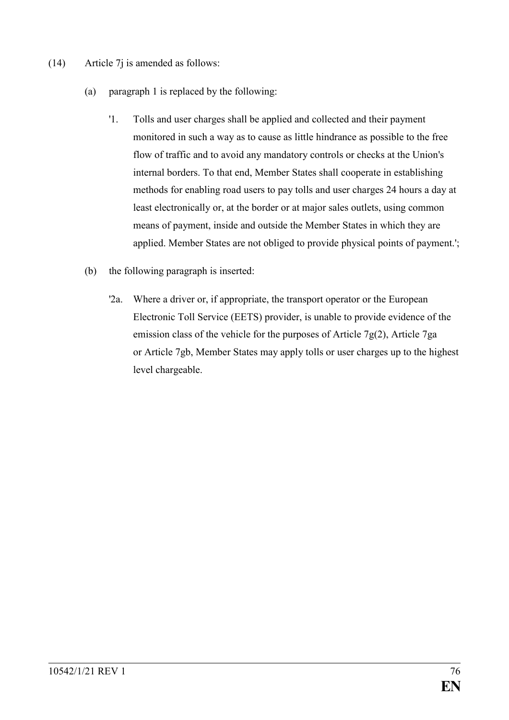- (14) Article 7j is amended as follows:
	- (a) paragraph 1 is replaced by the following:
		- '1. Tolls and user charges shall be applied and collected and their payment monitored in such a way as to cause as little hindrance as possible to the free flow of traffic and to avoid any mandatory controls or checks at the Union's internal borders. To that end, Member States shall cooperate in establishing methods for enabling road users to pay tolls and user charges 24 hours a day at least electronically or, at the border or at major sales outlets, using common means of payment, inside and outside the Member States in which they are applied. Member States are not obliged to provide physical points of payment.';
	- (b) the following paragraph is inserted:
		- '2a. Where a driver or, if appropriate, the transport operator or the European Electronic Toll Service (EETS) provider, is unable to provide evidence of the emission class of the vehicle for the purposes of Article 7g(2), Article 7ga or Article 7gb, Member States may apply tolls or user charges up to the highest level chargeable.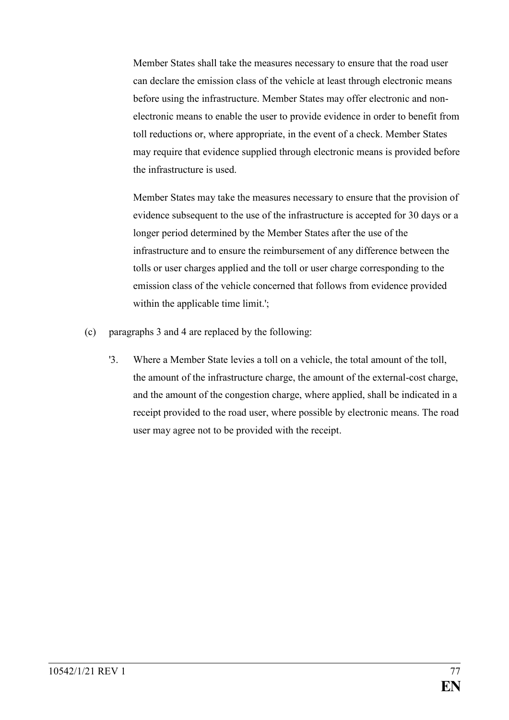Member States shall take the measures necessary to ensure that the road user can declare the emission class of the vehicle at least through electronic means before using the infrastructure. Member States may offer electronic and nonelectronic means to enable the user to provide evidence in order to benefit from toll reductions or, where appropriate, in the event of a check. Member States may require that evidence supplied through electronic means is provided before the infrastructure is used.

Member States may take the measures necessary to ensure that the provision of evidence subsequent to the use of the infrastructure is accepted for 30 days or a longer period determined by the Member States after the use of the infrastructure and to ensure the reimbursement of any difference between the tolls or user charges applied and the toll or user charge corresponding to the emission class of the vehicle concerned that follows from evidence provided within the applicable time limit.';

- (c) paragraphs 3 and 4 are replaced by the following:
	- '3. Where a Member State levies a toll on a vehicle, the total amount of the toll, the amount of the infrastructure charge, the amount of the external-cost charge, and the amount of the congestion charge, where applied, shall be indicated in a receipt provided to the road user, where possible by electronic means. The road user may agree not to be provided with the receipt.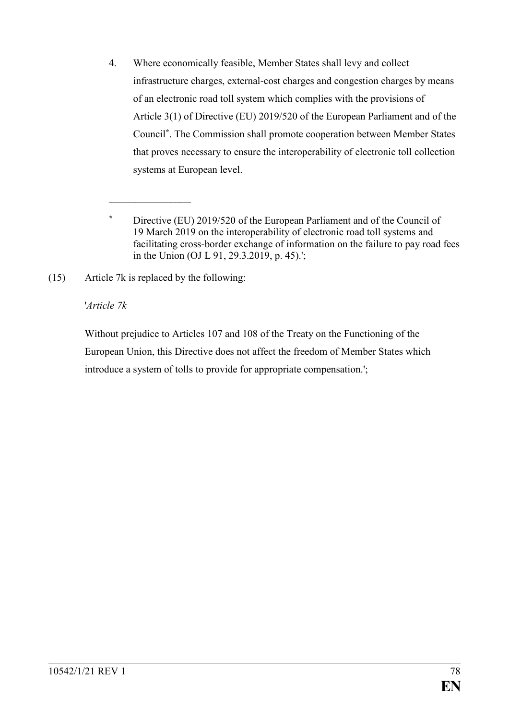4. Where economically feasible, Member States shall levy and collect infrastructure charges, external-cost charges and congestion charges by means of an electronic road toll system which complies with the provisions of Article 3(1) of Directive (EU) 2019/520 of the European Parliament and of the Council**\*** . The Commission shall promote cooperation between Member States that proves necessary to ensure the interoperability of electronic toll collection systems at European level.

(15) Article 7k is replaced by the following:

 $\overline{\phantom{a}}$  , where  $\overline{\phantom{a}}$ 

#### '*Article 7k*

Without prejudice to Articles 107 and 108 of the Treaty on the Functioning of the European Union, this Directive does not affect the freedom of Member States which introduce a system of tolls to provide for appropriate compensation.';

**<sup>\*</sup>** Directive (EU) 2019/520 of the European Parliament and of the Council of 19 March 2019 on the interoperability of electronic road toll systems and facilitating cross-border exchange of information on the failure to pay road fees in the Union (OJ L 91, 29.3.2019, p. 45).';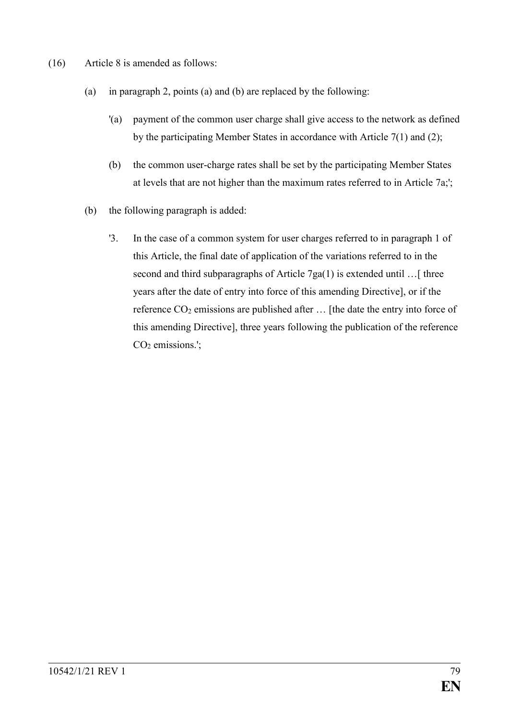- (16) Article 8 is amended as follows:
	- (a) in paragraph 2, points (a) and (b) are replaced by the following:
		- '(a) payment of the common user charge shall give access to the network as defined by the participating Member States in accordance with Article 7(1) and (2);
		- (b) the common user-charge rates shall be set by the participating Member States at levels that are not higher than the maximum rates referred to in Article 7a;';
	- (b) the following paragraph is added:
		- '3. In the case of a common system for user charges referred to in paragraph 1 of this Article, the final date of application of the variations referred to in the second and third subparagraphs of Article  $7ga(1)$  is extended until ... [ three years after the date of entry into force of this amending Directive], or if the reference  $CO_2$  emissions are published after  $\ldots$  [the date the entry into force of this amending Directive], three years following the publication of the reference  $CO<sub>2</sub>$  emissions.';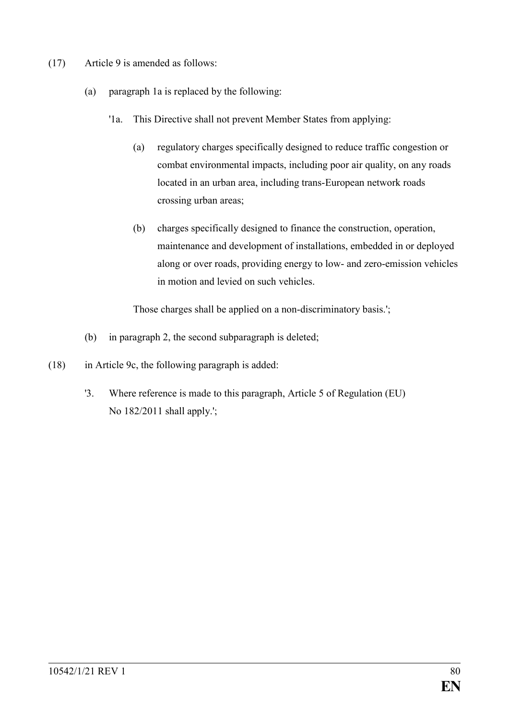- (17) Article 9 is amended as follows:
	- (a) paragraph 1a is replaced by the following:
		- '1a. This Directive shall not prevent Member States from applying:
			- (a) regulatory charges specifically designed to reduce traffic congestion or combat environmental impacts, including poor air quality, on any roads located in an urban area, including trans-European network roads crossing urban areas;
			- (b) charges specifically designed to finance the construction, operation, maintenance and development of installations, embedded in or deployed along or over roads, providing energy to low- and zero-emission vehicles in motion and levied on such vehicles.

Those charges shall be applied on a non-discriminatory basis.';

- (b) in paragraph 2, the second subparagraph is deleted;
- (18) in Article 9c, the following paragraph is added:
	- '3. Where reference is made to this paragraph, Article 5 of Regulation (EU) No 182/2011 shall apply.';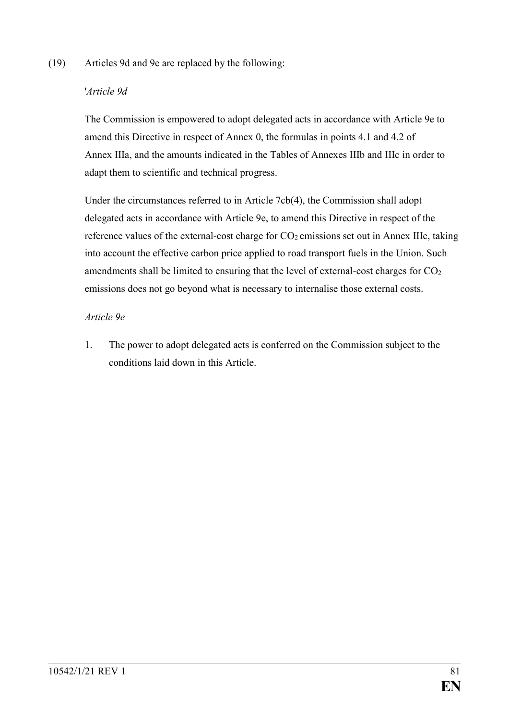#### (19) Articles 9d and 9e are replaced by the following:

#### '*Article 9d*

The Commission is empowered to adopt delegated acts in accordance with Article 9e to amend this Directive in respect of Annex 0, the formulas in points 4.1 and 4.2 of Annex IIIa, and the amounts indicated in the Tables of Annexes IIIb and IIIc in order to adapt them to scientific and technical progress.

Under the circumstances referred to in Article 7cb(4), the Commission shall adopt delegated acts in accordance with Article 9e, to amend this Directive in respect of the reference values of the external-cost charge for  $CO<sub>2</sub>$  emissions set out in Annex IIIc, taking into account the effective carbon price applied to road transport fuels in the Union. Such amendments shall be limited to ensuring that the level of external-cost charges for  $CO<sub>2</sub>$ emissions does not go beyond what is necessary to internalise those external costs.

#### *Article 9e*

1. The power to adopt delegated acts is conferred on the Commission subject to the conditions laid down in this Article.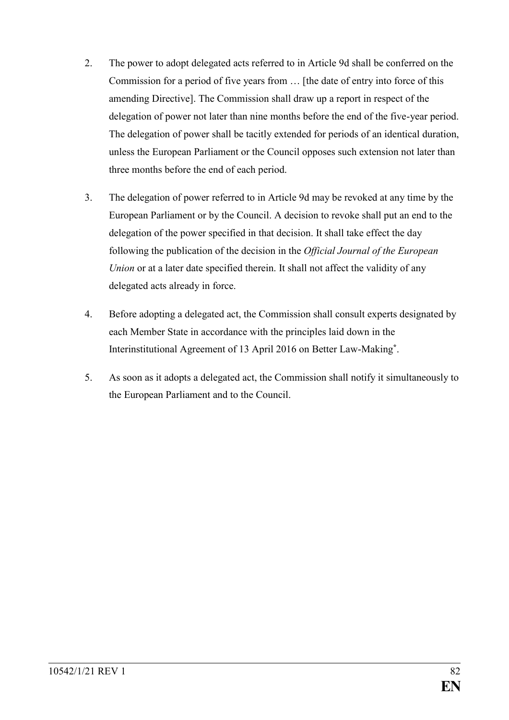- 2. The power to adopt delegated acts referred to in Article 9d shall be conferred on the Commission for a period of five years from … [the date of entry into force of this amending Directive]. The Commission shall draw up a report in respect of the delegation of power not later than nine months before the end of the five-year period. The delegation of power shall be tacitly extended for periods of an identical duration, unless the European Parliament or the Council opposes such extension not later than three months before the end of each period.
- 3. The delegation of power referred to in Article 9d may be revoked at any time by the European Parliament or by the Council. A decision to revoke shall put an end to the delegation of the power specified in that decision. It shall take effect the day following the publication of the decision in the *Official Journal of the European Union* or at a later date specified therein. It shall not affect the validity of any delegated acts already in force.
- 4. Before adopting a delegated act, the Commission shall consult experts designated by each Member State in accordance with the principles laid down in the Interinstitutional Agreement of 13 April 2016 on Better Law-Making**\*** .
- 5. As soon as it adopts a delegated act, the Commission shall notify it simultaneously to the European Parliament and to the Council.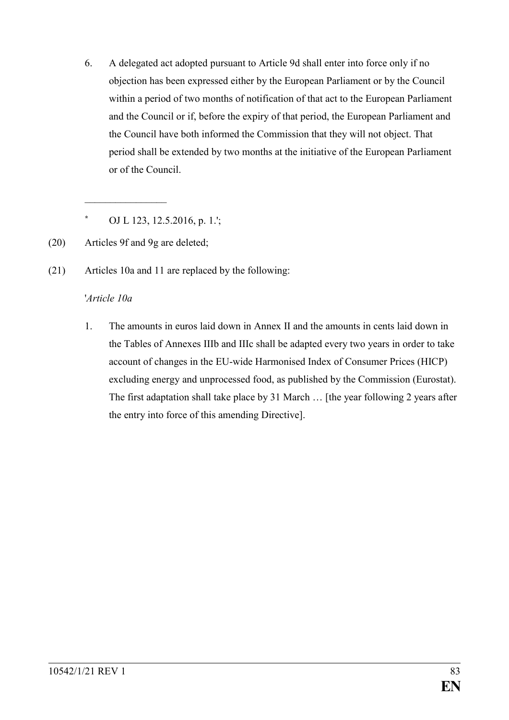6. A delegated act adopted pursuant to Article 9d shall enter into force only if no objection has been expressed either by the European Parliament or by the Council within a period of two months of notification of that act to the European Parliament and the Council or if, before the expiry of that period, the European Parliament and the Council have both informed the Commission that they will not object. That period shall be extended by two months at the initiative of the European Parliament or of the Council.

**\*** OJ L 123, 12.5.2016, p. 1.';

(20) Articles 9f and 9g are deleted;

 $\overline{\phantom{a}}$  , where  $\overline{\phantom{a}}$ 

(21) Articles 10a and 11 are replaced by the following:

#### '*Article 10a*

1. The amounts in euros laid down in Annex II and the amounts in cents laid down in the Tables of Annexes IIIb and IIIc shall be adapted every two years in order to take account of changes in the EU-wide Harmonised Index of Consumer Prices (HICP) excluding energy and unprocessed food, as published by the Commission (Eurostat). The first adaptation shall take place by 31 March … [the year following 2 years after the entry into force of this amending Directive].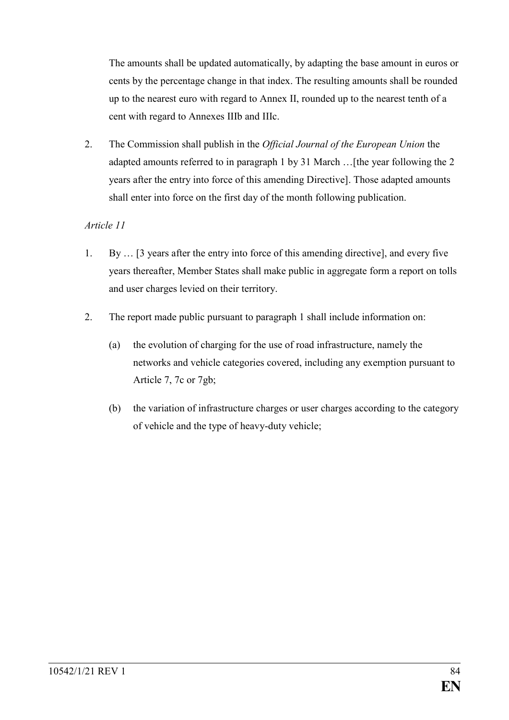The amounts shall be updated automatically, by adapting the base amount in euros or cents by the percentage change in that index. The resulting amounts shall be rounded up to the nearest euro with regard to Annex II, rounded up to the nearest tenth of a cent with regard to Annexes IIIb and IIIc.

2. The Commission shall publish in the *Official Journal of the European Union* the adapted amounts referred to in paragraph 1 by 31 March …[the year following the 2 years after the entry into force of this amending Directive]. Those adapted amounts shall enter into force on the first day of the month following publication.

### *Article 11*

- 1. By … [3 years after the entry into force of this amending directive], and every five years thereafter, Member States shall make public in aggregate form a report on tolls and user charges levied on their territory.
- 2. The report made public pursuant to paragraph 1 shall include information on:
	- (a) the evolution of charging for the use of road infrastructure, namely the networks and vehicle categories covered, including any exemption pursuant to Article 7, 7c or 7gb;
	- (b) the variation of infrastructure charges or user charges according to the category of vehicle and the type of heavy-duty vehicle;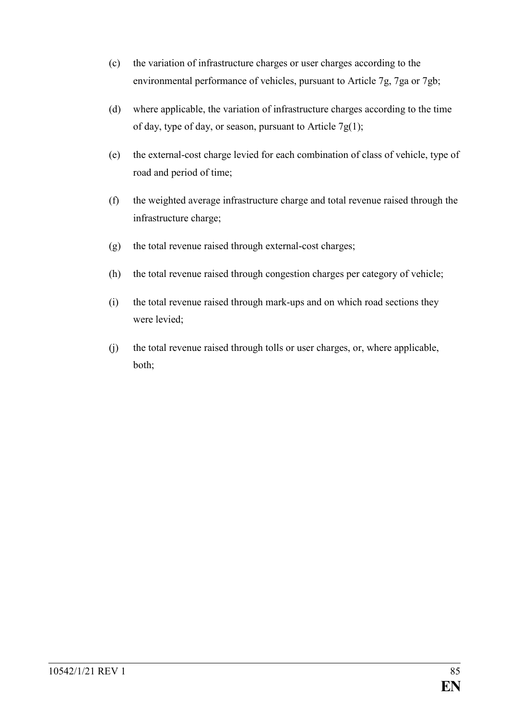- (c) the variation of infrastructure charges or user charges according to the environmental performance of vehicles, pursuant to Article 7g, 7ga or 7gb;
- (d) where applicable, the variation of infrastructure charges according to the time of day, type of day, or season, pursuant to Article  $7g(1)$ ;
- (e) the external-cost charge levied for each combination of class of vehicle, type of road and period of time;
- (f) the weighted average infrastructure charge and total revenue raised through the infrastructure charge;
- (g) the total revenue raised through external-cost charges;
- (h) the total revenue raised through congestion charges per category of vehicle;
- (i) the total revenue raised through mark-ups and on which road sections they were levied;
- (j) the total revenue raised through tolls or user charges, or, where applicable, both;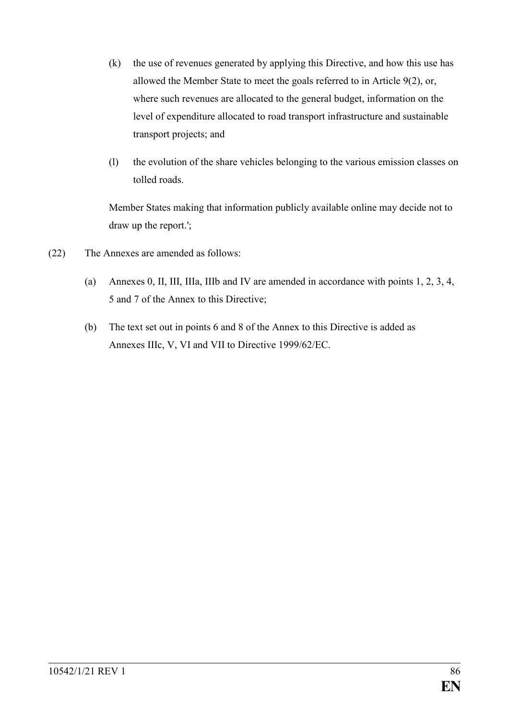- (k) the use of revenues generated by applying this Directive, and how this use has allowed the Member State to meet the goals referred to in Article 9(2), or, where such revenues are allocated to the general budget, information on the level of expenditure allocated to road transport infrastructure and sustainable transport projects; and
- (l) the evolution of the share vehicles belonging to the various emission classes on tolled roads.

Member States making that information publicly available online may decide not to draw up the report.';

- (22) The Annexes are amended as follows:
	- (a) Annexes 0, II, III, IIIa, IIIb and IV are amended in accordance with points 1, 2, 3, 4, 5 and 7 of the Annex to this Directive;
	- (b) The text set out in points 6 and 8 of the Annex to this Directive is added as Annexes IIIc, V, VI and VII to Directive 1999/62/EC.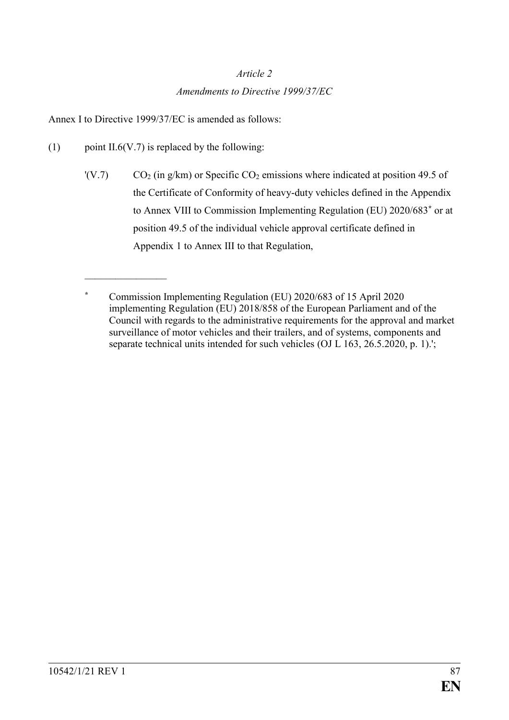#### *Article 2*

#### *Amendments to Directive 1999/37/EC*

Annex I to Directive 1999/37/EC is amended as follows:

(1) point II.6(V.7) is replaced by the following:

 $\overline{\phantom{a}}$  , where  $\overline{\phantom{a}}$ 

 $\text{C}_2$  (in g/km) or Specific CO<sub>2</sub> emissions where indicated at position 49.5 of the Certificate of Conformity of heavy-duty vehicles defined in the Appendix to Annex VIII to Commission Implementing Regulation (EU) 2020/683**\*** or at position 49.5 of the individual vehicle approval certificate defined in Appendix 1 to Annex III to that Regulation,

**<sup>\*</sup>** Commission Implementing Regulation (EU) 2020/683 of 15 April 2020 implementing Regulation (EU) 2018/858 of the European Parliament and of the Council with regards to the administrative requirements for the approval and market surveillance of motor vehicles and their trailers, and of systems, components and separate technical units intended for such vehicles (OJ L 163, 26.5.2020, p. 1).';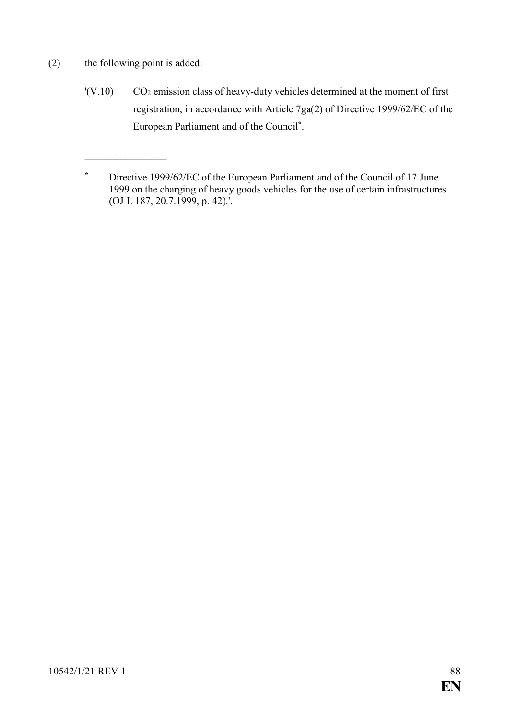(2) the following point is added:

 $\overline{\phantom{a}}$  , where  $\overline{\phantom{a}}$ 

 $'(V.10)$  CO<sub>2</sub> emission class of heavy-duty vehicles determined at the moment of first registration, in accordance with Article 7ga(2) of Directive 1999/62/EC of the European Parliament and of the Council**\*** .

**<sup>\*</sup>** Directive 1999/62/EC of the European Parliament and of the Council of 17 June 1999 on the charging of heavy goods vehicles for the use of certain infrastructures (OJ L 187, 20.7.1999, p. 42).'.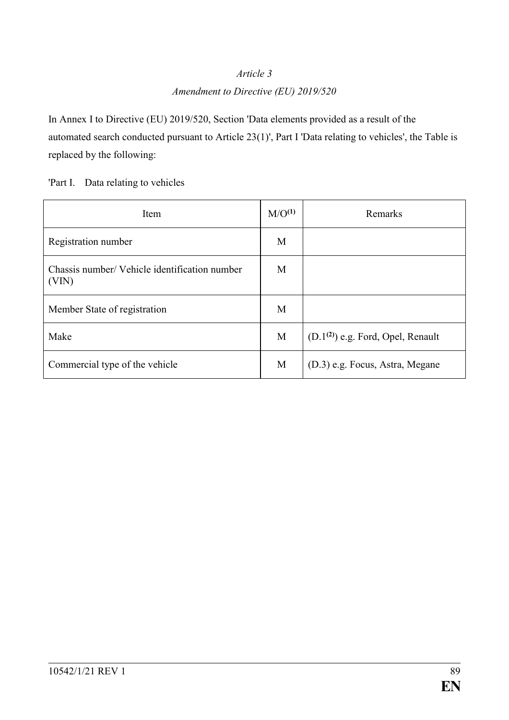#### *Article 3*

### *Amendment to Directive (EU) 2019/520*

In Annex I to Directive (EU) 2019/520, Section 'Data elements provided as a result of the automated search conducted pursuant to Article 23(1)', Part I 'Data relating to vehicles', the Table is replaced by the following:

'Part I. Data relating to vehicles

| Item                                                   | M/O <sup>(1)</sup> | Remarks                             |
|--------------------------------------------------------|--------------------|-------------------------------------|
| Registration number                                    | M                  |                                     |
| Chassis number/ Vehicle identification number<br>(VIN) | M                  |                                     |
| Member State of registration                           | M                  |                                     |
| Make                                                   | M                  | $(D.1(2))$ e.g. Ford, Opel, Renault |
| Commercial type of the vehicle                         | M                  | (D.3) e.g. Focus, Astra, Megane     |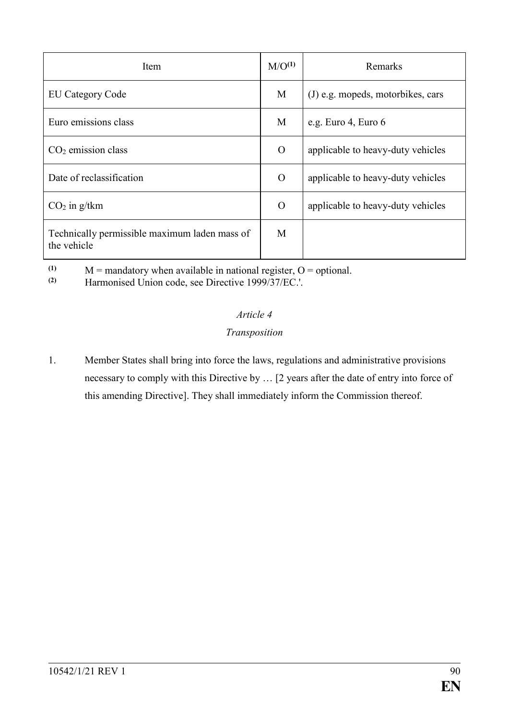| Item                                                         | M/O <sup>(1)</sup> | Remarks                           |
|--------------------------------------------------------------|--------------------|-----------------------------------|
| <b>EU Category Code</b>                                      | M                  | (J) e.g. mopeds, motorbikes, cars |
| Euro emissions class                                         | M                  | e.g. Euro 4, Euro 6               |
| $CO2$ emission class                                         | O                  | applicable to heavy-duty vehicles |
| Date of reclassification                                     | O                  | applicable to heavy-duty vehicles |
| $CO2$ in g/tkm                                               | O                  | applicable to heavy-duty vehicles |
| Technically permissible maximum laden mass of<br>the vehicle | M                  |                                   |

(1)  $M =$  mandatory when available in national register,  $O =$  optional.<br>
(2) Harmonised Union code, see Directive 1999/37/FC

**(2)** Harmonised Union code, see Directive 1999/37/EC.'.

### *Article 4*

### *Transposition*

1. Member States shall bring into force the laws, regulations and administrative provisions necessary to comply with this Directive by … [2 years after the date of entry into force of this amending Directive]. They shall immediately inform the Commission thereof.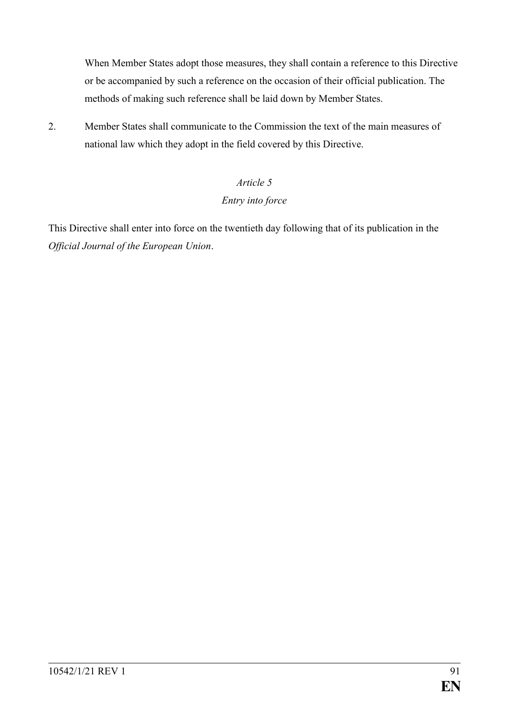When Member States adopt those measures, they shall contain a reference to this Directive or be accompanied by such a reference on the occasion of their official publication. The methods of making such reference shall be laid down by Member States.

2. Member States shall communicate to the Commission the text of the main measures of national law which they adopt in the field covered by this Directive.

# *Article 5*

#### *Entry into force*

This Directive shall enter into force on the twentieth day following that of its publication in the *Official Journal of the European Union*.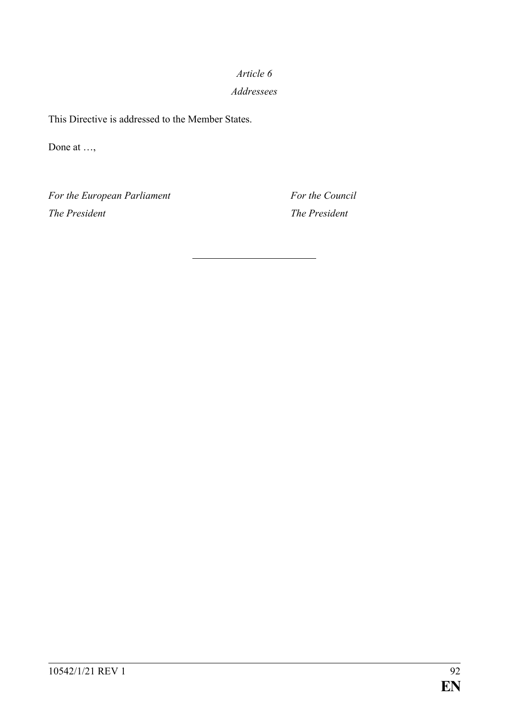# *Article 6 Addressees*

This Directive is addressed to the Member States.

Done at …,

*For the European Parliament For the Council The President The President*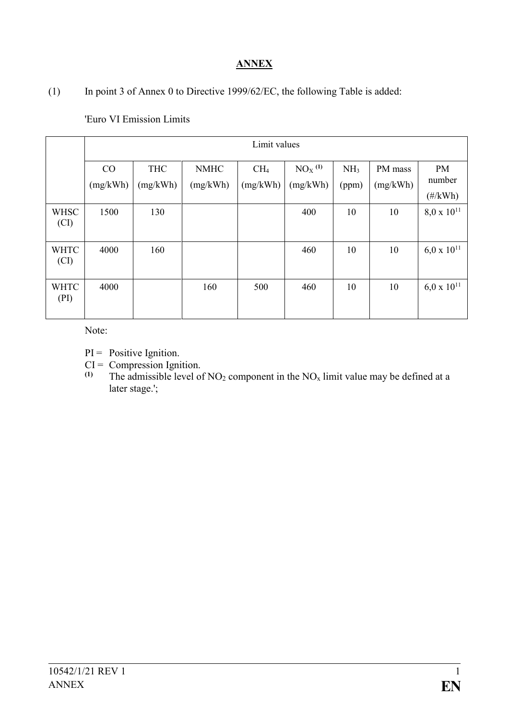## **ANNEX**

(1) In point 3 of Annex 0 to Directive 1999/62/EC, the following Table is added:

|                     | Limit values   |                        |                         |                             |                                  |                          |                     |                                           |
|---------------------|----------------|------------------------|-------------------------|-----------------------------|----------------------------------|--------------------------|---------------------|-------------------------------------------|
|                     | CO<br>(mg/kWh) | <b>THC</b><br>(mg/kWh) | <b>NMHC</b><br>(mg/kWh) | CH <sub>4</sub><br>(mg/kWh) | $NOX$ <sup>(1)</sup><br>(mg/kWh) | NH <sub>3</sub><br>(ppm) | PM mass<br>(mg/kWh) | <b>PM</b><br>number<br>$(\frac{\#}{kWh})$ |
| <b>WHSC</b><br>(CI) | 1500           | 130                    |                         |                             | 400                              | 10                       | 10                  | $8.0 \times 10^{11}$                      |
| <b>WHTC</b><br>(CI) | 4000           | 160                    |                         |                             | 460                              | 10                       | 10                  | $6.0 \times 10^{11}$                      |
| <b>WHTC</b><br>(PI) | 4000           |                        | 160                     | 500                         | 460                              | 10                       | 10                  | $6.0 \times 10^{11}$                      |

'Euro VI Emission Limits

Note:

- $PI = Positive Ignition.$
- $CI = Compression Ignition.$ <br>(1) The admissible level of
- The admissible level of  $NO<sub>2</sub>$  component in the  $NO<sub>x</sub>$  limit value may be defined at a later stage.';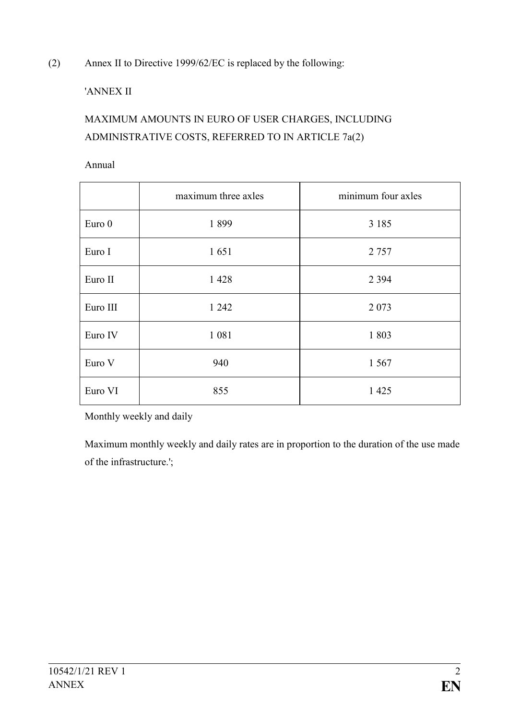(2) Annex II to Directive 1999/62/EC is replaced by the following:

## 'ANNEX II

# MAXIMUM AMOUNTS IN EURO OF USER CHARGES, INCLUDING ADMINISTRATIVE COSTS, REFERRED TO IN ARTICLE 7a(2)

Annual

|          | maximum three axles | minimum four axles |  |
|----------|---------------------|--------------------|--|
| Euro 0   | 1899                | 3 1 8 5            |  |
| Euro I   | 1651                | 2 7 5 7            |  |
| Euro II  | 1428                | 2 3 9 4            |  |
| Euro III | 1 242               | 2 0 7 3            |  |
| Euro IV  | 1 0 8 1             | 1803               |  |
| Euro V   | 940                 | 1 5 6 7            |  |
| Euro VI  | 855                 | 1 4 2 5            |  |

Monthly weekly and daily

Maximum monthly weekly and daily rates are in proportion to the duration of the use made of the infrastructure.';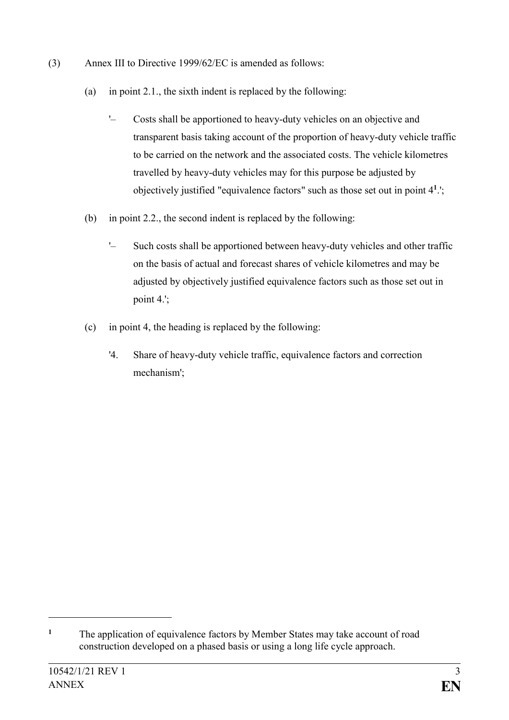- (3) Annex III to Directive 1999/62/EC is amended as follows:
	- (a) in point 2.1., the sixth indent is replaced by the following:
		- '– Costs shall be apportioned to heavy-duty vehicles on an objective and transparent basis taking account of the proportion of heavy-duty vehicle traffic to be carried on the network and the associated costs. The vehicle kilometres travelled by heavy-duty vehicles may for this purpose be adjusted by objectively justified "equivalence factors" such as those set out in point 4**<sup>1</sup>** .';
	- (b) in point 2.2., the second indent is replaced by the following:
		- '– Such costs shall be apportioned between heavy-duty vehicles and other traffic on the basis of actual and forecast shares of vehicle kilometres and may be adjusted by objectively justified equivalence factors such as those set out in point 4.';
	- (c) in point 4, the heading is replaced by the following:
		- '4. Share of heavy-duty vehicle traffic, equivalence factors and correction mechanism';

1

**<sup>1</sup>** The application of equivalence factors by Member States may take account of road construction developed on a phased basis or using a long life cycle approach.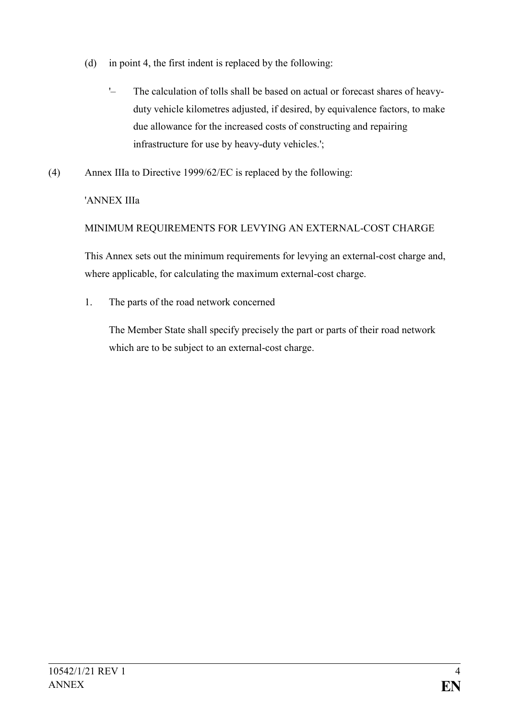- (d) in point 4, the first indent is replaced by the following:
	- '– The calculation of tolls shall be based on actual or forecast shares of heavyduty vehicle kilometres adjusted, if desired, by equivalence factors, to make due allowance for the increased costs of constructing and repairing infrastructure for use by heavy-duty vehicles.';
- (4) Annex IIIa to Directive 1999/62/EC is replaced by the following:

## 'ANNEX IIIa

## MINIMUM REQUIREMENTS FOR LEVYING AN EXTERNAL-COST CHARGE

This Annex sets out the minimum requirements for levying an external-cost charge and, where applicable, for calculating the maximum external-cost charge.

1. The parts of the road network concerned

The Member State shall specify precisely the part or parts of their road network which are to be subject to an external-cost charge.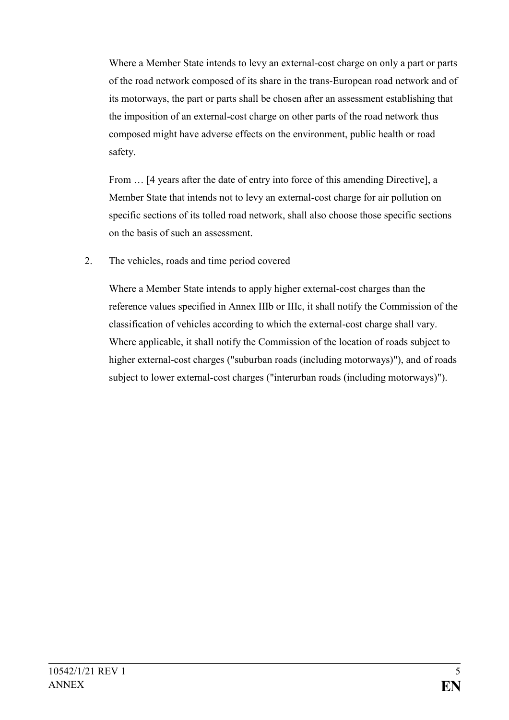Where a Member State intends to levy an external-cost charge on only a part or parts of the road network composed of its share in the trans-European road network and of its motorways, the part or parts shall be chosen after an assessment establishing that the imposition of an external-cost charge on other parts of the road network thus composed might have adverse effects on the environment, public health or road safety.

From  $\ldots$  [4 years after the date of entry into force of this amending Directive], a Member State that intends not to levy an external-cost charge for air pollution on specific sections of its tolled road network, shall also choose those specific sections on the basis of such an assessment.

2. The vehicles, roads and time period covered

Where a Member State intends to apply higher external-cost charges than the reference values specified in Annex IIIb or IIIc, it shall notify the Commission of the classification of vehicles according to which the external-cost charge shall vary. Where applicable, it shall notify the Commission of the location of roads subject to higher external-cost charges ("suburban roads (including motorways)"), and of roads subject to lower external-cost charges ("interurban roads (including motorways)").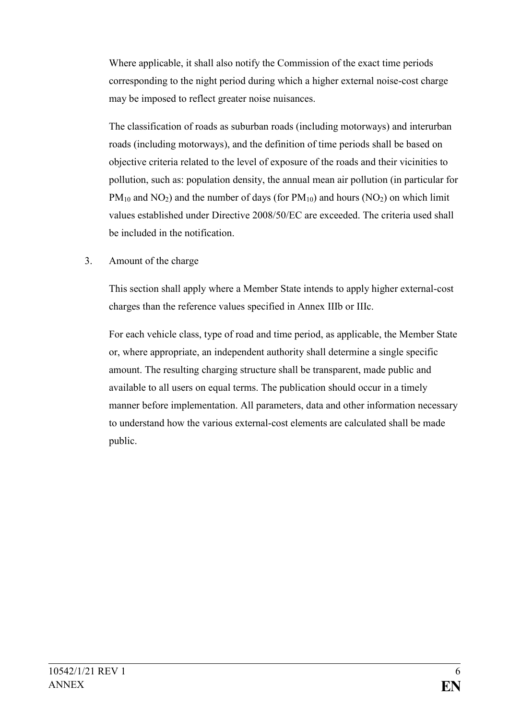Where applicable, it shall also notify the Commission of the exact time periods corresponding to the night period during which a higher external noise-cost charge may be imposed to reflect greater noise nuisances.

The classification of roads as suburban roads (including motorways) and interurban roads (including motorways), and the definition of time periods shall be based on objective criteria related to the level of exposure of the roads and their vicinities to pollution, such as: population density, the annual mean air pollution (in particular for  $PM_{10}$  and NO<sub>2</sub>) and the number of days (for  $PM_{10}$ ) and hours (NO<sub>2</sub>) on which limit values established under Directive 2008/50/EC are exceeded. The criteria used shall be included in the notification.

3. Amount of the charge

This section shall apply where a Member State intends to apply higher external-cost charges than the reference values specified in Annex IIIb or IIIc.

For each vehicle class, type of road and time period, as applicable, the Member State or, where appropriate, an independent authority shall determine a single specific amount. The resulting charging structure shall be transparent, made public and available to all users on equal terms. The publication should occur in a timely manner before implementation. All parameters, data and other information necessary to understand how the various external-cost elements are calculated shall be made public.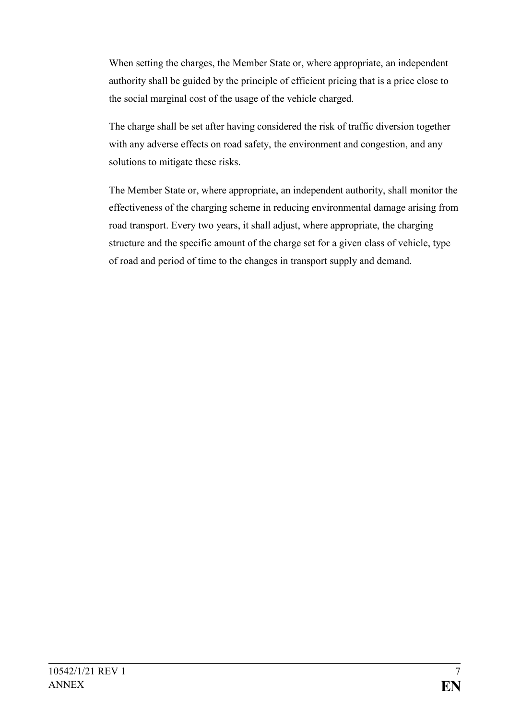When setting the charges, the Member State or, where appropriate, an independent authority shall be guided by the principle of efficient pricing that is a price close to the social marginal cost of the usage of the vehicle charged.

The charge shall be set after having considered the risk of traffic diversion together with any adverse effects on road safety, the environment and congestion, and any solutions to mitigate these risks.

The Member State or, where appropriate, an independent authority, shall monitor the effectiveness of the charging scheme in reducing environmental damage arising from road transport. Every two years, it shall adjust, where appropriate, the charging structure and the specific amount of the charge set for a given class of vehicle, type of road and period of time to the changes in transport supply and demand.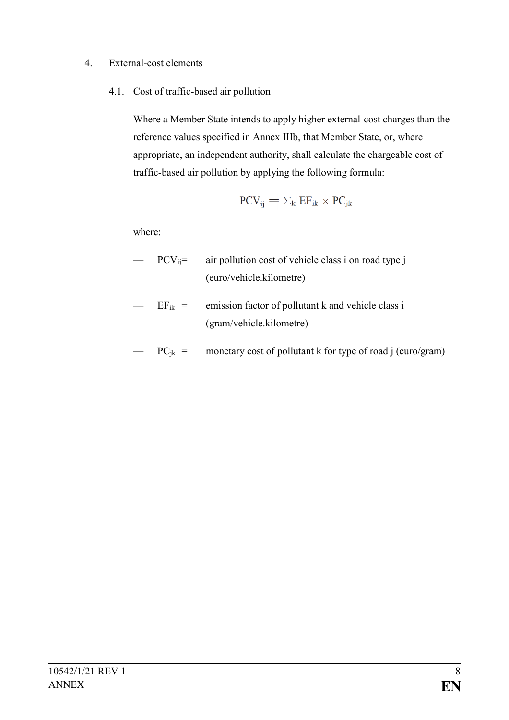### 4. External-cost elements

4.1. Cost of traffic-based air pollution

Where a Member State intends to apply higher external-cost charges than the reference values specified in Annex IIIb, that Member State, or, where appropriate, an independent authority, shall calculate the chargeable cost of traffic-based air pollution by applying the following formula:

$$
PCV_{ij} = \Sigma_k EF_{ik} \times PC_{jk}
$$

where:

- $PCV_{ij}$  = air pollution cost of vehicle class i on road type j (euro/vehicle.kilometre)
- $EF_{ik}$  = emission factor of pollutant k and vehicle class i (gram/vehicle.kilometre)
- $PC_{ik}$  = monetary cost of pollutant k for type of road j (euro/gram)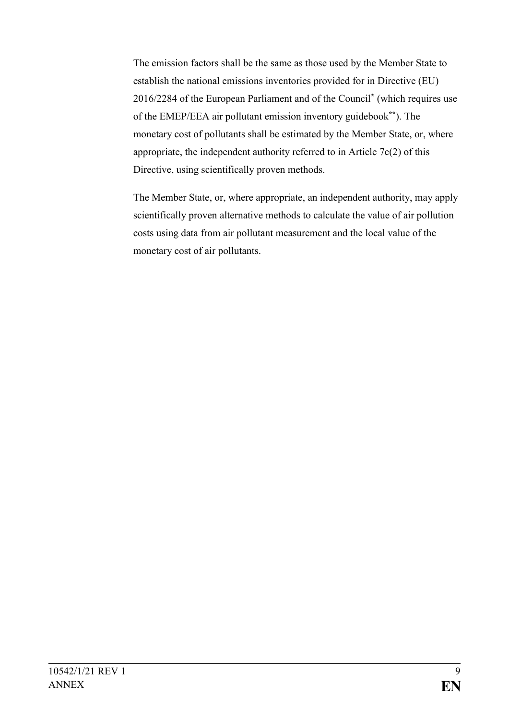The emission factors shall be the same as those used by the Member State to establish the national emissions inventories provided for in Directive (EU) 2016/2284 of the European Parliament and of the Council**\*** (which requires use of the EMEP/EEA air pollutant emission inventory guidebook**\*\***). The monetary cost of pollutants shall be estimated by the Member State, or, where appropriate, the independent authority referred to in Article 7c(2) of this Directive, using scientifically proven methods.

The Member State, or, where appropriate, an independent authority, may apply scientifically proven alternative methods to calculate the value of air pollution costs using data from air pollutant measurement and the local value of the monetary cost of air pollutants.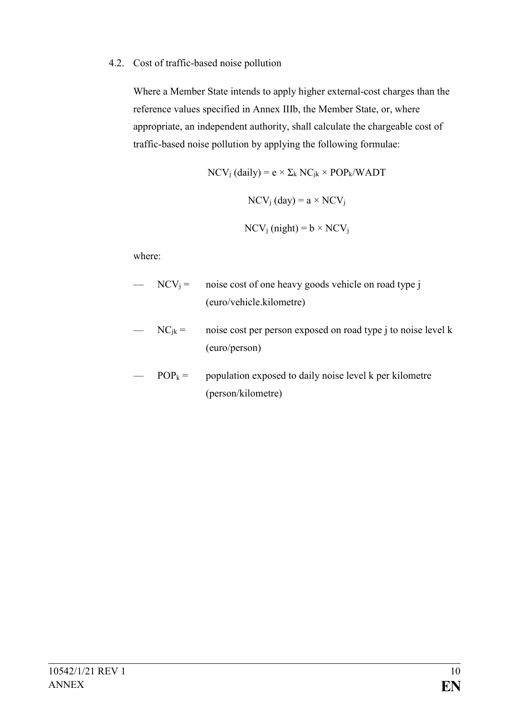#### 4.2. Cost of traffic-based noise pollution

Where a Member State intends to apply higher external-cost charges than the reference values specified in Annex IIIb, the Member State, or, where appropriate, an independent authority, shall calculate the chargeable cost of traffic-based noise pollution by applying the following formulae:

$$
NCV_j (daily) = e \times \Sigma_k NC_{jk} \times POP_k/WADT
$$

$$
NCV_j (day) = a \times NCV_j
$$

$$
NCV_j (night) = b \times NCV_j
$$

where:

- $NCV_i =$  noise cost of one heavy goods vehicle on road type j (euro/vehicle.kilometre)
- $NC_{jk}$  = noise cost per person exposed on road type j to noise level k (euro/person)
- $POP_k =$  population exposed to daily noise level k per kilometre (person/kilometre)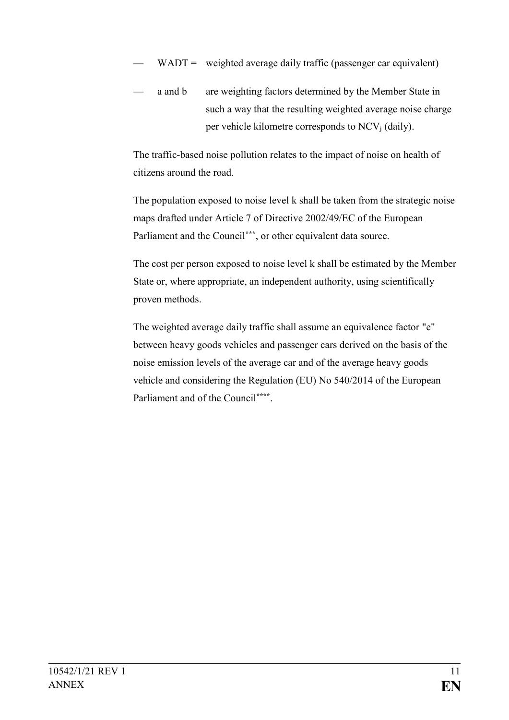- $WADT =$  weighted average daily traffic (passenger car equivalent)
- a and b are weighting factors determined by the Member State in such a way that the resulting weighted average noise charge per vehicle kilometre corresponds to  $NCV_i$  (daily).

The traffic-based noise pollution relates to the impact of noise on health of citizens around the road.

The population exposed to noise level k shall be taken from the strategic noise maps drafted under Article 7 of Directive 2002/49/EC of the European Parliament and the Council**\*\*\***, or other equivalent data source.

The cost per person exposed to noise level k shall be estimated by the Member State or, where appropriate, an independent authority, using scientifically proven methods.

The weighted average daily traffic shall assume an equivalence factor "e" between heavy goods vehicles and passenger cars derived on the basis of the noise emission levels of the average car and of the average heavy goods vehicle and considering the Regulation (EU) No 540/2014 of the European Parliament and of the Council**\*\*\*\*** .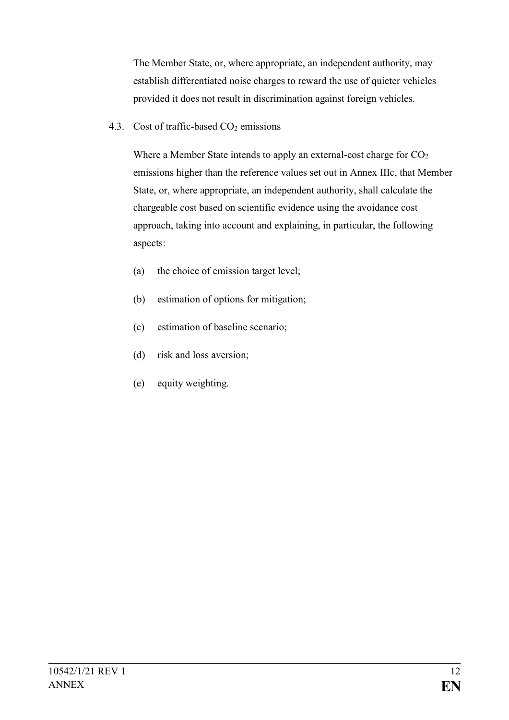The Member State, or, where appropriate, an independent authority, may establish differentiated noise charges to reward the use of quieter vehicles provided it does not result in discrimination against foreign vehicles.

4.3. Cost of traffic-based  $CO<sub>2</sub>$  emissions

Where a Member State intends to apply an external-cost charge for  $CO<sub>2</sub>$ emissions higher than the reference values set out in Annex IIIc, that Member State, or, where appropriate, an independent authority, shall calculate the chargeable cost based on scientific evidence using the avoidance cost approach, taking into account and explaining, in particular, the following aspects:

- (a) the choice of emission target level;
- (b) estimation of options for mitigation;
- (c) estimation of baseline scenario;
- (d) risk and loss aversion;
- (e) equity weighting.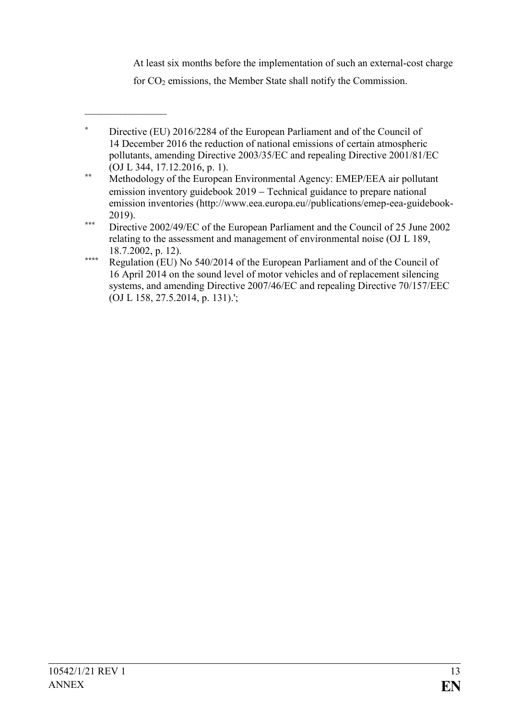At least six months before the implementation of such an external-cost charge

for CO<sup>2</sup> emissions, the Member State shall notify the Commission.

 $\frac{1}{2}$ 

**<sup>\*</sup>** Directive (EU) 2016/2284 of the European Parliament and of the Council of 14 December 2016 the reduction of national emissions of certain atmospheric pollutants, amending Directive 2003/35/EC and repealing Directive 2001/81/EC (OJ L 344, 17.12.2016, p. 1).

**<sup>\*\*</sup>** Methodology of the European Environmental Agency: EMEP/EEA air pollutant emission inventory guidebook 2019 – Technical guidance to prepare national emission inventories (http://www.eea.europa.eu//publications/emep-eea-guidebook-2019).

**<sup>\*\*\*</sup>** Directive 2002/49/EC of the European Parliament and the Council of 25 June 2002 relating to the assessment and management of environmental noise (OJ L 189, 18.7.2002, p. 12).

**<sup>\*\*\*\*</sup>** Regulation (EU) No 540/2014 of the European Parliament and of the Council of 16 April 2014 on the sound level of motor vehicles and of replacement silencing systems, and amending Directive 2007/46/EC and repealing Directive 70/157/EEC (OJ L 158, 27.5.2014, p. 131).';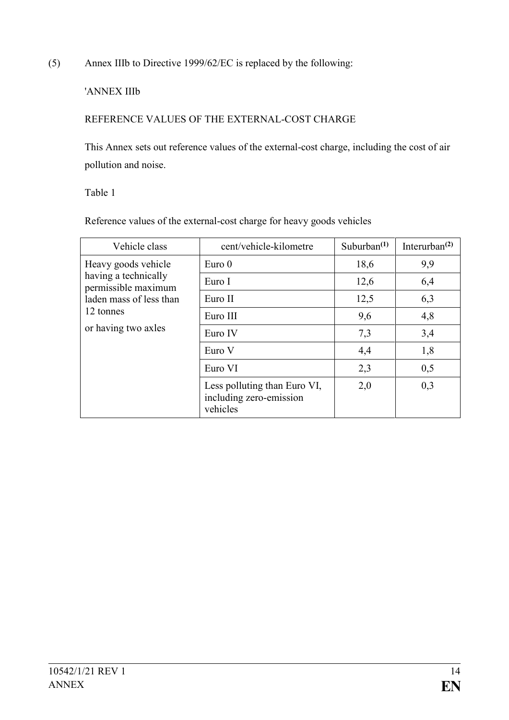(5) Annex IIIb to Directive 1999/62/EC is replaced by the following:

## 'ANNEX IIIb

## REFERENCE VALUES OF THE EXTERNAL-COST CHARGE

This Annex sets out reference values of the external-cost charge, including the cost of air pollution and noise.

Table 1

Reference values of the external-cost charge for heavy goods vehicles

| Vehicle class                                                                                                                     | cent/vehicle-kilometre                                              | Suburban $(1)$ | Interurban $^{(2)}$ |
|-----------------------------------------------------------------------------------------------------------------------------------|---------------------------------------------------------------------|----------------|---------------------|
| Heavy goods vehicle<br>having a technically<br>permissible maximum<br>laden mass of less than<br>12 tonnes<br>or having two axles | Euro <sub>0</sub>                                                   | 18,6           | 9,9                 |
|                                                                                                                                   | Euro I                                                              | 12,6           | 6,4                 |
|                                                                                                                                   | Euro II                                                             | 12,5           | 6,3                 |
|                                                                                                                                   | Euro III                                                            | 9,6            | 4,8                 |
|                                                                                                                                   | Euro IV                                                             | 7,3            | 3,4                 |
|                                                                                                                                   | Euro V                                                              | 4,4            | 1,8                 |
|                                                                                                                                   | Euro VI                                                             | 2,3            | 0,5                 |
|                                                                                                                                   | Less polluting than Euro VI,<br>including zero-emission<br>vehicles | 2,0            | 0,3                 |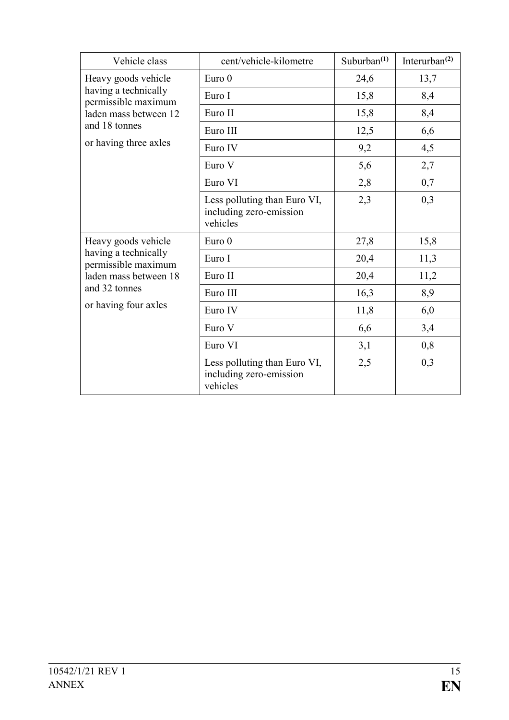| Vehicle class                                                                                                                        | cent/vehicle-kilometre                                              | Suburban $(1)$ | Interurban $^{(2)}$ |
|--------------------------------------------------------------------------------------------------------------------------------------|---------------------------------------------------------------------|----------------|---------------------|
| Heavy goods vehicle<br>having a technically<br>permissible maximum<br>laden mass between 12                                          | Euro $0$                                                            | 24,6           | 13,7                |
|                                                                                                                                      | Euro I                                                              | 15,8           | 8,4                 |
|                                                                                                                                      | Euro II                                                             | 15,8           | 8,4                 |
| and 18 tonnes                                                                                                                        | Euro III                                                            | 12,5           | 6,6                 |
| or having three axles                                                                                                                | Euro IV                                                             | 9,2            | 4,5                 |
|                                                                                                                                      | Euro V                                                              | 5,6            | 2,7                 |
|                                                                                                                                      | Euro VI                                                             | 2,8            | 0,7                 |
|                                                                                                                                      | Less polluting than Euro VI,<br>including zero-emission<br>vehicles | 2,3            | 0,3                 |
| Heavy goods vehicle<br>having a technically<br>permissible maximum<br>laden mass between 18<br>and 32 tonnes<br>or having four axles | Euro 0                                                              | 27,8           | 15,8                |
|                                                                                                                                      | Euro I                                                              | 20,4           | 11,3                |
|                                                                                                                                      | Euro II                                                             | 20,4           | 11,2                |
|                                                                                                                                      | Euro III                                                            | 16,3           | 8,9                 |
|                                                                                                                                      | Euro IV                                                             | 11,8           | 6,0                 |
|                                                                                                                                      | Euro V                                                              | 6,6            | 3,4                 |
|                                                                                                                                      | Euro VI                                                             | 3,1            | 0,8                 |
|                                                                                                                                      | Less polluting than Euro VI,<br>including zero-emission<br>vehicles | 2,5            | 0,3                 |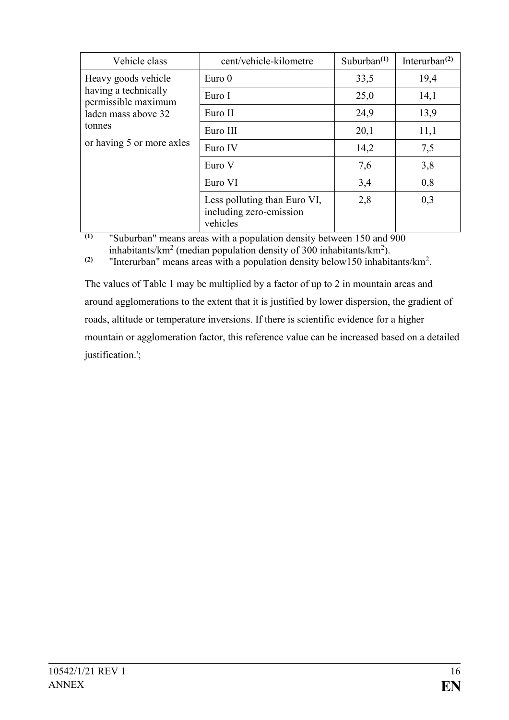| Vehicle class                               | cent/vehicle-kilometre                                              | Suburban $(1)$ | Interurban $^{(2)}$ |
|---------------------------------------------|---------------------------------------------------------------------|----------------|---------------------|
| Heavy goods vehicle                         | Euro <sub>0</sub>                                                   | 33,5           | 19,4                |
| having a technically<br>permissible maximum | Euro I                                                              | 25,0           | 14,1                |
| laden mass above 32                         | Euro II                                                             | 24,9           | 13,9                |
| tonnes                                      | Euro III                                                            | 20,1           | 11,1                |
| or having 5 or more axles                   | Euro IV                                                             | 14,2           | 7,5                 |
|                                             | Euro V                                                              | 7,6            | 3,8                 |
|                                             | Euro VI                                                             | 3,4            | 0,8                 |
|                                             | Less polluting than Euro VI,<br>including zero-emission<br>vehicles | 2,8            | 0,3                 |

**(1)** "Suburban" means areas with a population density between 150 and 900 inhabitants/km<sup>2</sup> (median population density of 300 inhabitants/km<sup>2</sup>).

**(2)** "Interurban" means areas with a population density below150 inhabitants/ $km^2$ .

The values of Table 1 may be multiplied by a factor of up to 2 in mountain areas and around agglomerations to the extent that it is justified by lower dispersion, the gradient of roads, altitude or temperature inversions. If there is scientific evidence for a higher mountain or agglomeration factor, this reference value can be increased based on a detailed justification.';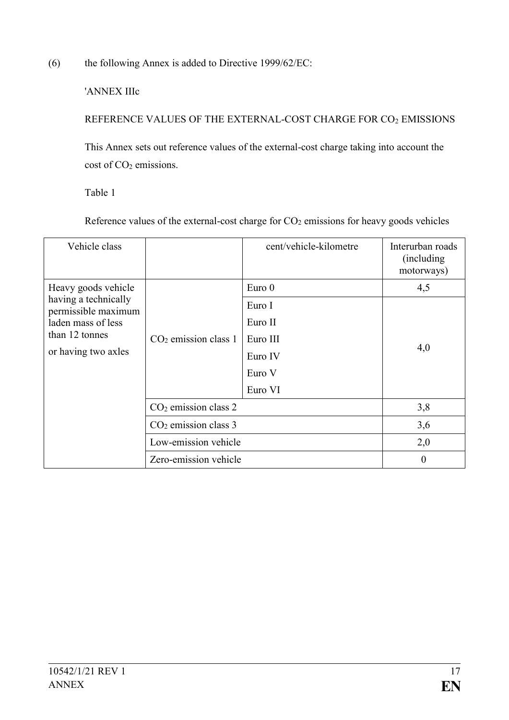(6) the following Annex is added to Directive 1999/62/EC:

'ANNEX IIIc

REFERENCE VALUES OF THE EXTERNAL-COST CHARGE FOR CO<sup>2</sup> EMISSIONS

This Annex sets out reference values of the external-cost charge taking into account the cost of CO<sub>2</sub> emissions.

Table 1

Reference values of the external-cost charge for  $CO<sub>2</sub>$  emissions for heavy goods vehicles

| Vehicle class                               |                        | cent/vehicle-kilometre | Interurban roads<br>(including)<br>motorways) |
|---------------------------------------------|------------------------|------------------------|-----------------------------------------------|
| Heavy goods vehicle                         |                        | Euro $0$               | 4,5                                           |
| having a technically<br>permissible maximum |                        | Euro I                 |                                               |
| laden mass of less                          | $CO2$ emission class 1 | Euro II                | 4,0                                           |
| than 12 tonnes<br>or having two axles       |                        | Euro III               |                                               |
|                                             |                        | Euro IV                |                                               |
|                                             |                        | Euro V                 |                                               |
|                                             |                        | Euro VI                |                                               |
|                                             | $CO2$ emission class 2 |                        | 3,8                                           |
|                                             | $CO2$ emission class 3 |                        | 3,6                                           |
|                                             | Low-emission vehicle   |                        | 2,0                                           |
|                                             | Zero-emission vehicle  |                        | $\boldsymbol{0}$                              |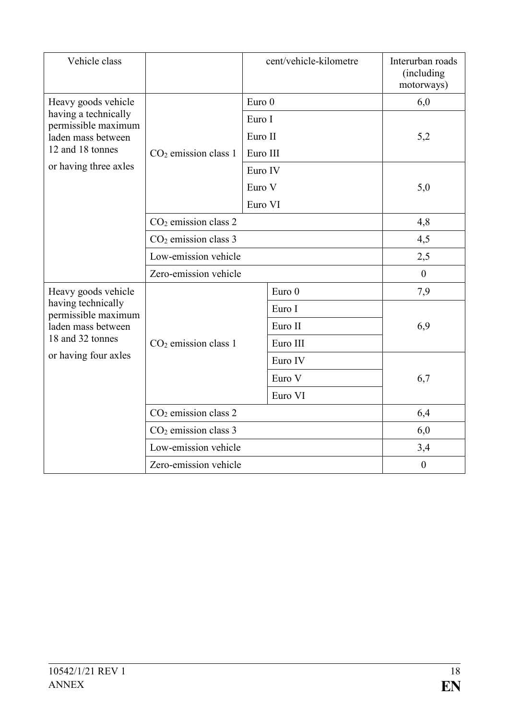| Vehicle class                               |                        |          | cent/vehicle-kilometre | Interurban roads<br>(including<br>motorways) |  |
|---------------------------------------------|------------------------|----------|------------------------|----------------------------------------------|--|
| Heavy goods vehicle                         |                        | Euro 0   |                        | 6,0                                          |  |
| having a technically<br>permissible maximum |                        | Euro I   |                        |                                              |  |
| laden mass between                          |                        | Euro II  |                        | 5,2                                          |  |
| 12 and 18 tonnes                            | $CO2$ emission class 1 | Euro III |                        |                                              |  |
| or having three axles                       |                        | Euro IV  |                        |                                              |  |
|                                             |                        | Euro V   |                        | 5,0                                          |  |
|                                             |                        | Euro VI  |                        |                                              |  |
|                                             | $CO2$ emission class 2 |          | 4,8                    |                                              |  |
|                                             | $CO2$ emission class 3 |          | 4,5                    |                                              |  |
|                                             | Low-emission vehicle   |          | 2,5                    |                                              |  |
|                                             | Zero-emission vehicle  |          |                        | $\overline{0}$                               |  |
| Heavy goods vehicle                         |                        |          | Euro <sub>0</sub>      | 7,9                                          |  |
| having technically<br>permissible maximum   |                        |          | Euro I                 |                                              |  |
| laden mass between                          |                        |          | Euro II                | 6,9                                          |  |
| 18 and 32 tonnes                            | $CO2$ emission class 1 |          | Euro III               |                                              |  |
| or having four axles                        |                        |          | Euro IV                |                                              |  |
|                                             |                        |          | Euro V                 | 6,7                                          |  |
|                                             |                        |          | Euro VI                |                                              |  |
|                                             | $CO2$ emission class 2 |          | 6,4                    |                                              |  |
|                                             | $CO2$ emission class 3 |          |                        | 6,0                                          |  |
|                                             | Low-emission vehicle   |          |                        | 3,4                                          |  |
| Zero-emission vehicle                       |                        |          |                        | $\boldsymbol{0}$                             |  |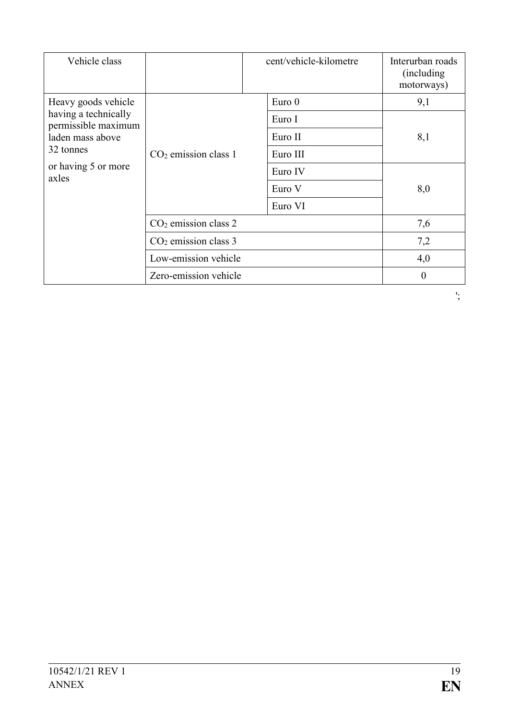| Vehicle class                               |                        | cent/vehicle-kilometre | Interurban roads<br>(including)<br>motorways) |
|---------------------------------------------|------------------------|------------------------|-----------------------------------------------|
| Heavy goods vehicle                         |                        | Euro <sub>0</sub>      | 9,1                                           |
| having a technically<br>permissible maximum |                        | Euro I                 |                                               |
| laden mass above                            |                        | Euro II                | 8,1                                           |
| 32 tonnes<br>or having 5 or more<br>axles   | $CO2$ emission class 1 | Euro III               |                                               |
|                                             |                        | Euro IV                |                                               |
|                                             |                        | Euro V                 | 8,0                                           |
|                                             |                        | Euro VI                |                                               |
|                                             | $CO2$ emission class 2 |                        | 7,6                                           |
|                                             | $CO2$ emission class 3 |                        | 7,2                                           |
|                                             | Low-emission vehicle   |                        | 4,0                                           |
|                                             | Zero-emission vehicle  |                        | $\theta$                                      |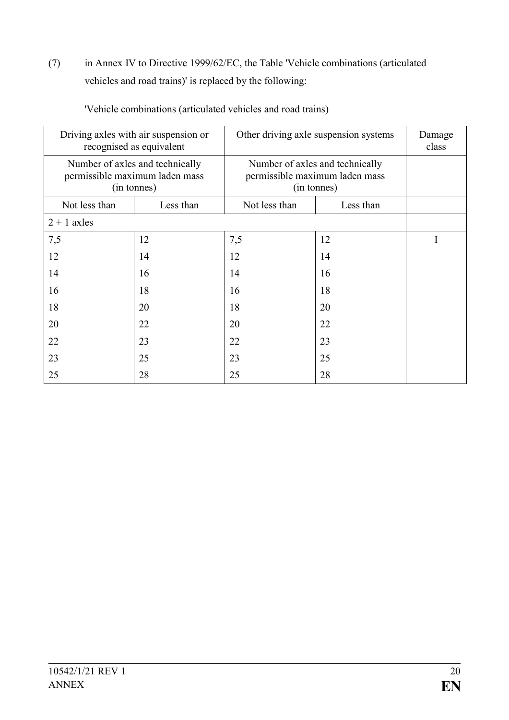(7) in Annex IV to Directive 1999/62/EC, the Table 'Vehicle combinations (articulated vehicles and road trains)' is replaced by the following:

| Driving axles with air suspension or<br>recognised as equivalent |                                                                                  | Other driving axle suspension systems                                            |           | Damage<br>class |
|------------------------------------------------------------------|----------------------------------------------------------------------------------|----------------------------------------------------------------------------------|-----------|-----------------|
|                                                                  | Number of axles and technically<br>permissible maximum laden mass<br>(in tonnes) | Number of axles and technically<br>permissible maximum laden mass<br>(in tonnes) |           |                 |
| Not less than                                                    | Less than                                                                        | Not less than                                                                    | Less than |                 |
| $2 + 1$ axles                                                    |                                                                                  |                                                                                  |           |                 |
| 7,5                                                              | 12                                                                               | 7,5                                                                              | 12        |                 |
| 12                                                               | 14                                                                               | 12                                                                               | 14        |                 |
| 14                                                               | 16                                                                               | 14                                                                               | 16        |                 |
| 16                                                               | 18                                                                               | 16                                                                               | 18        |                 |
| 18                                                               | 20                                                                               | 18                                                                               | 20        |                 |
| 20                                                               | 22                                                                               | 20                                                                               | 22        |                 |
| 22                                                               | 23                                                                               | 22                                                                               | 23        |                 |
| 23                                                               | 25                                                                               | 23                                                                               | 25        |                 |
| 25                                                               | 28                                                                               | 25                                                                               | 28        |                 |

'Vehicle combinations (articulated vehicles and road trains)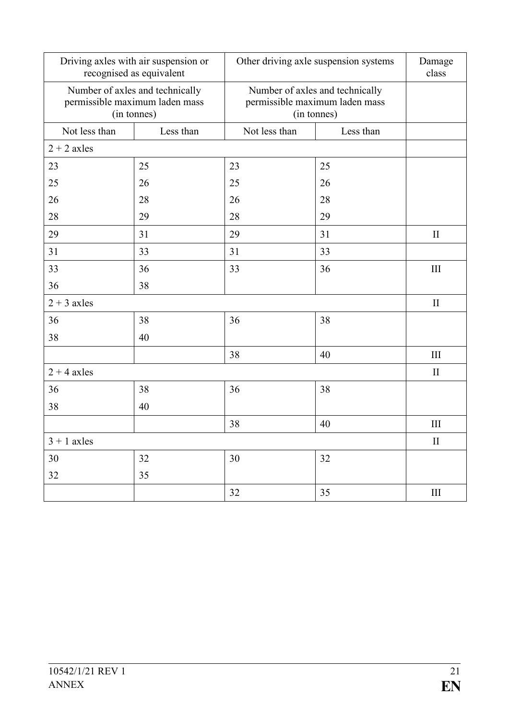| Driving axles with air suspension or<br>recognised as equivalent |                                                                                  | Other driving axle suspension systems                                            |           | Damage<br>class    |
|------------------------------------------------------------------|----------------------------------------------------------------------------------|----------------------------------------------------------------------------------|-----------|--------------------|
|                                                                  | Number of axles and technically<br>permissible maximum laden mass<br>(in tonnes) | Number of axles and technically<br>permissible maximum laden mass<br>(in tonnes) |           |                    |
| Not less than                                                    | Less than                                                                        | Not less than                                                                    | Less than |                    |
| $2 + 2$ axles                                                    |                                                                                  |                                                                                  |           |                    |
| 23                                                               | 25                                                                               | 23                                                                               | 25        |                    |
| 25                                                               | 26                                                                               | 25                                                                               | 26        |                    |
| 26                                                               | 28                                                                               | 26                                                                               | 28        |                    |
| 28                                                               | 29                                                                               | 28                                                                               | 29        |                    |
| 29                                                               | 31                                                                               | 29                                                                               | 31        | $\mathbf{I}$       |
| 31                                                               | 33                                                                               | 31                                                                               | 33        |                    |
| 33                                                               | 36                                                                               | 33                                                                               | 36        | III                |
| 36                                                               | 38                                                                               |                                                                                  |           |                    |
| $2 + 3$ axles                                                    |                                                                                  |                                                                                  |           | $\mathbf{I}$       |
| 36                                                               | 38                                                                               | 36                                                                               | 38        |                    |
| 38                                                               | 40                                                                               |                                                                                  |           |                    |
|                                                                  |                                                                                  | 38                                                                               | 40        | $\rm III$          |
| $2 + 4$ axles                                                    |                                                                                  |                                                                                  |           | $\mathbf{I}$       |
| 36                                                               | 38                                                                               | 36                                                                               | 38        |                    |
| 38                                                               | 40                                                                               |                                                                                  |           |                    |
|                                                                  |                                                                                  | 38                                                                               | 40        | $\mathop{\rm III}$ |
| $3 + 1$ axles                                                    |                                                                                  |                                                                                  | $\rm II$  |                    |
| $30\,$                                                           | 32                                                                               | 30                                                                               | 32        |                    |
| 32                                                               | 35                                                                               |                                                                                  |           |                    |
|                                                                  |                                                                                  | 32                                                                               | 35        | $\rm III$          |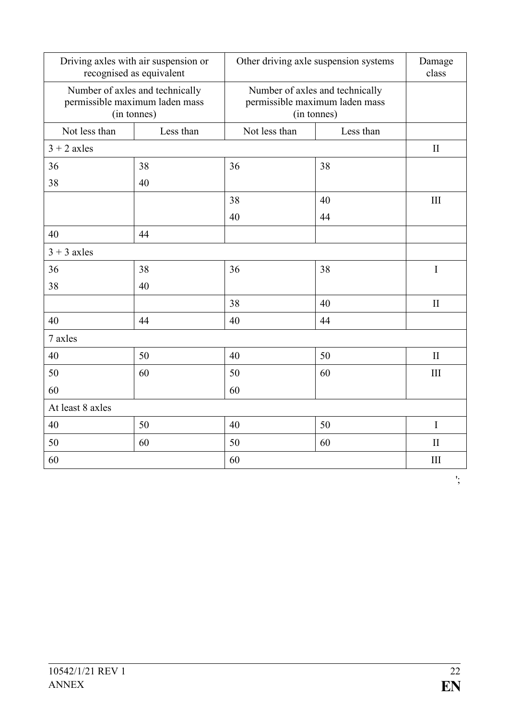|                  | Driving axles with air suspension or<br>recognised as equivalent                 |               | Other driving axle suspension systems                                            | Damage<br>class |
|------------------|----------------------------------------------------------------------------------|---------------|----------------------------------------------------------------------------------|-----------------|
|                  | Number of axles and technically<br>permissible maximum laden mass<br>(in tonnes) |               | Number of axles and technically<br>permissible maximum laden mass<br>(in tonnes) |                 |
| Not less than    | Less than                                                                        | Not less than | Less than                                                                        |                 |
| $3 + 2$ axles    |                                                                                  |               |                                                                                  | $\mathbf{I}$    |
| 36               | 38                                                                               | 36            | 38                                                                               |                 |
| 38               | 40                                                                               |               |                                                                                  |                 |
|                  |                                                                                  | 38            | 40                                                                               | III             |
|                  |                                                                                  | 40            | 44                                                                               |                 |
| 40               | 44                                                                               |               |                                                                                  |                 |
| $3 + 3$ axles    |                                                                                  |               |                                                                                  |                 |
| 36               | 38                                                                               | 36            | 38                                                                               | $\bf I$         |
| 38               | 40                                                                               |               |                                                                                  |                 |
|                  |                                                                                  | 38            | 40                                                                               | $\mathbf{I}$    |
| 40               | 44                                                                               | 40            | 44                                                                               |                 |
| 7 axles          |                                                                                  |               |                                                                                  |                 |
| 40               | 50                                                                               | 40            | 50                                                                               | $\mathbf{I}$    |
| 50               | 60                                                                               | 50            | 60                                                                               | III             |
| 60               |                                                                                  | 60            |                                                                                  |                 |
| At least 8 axles |                                                                                  |               |                                                                                  |                 |
| 40               | 50                                                                               | 40            | 50                                                                               | I               |
| 50               | 60                                                                               | 50            | 60                                                                               | $\mathbf{I}$    |
| 60               |                                                                                  | 60            |                                                                                  | III             |

';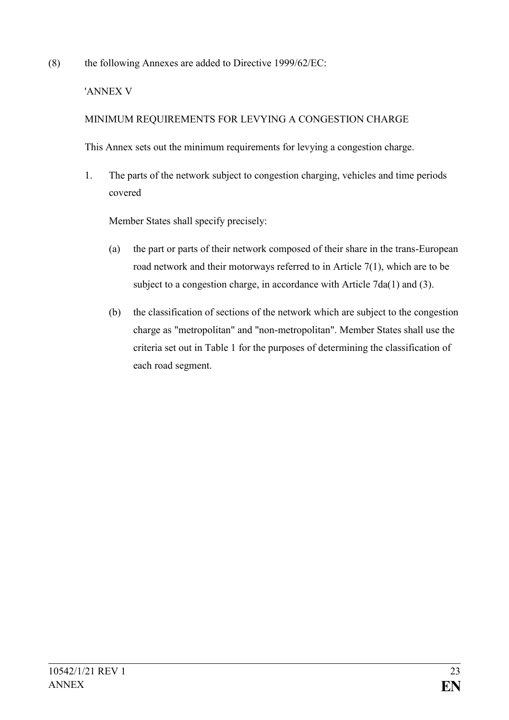(8) the following Annexes are added to Directive 1999/62/EC:

#### 'ANNEX V

## MINIMUM REQUIREMENTS FOR LEVYING A CONGESTION CHARGE

This Annex sets out the minimum requirements for levying a congestion charge.

1. The parts of the network subject to congestion charging, vehicles and time periods covered

Member States shall specify precisely:

- (a) the part or parts of their network composed of their share in the trans-European road network and their motorways referred to in Article 7(1), which are to be subject to a congestion charge, in accordance with Article 7da(1) and (3).
- (b) the classification of sections of the network which are subject to the congestion charge as "metropolitan" and "non-metropolitan". Member States shall use the criteria set out in Table 1 for the purposes of determining the classification of each road segment.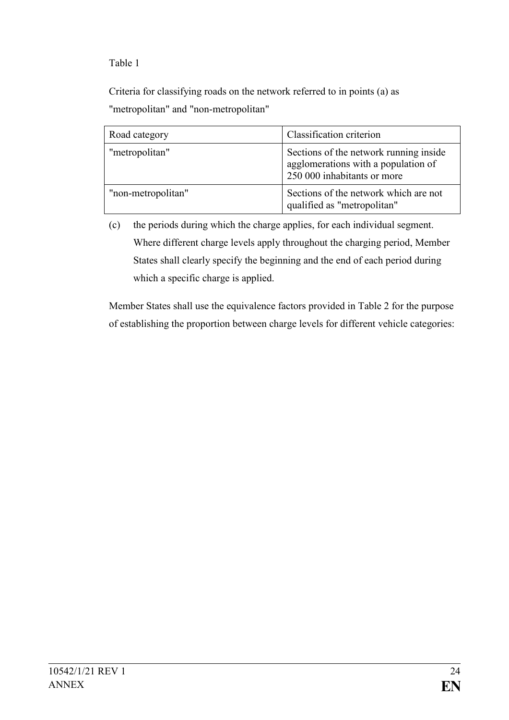Table 1

Criteria for classifying roads on the network referred to in points (a) as "metropolitan" and "non-metropolitan"

| Road category      | Classification criterion                                                                                     |
|--------------------|--------------------------------------------------------------------------------------------------------------|
| "metropolitan"     | Sections of the network running inside<br>agglomerations with a population of<br>250 000 inhabitants or more |
| "non-metropolitan" | Sections of the network which are not<br>qualified as "metropolitan"                                         |

(c) the periods during which the charge applies, for each individual segment. Where different charge levels apply throughout the charging period, Member States shall clearly specify the beginning and the end of each period during which a specific charge is applied.

Member States shall use the equivalence factors provided in Table 2 for the purpose of establishing the proportion between charge levels for different vehicle categories: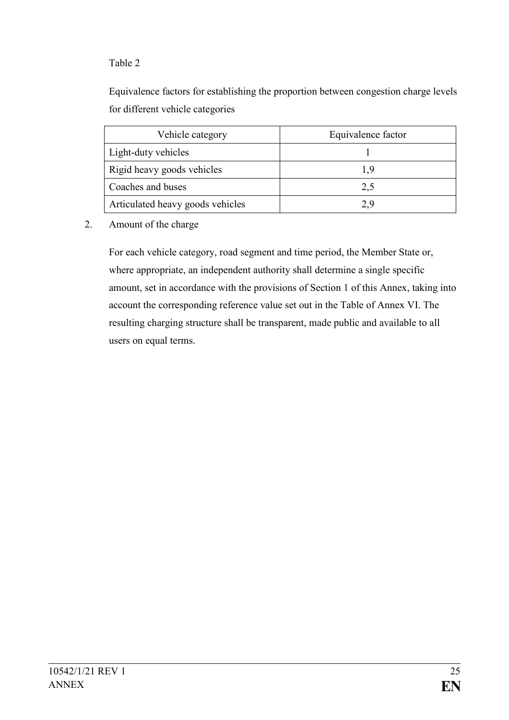## Table 2

Equivalence factors for establishing the proportion between congestion charge levels for different vehicle categories

| Vehicle category                 | Equivalence factor |
|----------------------------------|--------------------|
| Light-duty vehicles              |                    |
| Rigid heavy goods vehicles       | I 9                |
| Coaches and buses                | 2,5                |
| Articulated heavy goods vehicles | 29                 |

#### 2. Amount of the charge

For each vehicle category, road segment and time period, the Member State or, where appropriate, an independent authority shall determine a single specific amount, set in accordance with the provisions of Section 1 of this Annex, taking into account the corresponding reference value set out in the Table of Annex VI. The resulting charging structure shall be transparent, made public and available to all users on equal terms.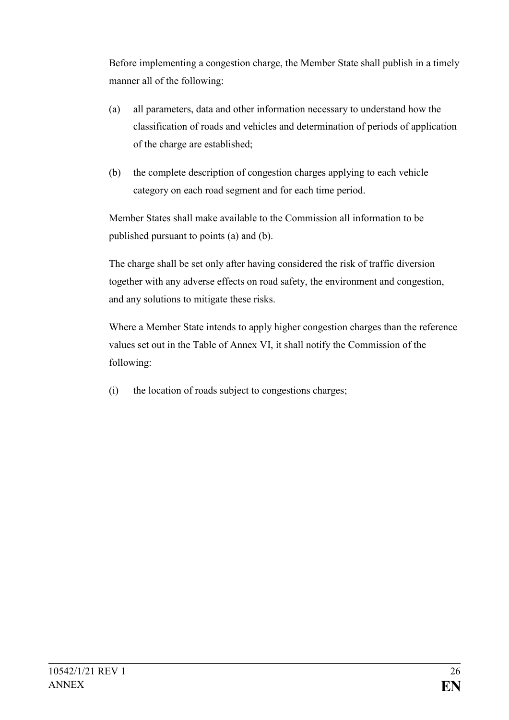Before implementing a congestion charge, the Member State shall publish in a timely manner all of the following:

- (a) all parameters, data and other information necessary to understand how the classification of roads and vehicles and determination of periods of application of the charge are established;
- (b) the complete description of congestion charges applying to each vehicle category on each road segment and for each time period.

Member States shall make available to the Commission all information to be published pursuant to points (a) and (b).

The charge shall be set only after having considered the risk of traffic diversion together with any adverse effects on road safety, the environment and congestion, and any solutions to mitigate these risks.

Where a Member State intends to apply higher congestion charges than the reference values set out in the Table of Annex VI, it shall notify the Commission of the following:

(i) the location of roads subject to congestions charges;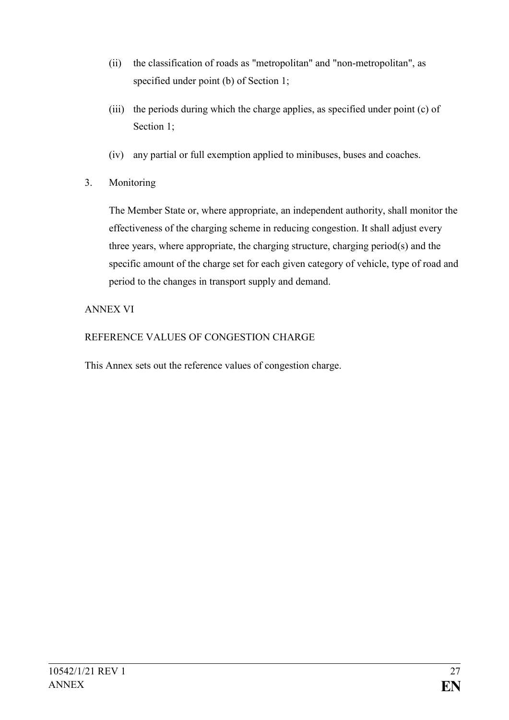- (ii) the classification of roads as "metropolitan" and "non-metropolitan", as specified under point (b) of Section 1;
- (iii) the periods during which the charge applies, as specified under point (c) of Section 1:
- (iv) any partial or full exemption applied to minibuses, buses and coaches.
- 3. Monitoring

The Member State or, where appropriate, an independent authority, shall monitor the effectiveness of the charging scheme in reducing congestion. It shall adjust every three years, where appropriate, the charging structure, charging period(s) and the specific amount of the charge set for each given category of vehicle, type of road and period to the changes in transport supply and demand.

## ANNEX VI

REFERENCE VALUES OF CONGESTION CHARGE

This Annex sets out the reference values of congestion charge.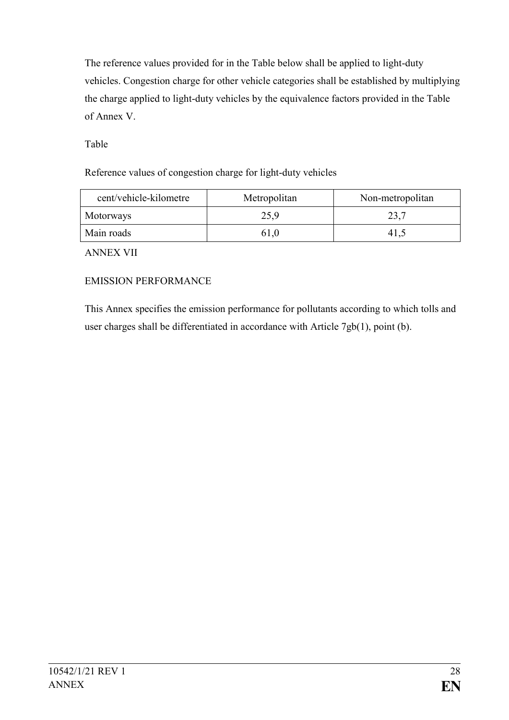The reference values provided for in the Table below shall be applied to light-duty vehicles. Congestion charge for other vehicle categories shall be established by multiplying the charge applied to light-duty vehicles by the equivalence factors provided in the Table of Annex V.

Table

Reference values of congestion charge for light-duty vehicles

| cent/vehicle-kilometre | Metropolitan | Non-metropolitan |
|------------------------|--------------|------------------|
| Motorways              | 25,9         | 23,7             |
| Main roads             | 61.0         | 41.3             |

ANNEX VII

# EMISSION PERFORMANCE

This Annex specifies the emission performance for pollutants according to which tolls and user charges shall be differentiated in accordance with Article 7gb(1), point (b).